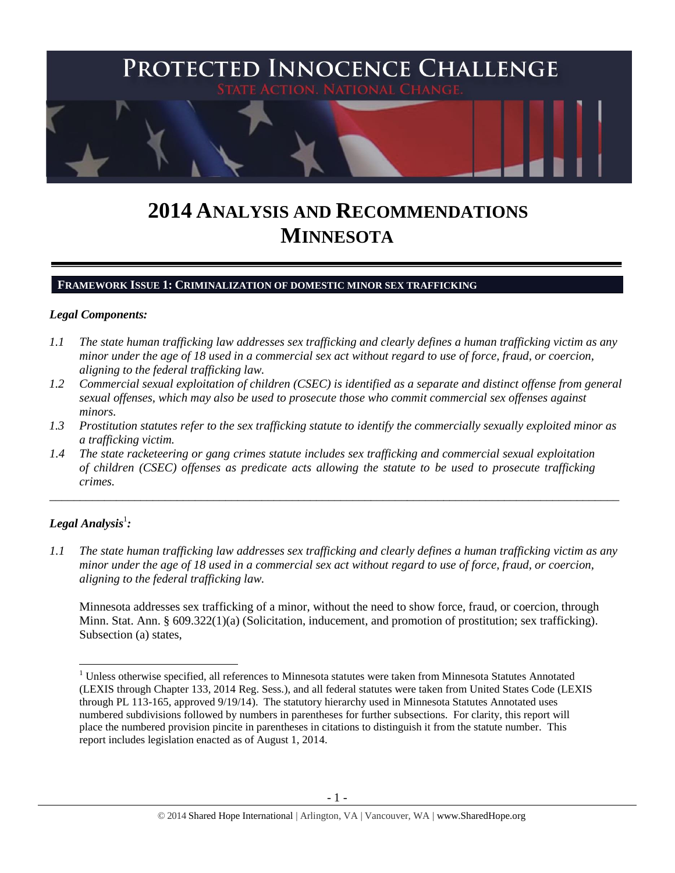

# **2014 ANALYSIS AND RECOMMENDATIONS MINNESOTA**

#### **FRAMEWORK ISSUE 1: CRIMINALIZATION OF DOMESTIC MINOR SEX TRAFFICKING**

#### *Legal Components:*

- *1.1 The state human trafficking law addresses sex trafficking and clearly defines a human trafficking victim as any minor under the age of 18 used in a commercial sex act without regard to use of force, fraud, or coercion, aligning to the federal trafficking law.*
- *1.2 Commercial sexual exploitation of children (CSEC) is identified as a separate and distinct offense from general sexual offenses, which may also be used to prosecute those who commit commercial sex offenses against minors.*
- *1.3 Prostitution statutes refer to the sex trafficking statute to identify the commercially sexually exploited minor as a trafficking victim.*

\_\_\_\_\_\_\_\_\_\_\_\_\_\_\_\_\_\_\_\_\_\_\_\_\_\_\_\_\_\_\_\_\_\_\_\_\_\_\_\_\_\_\_\_\_\_\_\_\_\_\_\_\_\_\_\_\_\_\_\_\_\_\_\_\_\_\_\_\_\_\_\_\_\_\_\_\_\_\_\_\_\_\_\_\_\_\_\_\_\_\_\_\_\_

*1.4 The state racketeering or gang crimes statute includes sex trafficking and commercial sexual exploitation of children (CSEC) offenses as predicate acts allowing the statute to be used to prosecute trafficking crimes.* 

# $\bm{L}$ egal Analysis $^1$ :

 $\overline{\phantom{a}}$ 

*1.1 The state human trafficking law addresses sex trafficking and clearly defines a human trafficking victim as any minor under the age of 18 used in a commercial sex act without regard to use of force, fraud, or coercion, aligning to the federal trafficking law.*

Minnesota addresses sex trafficking of a minor, without the need to show force, fraud, or coercion, through Minn. Stat. Ann. § 609.322(1)(a) (Solicitation, inducement, and promotion of prostitution; sex trafficking). Subsection (a) states,

<sup>&</sup>lt;sup>1</sup> Unless otherwise specified, all references to Minnesota statutes were taken from Minnesota Statutes Annotated (LEXIS through Chapter 133, 2014 Reg. Sess.), and all federal statutes were taken from United States Code (LEXIS through PL 113-165, approved 9/19/14). The statutory hierarchy used in Minnesota Statutes Annotated uses numbered subdivisions followed by numbers in parentheses for further subsections. For clarity, this report will place the numbered provision pincite in parentheses in citations to distinguish it from the statute number. This report includes legislation enacted as of August 1, 2014.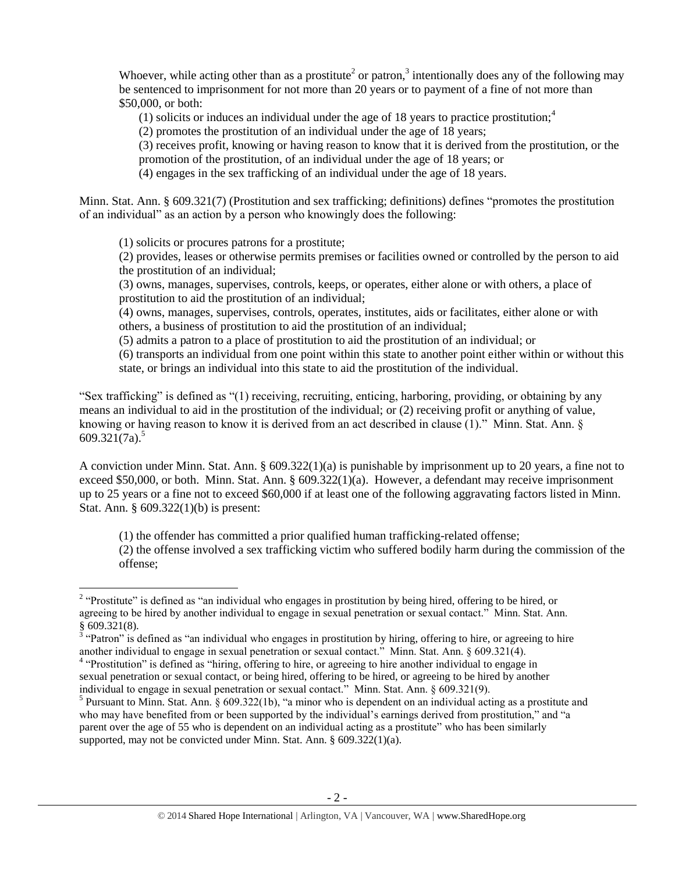Whoever, while acting other than as a prostitute<sup>2</sup> or patron,<sup>3</sup> intentionally does any of the following may be sentenced to imprisonment for not more than 20 years or to payment of a fine of not more than \$50,000, or both:

(1) solicits or induces an individual under the age of 18 years to practice prostitution;<sup>4</sup>

(2) promotes the prostitution of an individual under the age of 18 years;

(3) receives profit, knowing or having reason to know that it is derived from the prostitution, or the promotion of the prostitution, of an individual under the age of 18 years; or

(4) engages in the sex trafficking of an individual under the age of 18 years.

Minn. Stat. Ann. § 609.321(7) (Prostitution and sex trafficking; definitions) defines "promotes the prostitution of an individual" as an action by a person who knowingly does the following:

(1) solicits or procures patrons for a prostitute;

(2) provides, leases or otherwise permits premises or facilities owned or controlled by the person to aid the prostitution of an individual;

(3) owns, manages, supervises, controls, keeps, or operates, either alone or with others, a place of prostitution to aid the prostitution of an individual;

(4) owns, manages, supervises, controls, operates, institutes, aids or facilitates, either alone or with others, a business of prostitution to aid the prostitution of an individual;

(5) admits a patron to a place of prostitution to aid the prostitution of an individual; or

(6) transports an individual from one point within this state to another point either within or without this state, or brings an individual into this state to aid the prostitution of the individual.

"Sex trafficking" is defined as "(1) receiving, recruiting, enticing, harboring, providing, or obtaining by any means an individual to aid in the prostitution of the individual; or (2) receiving profit or anything of value, knowing or having reason to know it is derived from an act described in clause (1)." Minn. Stat. Ann. § 609.321 $(7a)^5$ 

A conviction under Minn. Stat. Ann. § 609.322(1)(a) is punishable by imprisonment up to 20 years, a fine not to exceed \$50,000, or both. Minn. Stat. Ann. § 609.322(1)(a). However, a defendant may receive imprisonment up to 25 years or a fine not to exceed \$60,000 if at least one of the following aggravating factors listed in Minn. Stat. Ann. § 609.322(1)(b) is present:

(1) the offender has committed a prior qualified human trafficking-related offense;

(2) the offense involved a sex trafficking victim who suffered bodily harm during the commission of the offense;

 $\overline{\phantom{a}}$ <sup>2</sup> "Prostitute" is defined as "an individual who engages in prostitution by being hired, offering to be hired, or agreeing to be hired by another individual to engage in sexual penetration or sexual contact." Minn. Stat. Ann.

<sup>§ 609.321(8).&</sup>lt;br><sup>3</sup> "Patron" is defined as "an individual who engages in prostitution by hiring, offering to hire, or agreeing to hire another individual to engage in sexual penetration or sexual contact." Minn. Stat. Ann. § 609.321(4).

<sup>&</sup>lt;sup>4</sup> "Prostitution" is defined as "hiring, offering to hire, or agreeing to hire another individual to engage in sexual penetration or sexual contact, or being hired, offering to be hired, or agreeing to be hired by another individual to engage in sexual penetration or sexual contact." Minn. Stat. Ann. § 609.321(9).

<sup>&</sup>lt;sup>5</sup> Pursuant to Minn. Stat. Ann.  $\S$  609.322(1b), "a minor who is dependent on an individual acting as a prostitute and who may have benefited from or been supported by the individual's earnings derived from prostitution," and "a parent over the age of 55 who is dependent on an individual acting as a prostitute" who has been similarly supported, may not be convicted under Minn. Stat. Ann. § 609.322(1)(a).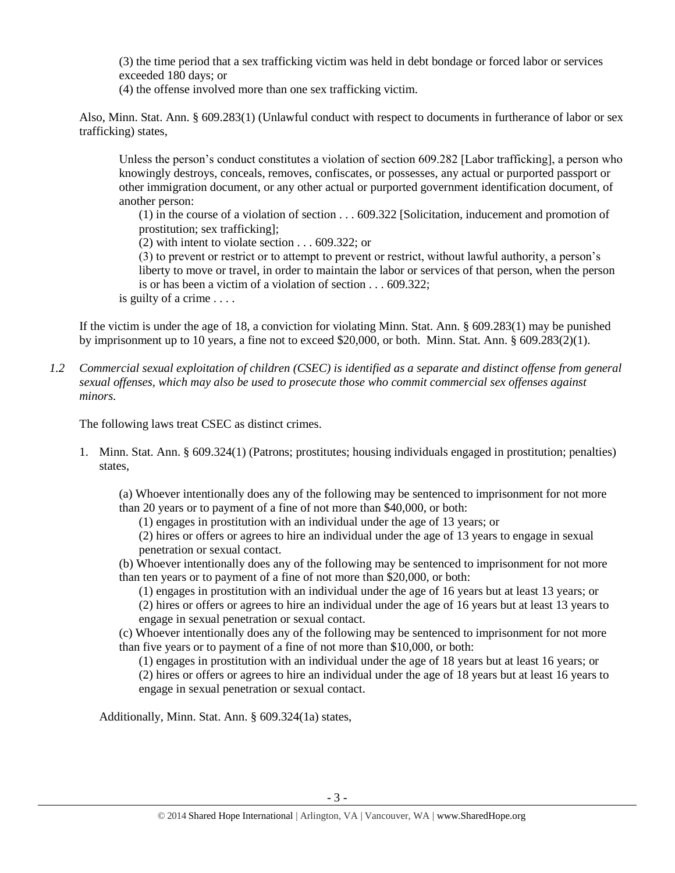(3) the time period that a sex trafficking victim was held in debt bondage or forced labor or services exceeded 180 days; or

(4) the offense involved more than one sex trafficking victim.

Also, Minn. Stat. Ann. § 609.283(1) (Unlawful conduct with respect to documents in furtherance of labor or sex trafficking) states,

Unless the person's conduct constitutes a violation of section 609.282 [Labor trafficking], a person who knowingly destroys, conceals, removes, confiscates, or possesses, any actual or purported passport or other immigration document, or any other actual or purported government identification document, of another person:

(1) in the course of a violation of section . . . 609.322 [Solicitation, inducement and promotion of prostitution; sex trafficking];

(2) with intent to violate section . . . 609.322; or

(3) to prevent or restrict or to attempt to prevent or restrict, without lawful authority, a person's liberty to move or travel, in order to maintain the labor or services of that person, when the person is or has been a victim of a violation of section . . . 609.322;

is guilty of a crime . . . .

If the victim is under the age of 18, a conviction for violating Minn. Stat. Ann. § 609.283(1) may be punished by imprisonment up to 10 years, a fine not to exceed \$20,000, or both. Minn. Stat. Ann. § 609.283(2)(1).

*1.2 Commercial sexual exploitation of children (CSEC) is identified as a separate and distinct offense from general sexual offenses, which may also be used to prosecute those who commit commercial sex offenses against minors.*

The following laws treat CSEC as distinct crimes.

1. Minn. Stat. Ann. § 609.324(1) (Patrons; prostitutes; housing individuals engaged in prostitution; penalties) states,

(a) Whoever intentionally does any of the following may be sentenced to imprisonment for not more than 20 years or to payment of a fine of not more than \$40,000, or both:

(1) engages in prostitution with an individual under the age of 13 years; or

(2) hires or offers or agrees to hire an individual under the age of 13 years to engage in sexual penetration or sexual contact.

(b) Whoever intentionally does any of the following may be sentenced to imprisonment for not more than ten years or to payment of a fine of not more than \$20,000, or both:

(1) engages in prostitution with an individual under the age of 16 years but at least 13 years; or

(2) hires or offers or agrees to hire an individual under the age of 16 years but at least 13 years to engage in sexual penetration or sexual contact.

(c) Whoever intentionally does any of the following may be sentenced to imprisonment for not more than five years or to payment of a fine of not more than \$10,000, or both:

(1) engages in prostitution with an individual under the age of 18 years but at least 16 years; or (2) hires or offers or agrees to hire an individual under the age of 18 years but at least 16 years to engage in sexual penetration or sexual contact.

Additionally, Minn. Stat. Ann. § 609.324(1a) states,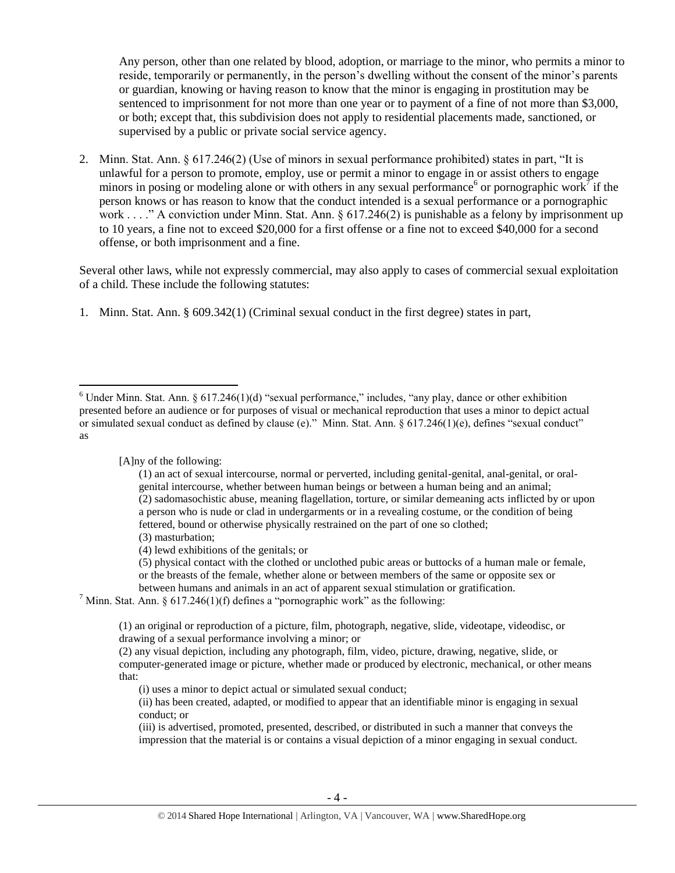<span id="page-3-1"></span><span id="page-3-0"></span>Any person, other than one related by blood, adoption, or marriage to the minor, who permits a minor to reside, temporarily or permanently, in the person's dwelling without the consent of the minor's parents or guardian, knowing or having reason to know that the minor is engaging in prostitution may be sentenced to imprisonment for not more than one year or to payment of a fine of not more than \$3,000, or both; except that, this subdivision does not apply to residential placements made, sanctioned, or supervised by a public or private social service agency.

2. Minn. Stat. Ann. § 617.246(2) (Use of minors in sexual performance prohibited) states in part, "It is unlawful for a person to promote, employ, use or permit a minor to engage in or assist others to engage minors in posing or modeling alone or with others in any sexual performance<sup>6</sup> or pornographic work<sup>7</sup> if the person knows or has reason to know that the conduct intended is a sexual performance or a pornographic work . . . ." A conviction under Minn. Stat. Ann. § 617.246(2) is punishable as a felony by imprisonment up to 10 years, a fine not to exceed \$20,000 for a first offense or a fine not to exceed \$40,000 for a second offense, or both imprisonment and a fine.

Several other laws, while not expressly commercial, may also apply to cases of commercial sexual exploitation of a child. These include the following statutes:

1. Minn. Stat. Ann. § 609.342(1) (Criminal sexual conduct in the first degree) states in part,

[A]ny of the following:

 $\overline{a}$ 

(1) an act of sexual intercourse, normal or perverted, including genital-genital, anal-genital, or oralgenital intercourse, whether between human beings or between a human being and an animal; (2) sadomasochistic abuse, meaning flagellation, torture, or similar demeaning acts inflicted by or upon a person who is nude or clad in undergarments or in a revealing costume, or the condition of being fettered, bound or otherwise physically restrained on the part of one so clothed; (3) masturbation;

(4) lewd exhibitions of the genitals; or

(5) physical contact with the clothed or unclothed pubic areas or buttocks of a human male or female, or the breasts of the female, whether alone or between members of the same or opposite sex or between humans and animals in an act of apparent sexual stimulation or gratification.

<sup>7</sup> Minn. Stat. Ann. § 617.246(1)(f) defines a "pornographic work" as the following:

(1) an original or reproduction of a picture, film, photograph, negative, slide, videotape, videodisc, or drawing of a sexual performance involving a minor; or

(2) any visual depiction, including any photograph, film, video, picture, drawing, negative, slide, or computer-generated image or picture, whether made or produced by electronic, mechanical, or other means that:

(i) uses a minor to depict actual or simulated sexual conduct;

(ii) has been created, adapted, or modified to appear that an identifiable minor is engaging in sexual conduct; or

(iii) is advertised, promoted, presented, described, or distributed in such a manner that conveys the impression that the material is or contains a visual depiction of a minor engaging in sexual conduct.

 $6$  Under Minn. Stat. Ann.  $6$  617.246(1)(d) "sexual performance," includes, "any play, dance or other exhibition presented before an audience or for purposes of visual or mechanical reproduction that uses a minor to depict actual or simulated sexual conduct as defined by clause (e)." Minn. Stat. Ann. § 617.246(1)(e), defines "sexual conduct" as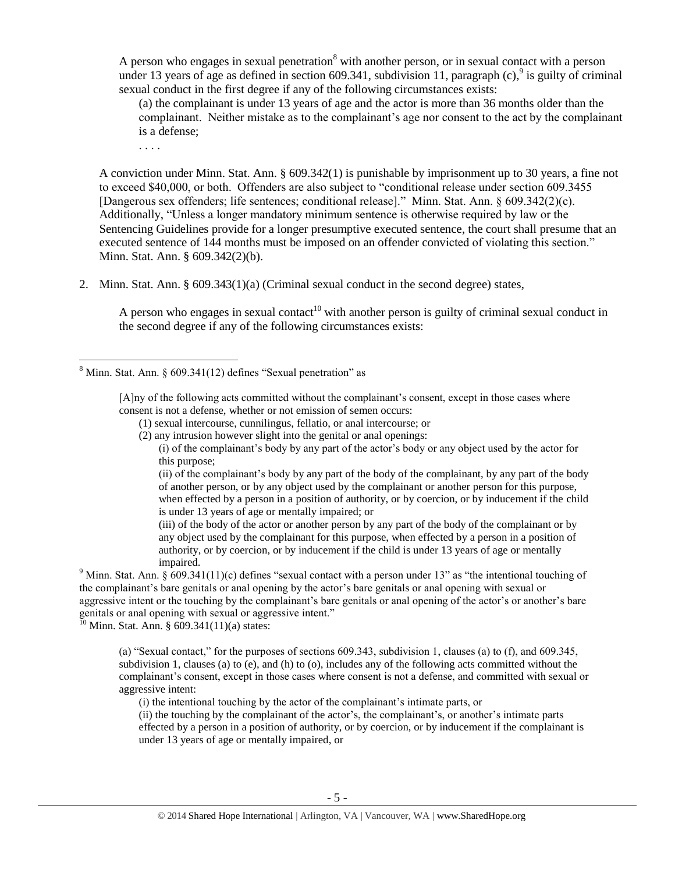A person who engages in sexual penetration<sup>8</sup> with another person, or in sexual contact with a person under 13 years of age as defined in section 609.341, subdivision 11, paragraph  $(c)$ ,  $\frac{9}{9}$  is guilty of criminal sexual conduct in the first degree if any of the following circumstances exists:

<span id="page-4-0"></span>(a) the complainant is under 13 years of age and the actor is more than 36 months older than the complainant. Neither mistake as to the complainant's age nor consent to the act by the complainant is a defense;

. . . .

 $\overline{\phantom{a}}$ 

A conviction under Minn. Stat. Ann. § 609.342(1) is punishable by imprisonment up to 30 years, a fine not to exceed \$40,000, or both. Offenders are also subject to "conditional release under section 609.3455 [Dangerous sex offenders; life sentences; conditional release]." Minn. Stat. Ann. § 609.342(2)(c). Additionally, "Unless a longer mandatory minimum sentence is otherwise required by law or the Sentencing Guidelines provide for a longer presumptive executed sentence, the court shall presume that an executed sentence of 144 months must be imposed on an offender convicted of violating this section." Minn. Stat. Ann. § 609.342(2)(b).

2. Minn. Stat. Ann. § 609.343(1)(a) (Criminal sexual conduct in the second degree) states,

A person who engages in sexual contact<sup>10</sup> with another person is guilty of criminal sexual conduct in the second degree if any of the following circumstances exists:

[A]ny of the following acts committed without the complainant's consent, except in those cases where consent is not a defense, whether or not emission of semen occurs:

(1) sexual intercourse, cunnilingus, fellatio, or anal intercourse; or

(2) any intrusion however slight into the genital or anal openings:

(i) of the complainant's body by any part of the actor's body or any object used by the actor for this purpose;

(ii) of the complainant's body by any part of the body of the complainant, by any part of the body of another person, or by any object used by the complainant or another person for this purpose, when effected by a person in a position of authority, or by coercion, or by inducement if the child is under 13 years of age or mentally impaired; or

(iii) of the body of the actor or another person by any part of the body of the complainant or by any object used by the complainant for this purpose, when effected by a person in a position of authority, or by coercion, or by inducement if the child is under 13 years of age or mentally impaired.

<sup>9</sup> Minn. Stat. Ann. § 609.341(11)(c) defines "sexual contact with a person under 13" as "the intentional touching of the complainant's bare genitals or anal opening by the actor's bare genitals or anal opening with sexual or aggressive intent or the touching by the complainant's bare genitals or anal opening of the actor's or another's bare genitals or anal opening with sexual or aggressive intent."

 $^{10}$  Minn. Stat. Ann. § 609.341(11)(a) states:

(a) "Sexual contact," for the purposes of sections 609.343, subdivision 1, clauses (a) to (f), and 609.345, subdivision 1, clauses (a) to (e), and (h) to (o), includes any of the following acts committed without the complainant's consent, except in those cases where consent is not a defense, and committed with sexual or aggressive intent:

(i) the intentional touching by the actor of the complainant's intimate parts, or

(ii) the touching by the complainant of the actor's, the complainant's, or another's intimate parts effected by a person in a position of authority, or by coercion, or by inducement if the complainant is under 13 years of age or mentally impaired, or

 $8$  Minn. Stat. Ann.  $\S$  609.341(12) defines "Sexual penetration" as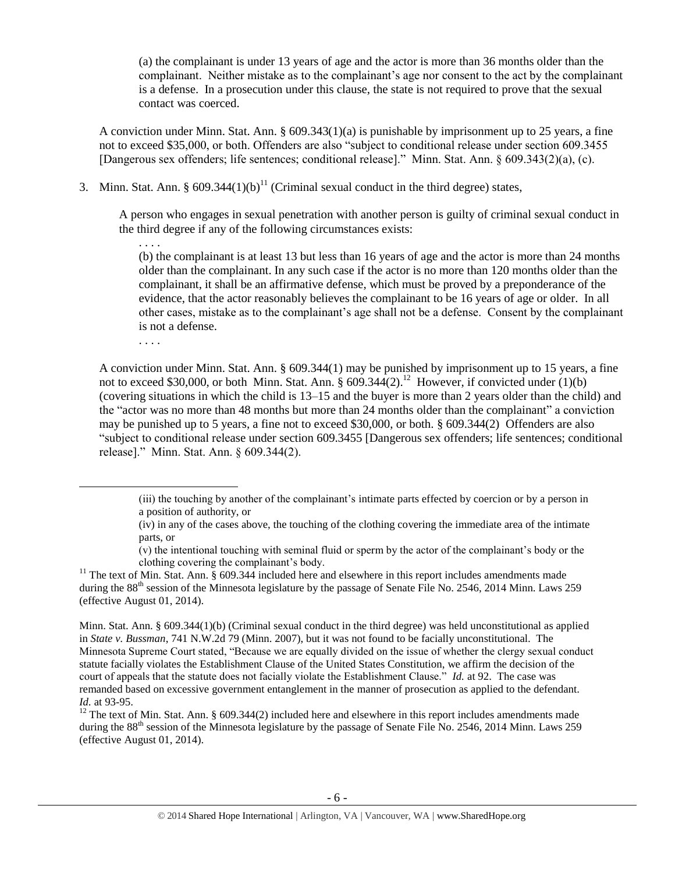(a) the complainant is under 13 years of age and the actor is more than 36 months older than the complainant. Neither mistake as to the complainant's age nor consent to the act by the complainant is a defense. In a prosecution under this clause, the state is not required to prove that the sexual contact was coerced.

A conviction under Minn. Stat. Ann.  $\S 609.343(1)(a)$  is punishable by imprisonment up to 25 years, a fine not to exceed \$35,000, or both. Offenders are also "subject to conditional release under section 609.3455 [Dangerous sex offenders; life sentences; conditional release]." Minn. Stat. Ann. § 609.343(2)(a), (c).

3. Minn. Stat. Ann. §  $609.344(1)(b)^{11}$  (Criminal sexual conduct in the third degree) states,

A person who engages in sexual penetration with another person is guilty of criminal sexual conduct in the third degree if any of the following circumstances exists:

(b) the complainant is at least 13 but less than 16 years of age and the actor is more than 24 months older than the complainant. In any such case if the actor is no more than 120 months older than the complainant, it shall be an affirmative defense, which must be proved by a preponderance of the evidence, that the actor reasonably believes the complainant to be 16 years of age or older. In all other cases, mistake as to the complainant's age shall not be a defense. Consent by the complainant is not a defense.

<span id="page-5-0"></span>. . . .

 $\overline{a}$ 

<span id="page-5-1"></span>. . . .

A conviction under Minn. Stat. Ann. § 609.344(1) may be punished by imprisonment up to 15 years, a fine not to exceed \$30,000, or both Minn. Stat. Ann.  $\S 609.344(2).$ <sup>12</sup> However, if convicted under (1)(b) (covering situations in which the child is 13–15 and the buyer is more than 2 years older than the child) and the "actor was no more than 48 months but more than 24 months older than the complainant" a conviction may be punished up to 5 years, a fine not to exceed \$30,000, or both. § 609.344(2) Offenders are also "subject to conditional release under section 609.3455 [Dangerous sex offenders; life sentences; conditional release]." Minn. Stat. Ann. § 609.344(2).

- (v) the intentional touching with seminal fluid or sperm by the actor of the complainant's body or the clothing covering the complainant's body.
- <sup>11</sup> The text of Min. Stat. Ann.  $\S$  609.344 included here and elsewhere in this report includes amendments made during the 88<sup>th</sup> session of the Minnesota legislature by the passage of Senate File No. 2546, 2014 Minn. Laws 259 (effective August 01, 2014).

Minn. Stat. Ann. § 609.344(1)(b) (Criminal sexual conduct in the third degree) was held unconstitutional as applied in *State v. Bussman*, 741 N.W.2d 79 (Minn. 2007), but it was not found to be facially unconstitutional. The Minnesota Supreme Court stated, "Because we are equally divided on the issue of whether the clergy sexual conduct statute facially violates the Establishment Clause of the United States Constitution, we affirm the decision of the court of appeals that the statute does not facially violate the Establishment Clause." *Id.* at 92. The case was remanded based on excessive government entanglement in the manner of prosecution as applied to the defendant. *Id.* at 93-95.

<sup>12</sup> The text of Min. Stat. Ann.  $\S$  609.344(2) included here and elsewhere in this report includes amendments made during the 88<sup>th</sup> session of the Minnesota legislature by the passage of Senate File No. 2546, 2014 Minn. Laws 259 (effective August 01, 2014).

<sup>(</sup>iii) the touching by another of the complainant's intimate parts effected by coercion or by a person in a position of authority, or

<sup>(</sup>iv) in any of the cases above, the touching of the clothing covering the immediate area of the intimate parts, or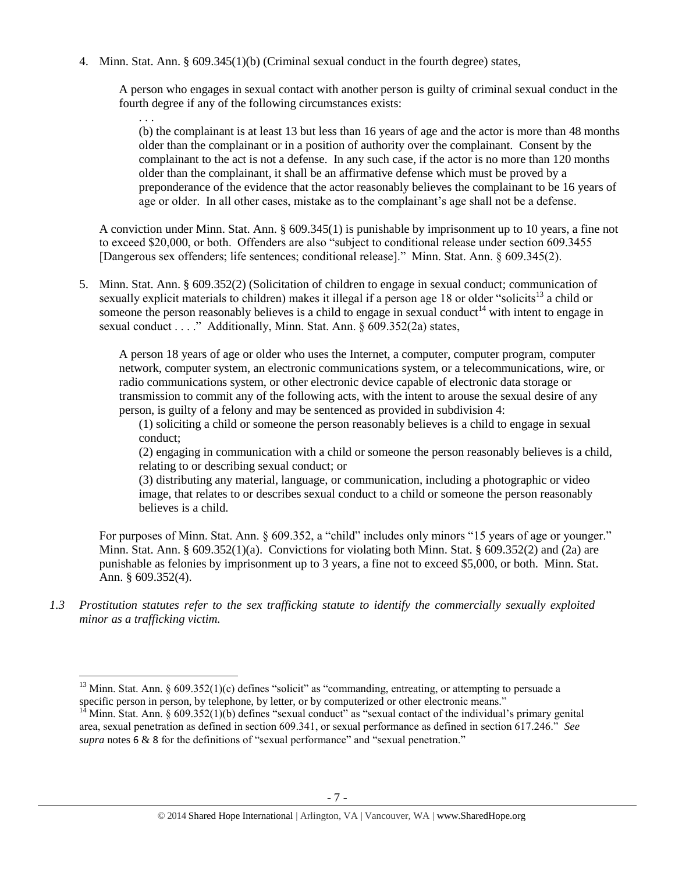4. Minn. Stat. Ann. § 609.345(1)(b) (Criminal sexual conduct in the fourth degree) states,

. . .

A person who engages in sexual contact with another person is guilty of criminal sexual conduct in the fourth degree if any of the following circumstances exists:

(b) the complainant is at least 13 but less than 16 years of age and the actor is more than 48 months older than the complainant or in a position of authority over the complainant. Consent by the complainant to the act is not a defense. In any such case, if the actor is no more than 120 months older than the complainant, it shall be an affirmative defense which must be proved by a preponderance of the evidence that the actor reasonably believes the complainant to be 16 years of age or older. In all other cases, mistake as to the complainant's age shall not be a defense.

A conviction under Minn. Stat. Ann. § 609.345(1) is punishable by imprisonment up to 10 years, a fine not to exceed \$20,000, or both. Offenders are also "subject to conditional release under section 609.3455 [Dangerous sex offenders; life sentences; conditional release]." Minn. Stat. Ann. § 609.345(2).

5. Minn. Stat. Ann. § 609.352(2) (Solicitation of children to engage in sexual conduct; communication of sexually explicit materials to children) makes it illegal if a person age 18 or older "solicits<sup>13</sup> a child or someone the person reasonably believes is a child to engage in sexual conduct<sup>14</sup> with intent to engage in sexual conduct . . . ." Additionally, Minn. Stat. Ann. § 609.352(2a) states,

A person 18 years of age or older who uses the Internet, a computer, computer program, computer network, computer system, an electronic communications system, or a telecommunications, wire, or radio communications system, or other electronic device capable of electronic data storage or transmission to commit any of the following acts, with the intent to arouse the sexual desire of any person, is guilty of a felony and may be sentenced as provided in subdivision 4:

<span id="page-6-1"></span><span id="page-6-0"></span>(1) soliciting a child or someone the person reasonably believes is a child to engage in sexual conduct;

(2) engaging in communication with a child or someone the person reasonably believes is a child, relating to or describing sexual conduct; or

(3) distributing any material, language, or communication, including a photographic or video image, that relates to or describes sexual conduct to a child or someone the person reasonably believes is a child.

For purposes of Minn. Stat. Ann. § 609.352, a "child" includes only minors "15 years of age or younger." Minn. Stat. Ann. § 609.352(1)(a). Convictions for violating both Minn. Stat. § 609.352(2) and (2a) are punishable as felonies by imprisonment up to 3 years, a fine not to exceed \$5,000, or both. Minn. Stat. Ann. § 609.352(4).

*1.3 Prostitution statutes refer to the sex trafficking statute to identify the commercially sexually exploited minor as a trafficking victim.* 

 $\overline{\phantom{a}}$ <sup>13</sup> Minn. Stat. Ann. § 609.352(1)(c) defines "solicit" as "commanding, entreating, or attempting to persuade a specific person in person, by telephone, by letter, or by computerized or other electronic means."

Minn. Stat. Ann.  $\S 609.352(1)(b)$  defines "sexual conduct" as "sexual contact of the individual's primary genital area, sexual penetration as defined in section 609.341, or sexual performance as defined in section 617.246." *See supra* notes [6](#page-3-0) & [8](#page-4-0) for the definitions of "sexual performance" and "sexual penetration."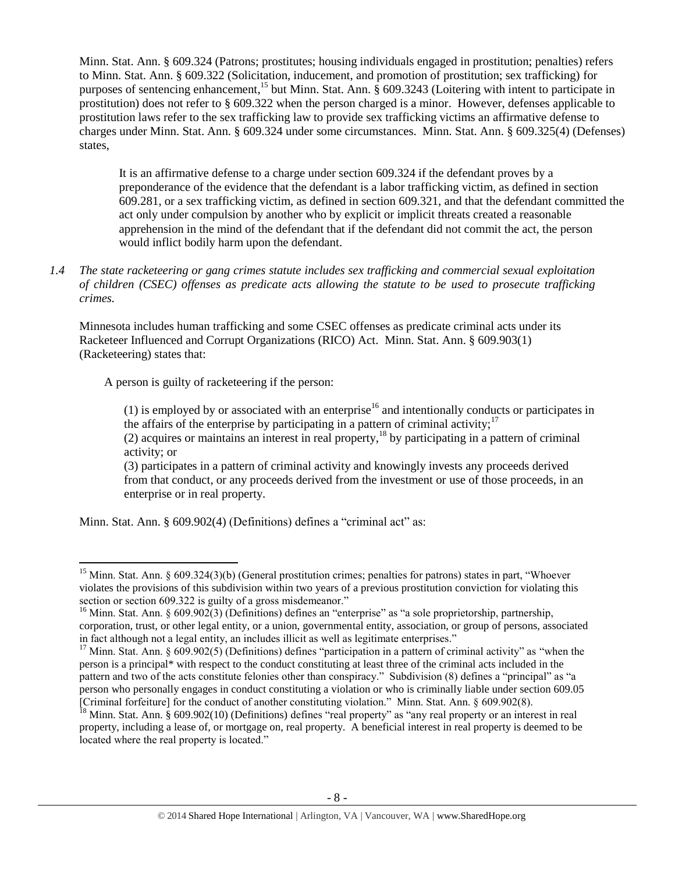Minn. Stat. Ann. § 609.324 (Patrons; prostitutes; housing individuals engaged in prostitution; penalties) refers to Minn. Stat. Ann. § 609.322 (Solicitation, inducement, and promotion of prostitution; sex trafficking) for purposes of sentencing enhancement,<sup>15</sup> but Minn. Stat. Ann. § 609.3243 (Loitering with intent to participate in prostitution) does not refer to § 609.322 when the person charged is a minor. However, defenses applicable to prostitution laws refer to the sex trafficking law to provide sex trafficking victims an affirmative defense to charges under Minn. Stat. Ann. § 609.324 under some circumstances. Minn. Stat. Ann. § 609.325(4) (Defenses) states,

It is an affirmative defense to a charge under section 609.324 if the defendant proves by a preponderance of the evidence that the defendant is a labor trafficking victim, as defined in section 609.281, or a sex trafficking victim, as defined in section 609.321, and that the defendant committed the act only under compulsion by another who by explicit or implicit threats created a reasonable apprehension in the mind of the defendant that if the defendant did not commit the act, the person would inflict bodily harm upon the defendant.

*1.4 The state racketeering or gang crimes statute includes sex trafficking and commercial sexual exploitation of children (CSEC) offenses as predicate acts allowing the statute to be used to prosecute trafficking crimes.* 

Minnesota includes human trafficking and some CSEC offenses as predicate criminal acts under its Racketeer Influenced and Corrupt Organizations (RICO) Act. Minn. Stat. Ann. § 609.903(1) (Racketeering) states that:

A person is guilty of racketeering if the person:

 $\overline{a}$ 

(1) is employed by or associated with an enterprise<sup>16</sup> and intentionally conducts or participates in the affairs of the enterprise by participating in a pattern of criminal activity;<sup>17</sup>

(2) acquires or maintains an interest in real property,<sup>18</sup> by participating in a pattern of criminal activity; or

(3) participates in a pattern of criminal activity and knowingly invests any proceeds derived from that conduct, or any proceeds derived from the investment or use of those proceeds, in an enterprise or in real property.

Minn. Stat. Ann. § 609.902(4) (Definitions) defines a "criminal act" as:

<sup>&</sup>lt;sup>15</sup> Minn. Stat. Ann. § 609.324(3)(b) (General prostitution crimes; penalties for patrons) states in part, "Whoever violates the provisions of this subdivision within two years of a previous prostitution conviction for violating this section or section 609.322 is guilty of a gross misdemeanor."

<sup>&</sup>lt;sup>16</sup> Minn. Stat. Ann. § 609.902(3) (Definitions) defines an "enterprise" as "a sole proprietorship, partnership, corporation, trust, or other legal entity, or a union, governmental entity, association, or group of persons, associated in fact although not a legal entity, an includes illicit as well as legitimate enterprises."

<sup>&</sup>lt;sup>17</sup> Minn. Stat. Ann. § 609.902(5) (Definitions) defines "participation in a pattern of criminal activity" as "when the person is a principal\* with respect to the conduct constituting at least three of the criminal acts included in the pattern and two of the acts constitute felonies other than conspiracy." Subdivision (8) defines a "principal" as "a person who personally engages in conduct constituting a violation or who is criminally liable under section 609.05 [Criminal forfeiture] for the conduct of another constituting violation." Minn. Stat. Ann. § 609.902(8).

 $^{18}$  Minn. Stat. Ann. § 609.902(10) (Definitions) defines "real property" as "any real property or an interest in real property, including a lease of, or mortgage on, real property. A beneficial interest in real property is deemed to be located where the real property is located."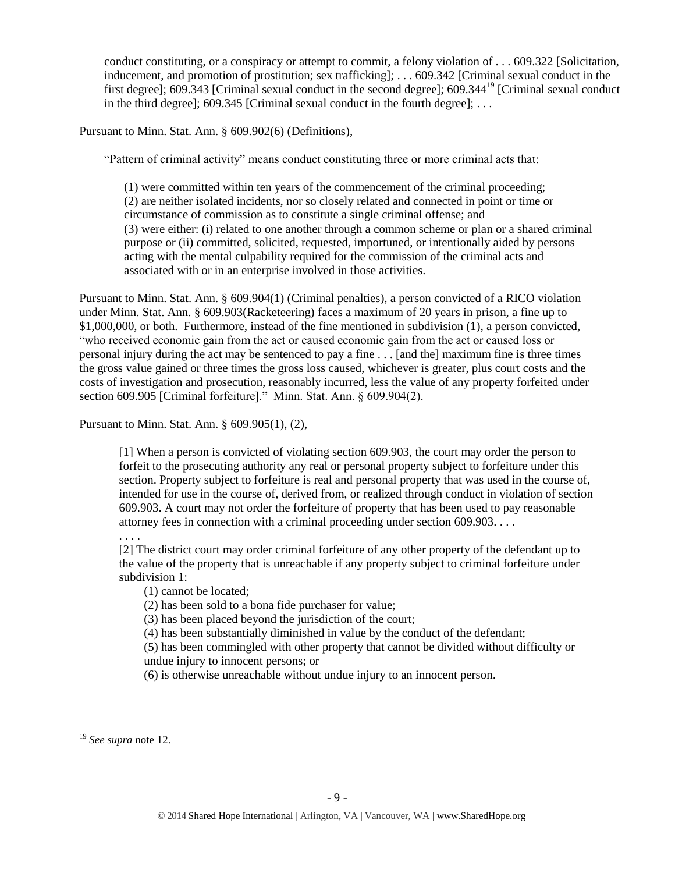conduct constituting, or a conspiracy or attempt to commit, a felony violation of . . . 609.322 [Solicitation, inducement, and promotion of prostitution; sex trafficking]; . . . 609.342 [Criminal sexual conduct in the first degree]; 609.343 [Criminal sexual conduct in the second degree]; 609.344<sup>19</sup> [Criminal sexual conduct in the third degree]; 609.345 [Criminal sexual conduct in the fourth degree]; . . .

Pursuant to Minn. Stat. Ann. § 609.902(6) (Definitions),

"Pattern of criminal activity" means conduct constituting three or more criminal acts that:

(1) were committed within ten years of the commencement of the criminal proceeding; (2) are neither isolated incidents, nor so closely related and connected in point or time or circumstance of commission as to constitute a single criminal offense; and (3) were either: (i) related to one another through a common scheme or plan or a shared criminal purpose or (ii) committed, solicited, requested, importuned, or intentionally aided by persons acting with the mental culpability required for the commission of the criminal acts and associated with or in an enterprise involved in those activities.

Pursuant to Minn. Stat. Ann. § 609.904(1) (Criminal penalties), a person convicted of a RICO violation under Minn. Stat. Ann. § 609.903(Racketeering) faces a maximum of 20 years in prison, a fine up to \$1,000,000, or both. Furthermore, instead of the fine mentioned in subdivision (1), a person convicted, "who received economic gain from the act or caused economic gain from the act or caused loss or personal injury during the act may be sentenced to pay a fine . . . [and the] maximum fine is three times the gross value gained or three times the gross loss caused, whichever is greater, plus court costs and the costs of investigation and prosecution, reasonably incurred, less the value of any property forfeited under section 609.905 [Criminal forfeiture]." Minn. Stat. Ann. § 609.904(2).

Pursuant to Minn. Stat. Ann. § 609.905(1), (2),

[1] When a person is convicted of violating section 609.903, the court may order the person to forfeit to the prosecuting authority any real or personal property subject to forfeiture under this section. Property subject to forfeiture is real and personal property that was used in the course of, intended for use in the course of, derived from, or realized through conduct in violation of section 609.903. A court may not order the forfeiture of property that has been used to pay reasonable attorney fees in connection with a criminal proceeding under section 609.903. . . .

. . . .

[2] The district court may order criminal forfeiture of any other property of the defendant up to the value of the property that is unreachable if any property subject to criminal forfeiture under subdivision 1:

(1) cannot be located;

(2) has been sold to a bona fide purchaser for value;

(3) has been placed beyond the jurisdiction of the court;

(4) has been substantially diminished in value by the conduct of the defendant;

(5) has been commingled with other property that cannot be divided without difficulty or undue injury to innocent persons; or

(6) is otherwise unreachable without undue injury to an innocent person.

 $\overline{a}$ <sup>19</sup> *See supra* note [12.](#page-5-0)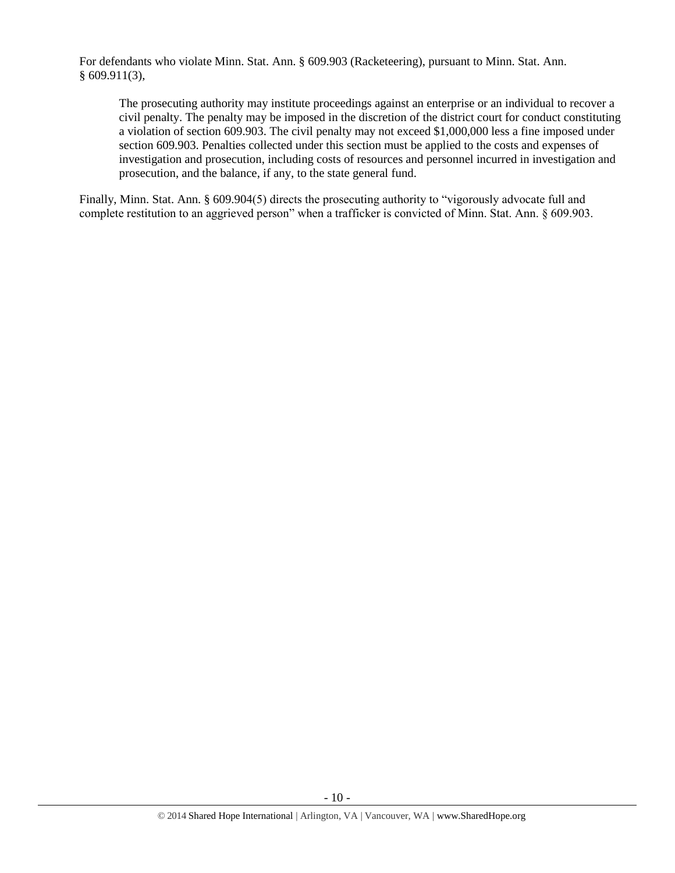For defendants who violate Minn. Stat. Ann. § 609.903 (Racketeering), pursuant to Minn. Stat. Ann. § 609.911(3),

The prosecuting authority may institute proceedings against an enterprise or an individual to recover a civil penalty. The penalty may be imposed in the discretion of the district court for conduct constituting a violation of section 609.903. The civil penalty may not exceed \$1,000,000 less a fine imposed under section 609.903. Penalties collected under this section must be applied to the costs and expenses of investigation and prosecution, including costs of resources and personnel incurred in investigation and prosecution, and the balance, if any, to the state general fund.

Finally, Minn. Stat. Ann. § 609.904(5) directs the prosecuting authority to "vigorously advocate full and complete restitution to an aggrieved person" when a trafficker is convicted of Minn. Stat. Ann. § 609.903.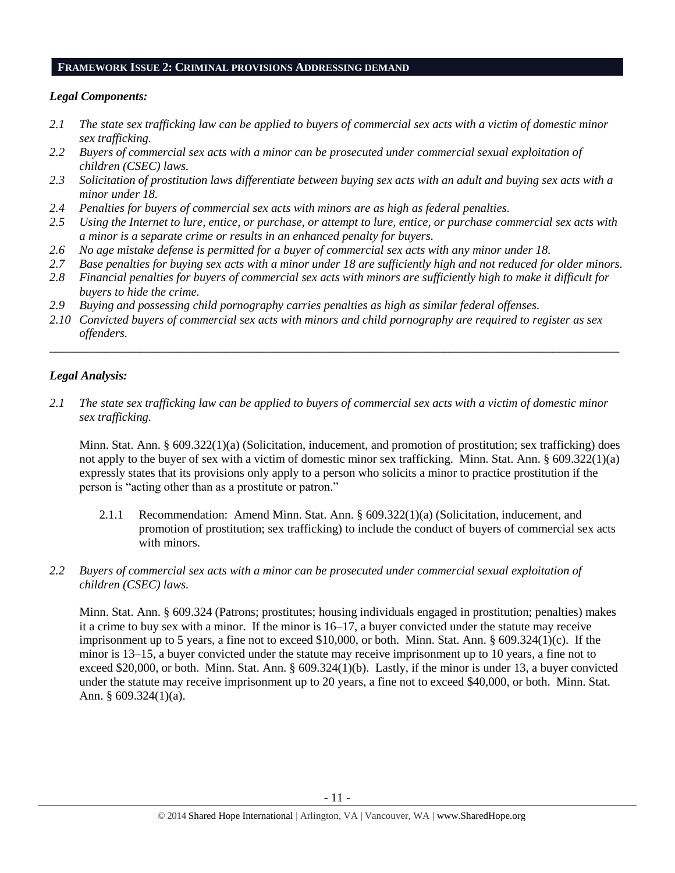#### **FRAMEWORK ISSUE 2: CRIMINAL PROVISIONS ADDRESSING DEMAND**

## *Legal Components:*

- *2.1 The state sex trafficking law can be applied to buyers of commercial sex acts with a victim of domestic minor sex trafficking.*
- *2.2 Buyers of commercial sex acts with a minor can be prosecuted under commercial sexual exploitation of children (CSEC) laws.*
- *2.3 Solicitation of prostitution laws differentiate between buying sex acts with an adult and buying sex acts with a minor under 18.*
- *2.4 Penalties for buyers of commercial sex acts with minors are as high as federal penalties.*
- *2.5 Using the Internet to lure, entice, or purchase, or attempt to lure, entice, or purchase commercial sex acts with a minor is a separate crime or results in an enhanced penalty for buyers.*
- *2.6 No age mistake defense is permitted for a buyer of commercial sex acts with any minor under 18.*
- *2.7 Base penalties for buying sex acts with a minor under 18 are sufficiently high and not reduced for older minors.*
- *2.8 Financial penalties for buyers of commercial sex acts with minors are sufficiently high to make it difficult for buyers to hide the crime.*
- *2.9 Buying and possessing child pornography carries penalties as high as similar federal offenses.*
- *2.10 Convicted buyers of commercial sex acts with minors and child pornography are required to register as sex offenders.*

\_\_\_\_\_\_\_\_\_\_\_\_\_\_\_\_\_\_\_\_\_\_\_\_\_\_\_\_\_\_\_\_\_\_\_\_\_\_\_\_\_\_\_\_\_\_\_\_\_\_\_\_\_\_\_\_\_\_\_\_\_\_\_\_\_\_\_\_\_\_\_\_\_\_\_\_\_\_\_\_\_\_\_\_\_\_\_\_\_\_\_\_\_\_

## *Legal Analysis:*

*2.1 The state sex trafficking law can be applied to buyers of commercial sex acts with a victim of domestic minor sex trafficking.*

Minn. Stat. Ann. § 609.322(1)(a) (Solicitation, inducement, and promotion of prostitution; sex trafficking) does not apply to the buyer of sex with a victim of domestic minor sex trafficking. Minn. Stat. Ann. § 609.322(1)(a) expressly states that its provisions only apply to a person who solicits a minor to practice prostitution if the person is "acting other than as a prostitute or patron."

- 2.1.1 Recommendation: Amend Minn. Stat. Ann. § 609.322(1)(a) (Solicitation, inducement, and promotion of prostitution; sex trafficking) to include the conduct of buyers of commercial sex acts with minors.
- *2.2 Buyers of commercial sex acts with a minor can be prosecuted under commercial sexual exploitation of children (CSEC) laws.*

Minn. Stat. Ann. § 609.324 (Patrons; prostitutes; housing individuals engaged in prostitution; penalties) makes it a crime to buy sex with a minor. If the minor is 16–17, a buyer convicted under the statute may receive imprisonment up to 5 years, a fine not to exceed \$10,000, or both. Minn. Stat. Ann. § 609.324(1)(c). If the minor is 13–15, a buyer convicted under the statute may receive imprisonment up to 10 years, a fine not to exceed \$20,000, or both. Minn. Stat. Ann. § 609.324(1)(b). Lastly, if the minor is under 13, a buyer convicted under the statute may receive imprisonment up to 20 years, a fine not to exceed \$40,000, or both. Minn. Stat. Ann. § 609.324(1)(a).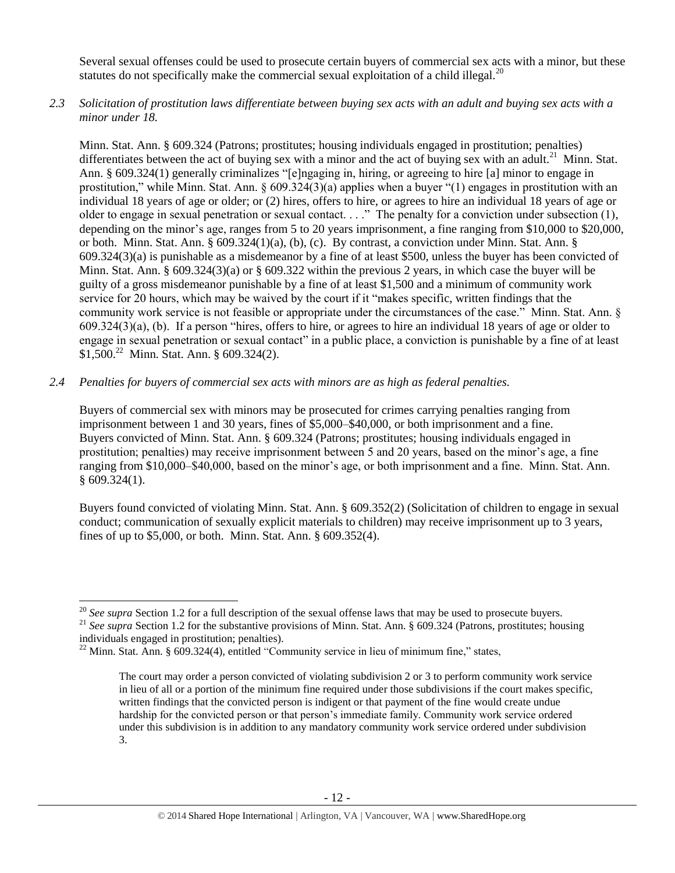Several sexual offenses could be used to prosecute certain buyers of commercial sex acts with a minor, but these statutes do not specifically make the commercial sexual exploitation of a child illegal.<sup>20</sup>

*2.3 Solicitation of prostitution laws differentiate between buying sex acts with an adult and buying sex acts with a minor under 18.*

Minn. Stat. Ann. § 609.324 (Patrons; prostitutes; housing individuals engaged in prostitution; penalties) differentiates between the act of buying sex with a minor and the act of buying sex with an adult.<sup>21</sup> Minn. Stat. Ann. § 609.324(1) generally criminalizes "[e]ngaging in, hiring, or agreeing to hire [a] minor to engage in prostitution," while Minn. Stat. Ann. § 609.324(3)(a) applies when a buyer "(1) engages in prostitution with an individual 18 years of age or older; or (2) hires, offers to hire, or agrees to hire an individual 18 years of age or older to engage in sexual penetration or sexual contact. . . ." The penalty for a conviction under subsection (1), depending on the minor's age, ranges from 5 to 20 years imprisonment, a fine ranging from \$10,000 to \$20,000, or both. Minn. Stat. Ann. § 609.324(1)(a), (b), (c). By contrast, a conviction under Minn. Stat. Ann. § 609.324(3)(a) is punishable as a misdemeanor by a fine of at least \$500, unless the buyer has been convicted of Minn. Stat. Ann. § 609.324(3)(a) or § 609.322 within the previous 2 years, in which case the buyer will be guilty of a gross misdemeanor punishable by a fine of at least \$1,500 and a minimum of community work service for 20 hours, which may be waived by the court if it "makes specific, written findings that the community work service is not feasible or appropriate under the circumstances of the case." Minn. Stat. Ann. § 609.324(3)(a), (b). If a person "hires, offers to hire, or agrees to hire an individual 18 years of age or older to engage in sexual penetration or sexual contact" in a public place, a conviction is punishable by a fine of at least \$1,500.<sup>22</sup> Minn. Stat. Ann. § 609.324(2).

## *2.4 Penalties for buyers of commercial sex acts with minors are as high as federal penalties.*

Buyers of commercial sex with minors may be prosecuted for crimes carrying penalties ranging from imprisonment between 1 and 30 years, fines of \$5,000–\$40,000, or both imprisonment and a fine. Buyers convicted of Minn. Stat. Ann. § 609.324 (Patrons; prostitutes; housing individuals engaged in prostitution; penalties) may receive imprisonment between 5 and 20 years, based on the minor's age, a fine ranging from \$10,000–\$40,000, based on the minor's age, or both imprisonment and a fine. Minn. Stat. Ann. § 609.324(1).

Buyers found convicted of violating Minn. Stat. Ann. § 609.352(2) (Solicitation of children to engage in sexual conduct; communication of sexually explicit materials to children) may receive imprisonment up to 3 years, fines of up to \$5,000, or both. Minn. Stat. Ann. § 609.352(4).

l

<sup>&</sup>lt;sup>20</sup> See supra Section 1.2 for a full description of the sexual offense laws that may be used to prosecute buyers.

<sup>&</sup>lt;sup>21</sup> See supra Section 1.2 for the substantive provisions of Minn. Stat. Ann. § 609.324 (Patrons, prostitutes; housing individuals engaged in prostitution; penalties).

 $^{22}$  Minn. Stat. Ann. § 609.324(4), entitled "Community service in lieu of minimum fine," states,

The court may order a person convicted of violating subdivision 2 or 3 to perform community work service in lieu of all or a portion of the minimum fine required under those subdivisions if the court makes specific, written findings that the convicted person is indigent or that payment of the fine would create undue hardship for the convicted person or that person's immediate family. Community work service ordered under this subdivision is in addition to any mandatory community work service ordered under subdivision 3.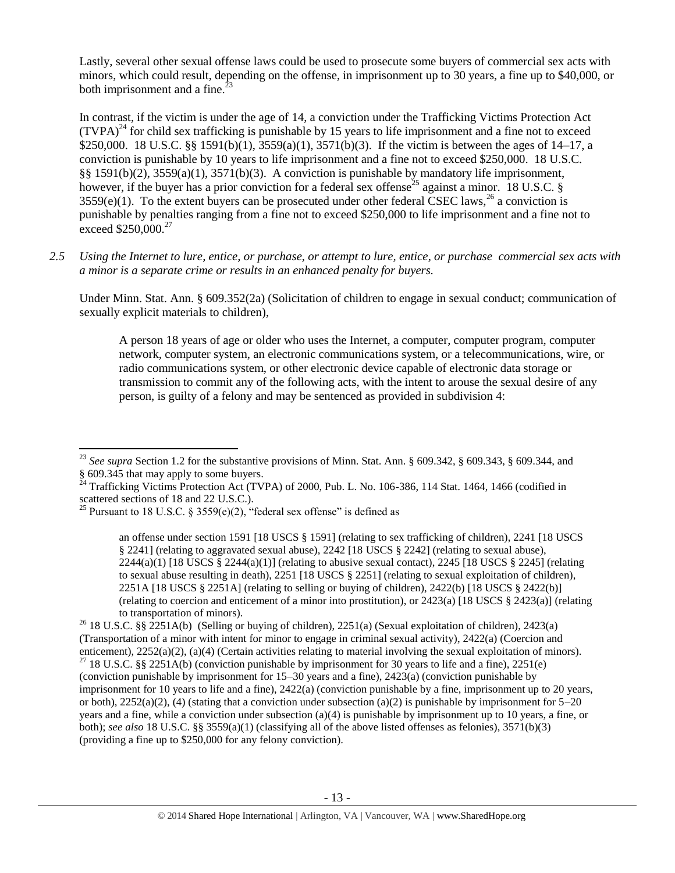Lastly, several other sexual offense laws could be used to prosecute some buyers of commercial sex acts with minors, which could result, depending on the offense, in imprisonment up to 30 years, a fine up to \$40,000, or both imprisonment and a fine. $^{23}$ 

<span id="page-12-0"></span>In contrast, if the victim is under the age of 14, a conviction under the Trafficking Victims Protection Act  $(TVPA)<sup>24</sup>$  for child sex trafficking is punishable by 15 years to life imprisonment and a fine not to exceed \$250,000. 18 U.S.C. §§ 1591(b)(1), 3559(a)(1), 3571(b)(3). If the victim is between the ages of 14–17, a conviction is punishable by 10 years to life imprisonment and a fine not to exceed \$250,000. 18 U.S.C. §§ 1591(b)(2), 3559(a)(1), 3571(b)(3). A conviction is punishable by mandatory life imprisonment, however, if the buyer has a prior conviction for a federal sex offense<sup>25</sup> against a minor. 18 U.S.C. §  $3559(e)(1)$ . To the extent buyers can be prosecuted under other federal CSEC laws,  $^{26}$  a conviction is punishable by penalties ranging from a fine not to exceed \$250,000 to life imprisonment and a fine not to  $\epsilon$ xceed \$250,000.<sup>27</sup>

*2.5 Using the Internet to lure, entice, or purchase, or attempt to lure, entice, or purchase commercial sex acts with a minor is a separate crime or results in an enhanced penalty for buyers.*

Under Minn. Stat. Ann. § 609.352(2a) (Solicitation of children to engage in sexual conduct; communication of sexually explicit materials to children),

<span id="page-12-1"></span>A person 18 years of age or older who uses the Internet, a computer, computer program, computer network, computer system, an electronic communications system, or a telecommunications, wire, or radio communications system, or other electronic device capable of electronic data storage or transmission to commit any of the following acts, with the intent to arouse the sexual desire of any person, is guilty of a felony and may be sentenced as provided in subdivision 4:

l <sup>23</sup> *See supra* Section 1.2 for the substantive provisions of Minn. Stat. Ann. § 609.342, § 609.343, § 609.344, and § 609.345 that may apply to some buyers.

<sup>&</sup>lt;sup>24</sup> Trafficking Victims Protection Act (TVPA) of 2000, Pub. L. No. 106-386, 114 Stat. 1464, 1466 (codified in scattered sections of 18 and 22 U.S.C.).

<sup>&</sup>lt;sup>25</sup> Pursuant to 18 U.S.C. § 3559(e)(2), "federal sex offense" is defined as

an offense under section 1591 [18 USCS § 1591] (relating to sex trafficking of children), 2241 [18 USCS § 2241] (relating to aggravated sexual abuse), 2242 [18 USCS § 2242] (relating to sexual abuse),  $2244(a)(1)$  [18 USCS §  $2244(a)(1)$ ] (relating to abusive sexual contact),  $2245$  [18 USCS § 2245] (relating to sexual abuse resulting in death), 2251 [18 USCS § 2251] (relating to sexual exploitation of children), 2251A [18 USCS § 2251A] (relating to selling or buying of children), 2422(b) [18 USCS § 2422(b)] (relating to coercion and enticement of a minor into prostitution), or 2423(a) [18 USCS § 2423(a)] (relating to transportation of minors).

<sup>26</sup> 18 U.S.C. §§ 2251A(b) (Selling or buying of children), 2251(a) (Sexual exploitation of children), 2423(a) (Transportation of a minor with intent for minor to engage in criminal sexual activity), 2422(a) (Coercion and enticement), 2252(a)(2), (a)(4) (Certain activities relating to material involving the sexual exploitation of minors). <sup>27</sup> 18 U.S.C. §§ 2251A(b) (conviction punishable by imprisonment for 30 years to life and a fine), 2251(e) (conviction punishable by imprisonment for 15–30 years and a fine), 2423(a) (conviction punishable by imprisonment for 10 years to life and a fine), 2422(a) (conviction punishable by a fine, imprisonment up to 20 years, or both),  $2252(a)(2)$ , (4) (stating that a conviction under subsection (a)(2) is punishable by imprisonment for  $5-20$ years and a fine, while a conviction under subsection (a)(4) is punishable by imprisonment up to 10 years, a fine, or both); *see also* 18 U.S.C. §§ 3559(a)(1) (classifying all of the above listed offenses as felonies), 3571(b)(3) (providing a fine up to \$250,000 for any felony conviction).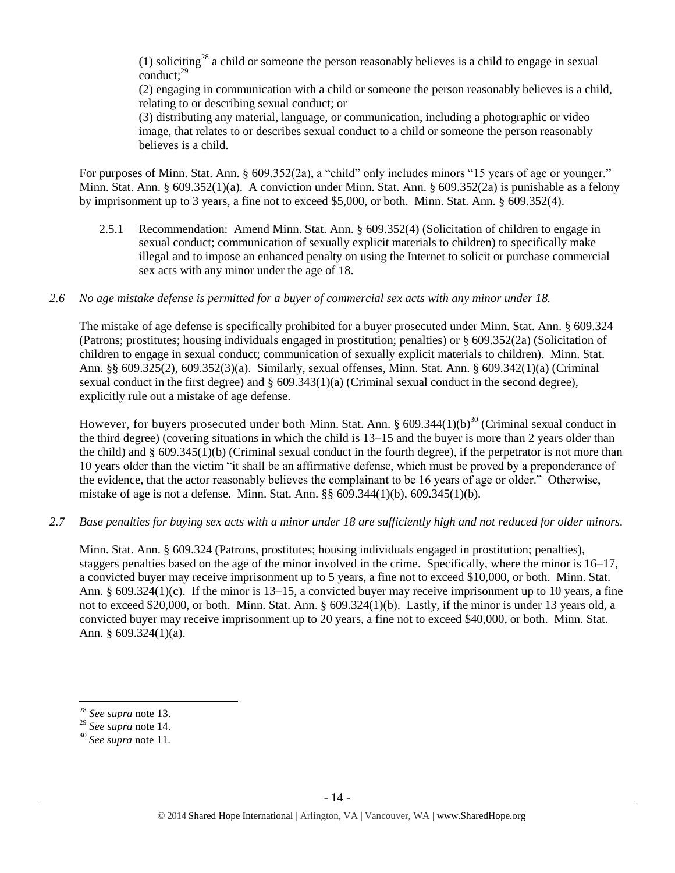(1) soliciting<sup>28</sup> a child or someone the person reasonably believes is a child to engage in sexual conduct:<sup>29</sup>

(2) engaging in communication with a child or someone the person reasonably believes is a child, relating to or describing sexual conduct; or

(3) distributing any material, language, or communication, including a photographic or video image, that relates to or describes sexual conduct to a child or someone the person reasonably believes is a child.

For purposes of Minn. Stat. Ann. § 609.352(2a), a "child" only includes minors "15 years of age or younger." Minn. Stat. Ann. § 609.352(1)(a). A conviction under Minn. Stat. Ann. § 609.352(2a) is punishable as a felony by imprisonment up to 3 years, a fine not to exceed \$5,000, or both. Minn. Stat. Ann. § 609.352(4).

2.5.1 Recommendation: Amend Minn. Stat. Ann. § 609.352(4) (Solicitation of children to engage in sexual conduct; communication of sexually explicit materials to children) to specifically make illegal and to impose an enhanced penalty on using the Internet to solicit or purchase commercial sex acts with any minor under the age of 18.

### *2.6 No age mistake defense is permitted for a buyer of commercial sex acts with any minor under 18.*

The mistake of age defense is specifically prohibited for a buyer prosecuted under Minn. Stat. Ann. § 609.324 (Patrons; prostitutes; housing individuals engaged in prostitution; penalties) or § 609.352(2a) (Solicitation of children to engage in sexual conduct; communication of sexually explicit materials to children). Minn. Stat. Ann. §§ 609.325(2), 609.352(3)(a). Similarly, sexual offenses, Minn. Stat. Ann. § 609.342(1)(a) (Criminal sexual conduct in the first degree) and § 609.343(1)(a) (Criminal sexual conduct in the second degree), explicitly rule out a mistake of age defense.

However, for buyers prosecuted under both Minn. Stat. Ann.  $\S 609.344(1)(b)^{30}$  (Criminal sexual conduct in the third degree) (covering situations in which the child is 13–15 and the buyer is more than 2 years older than the child) and § 609.345(1)(b) (Criminal sexual conduct in the fourth degree), if the perpetrator is not more than 10 years older than the victim "it shall be an affirmative defense, which must be proved by a preponderance of the evidence, that the actor reasonably believes the complainant to be 16 years of age or older." Otherwise, mistake of age is not a defense. Minn. Stat. Ann. §§ 609.344(1)(b), 609.345(1)(b).

*2.7 Base penalties for buying sex acts with a minor under 18 are sufficiently high and not reduced for older minors.*

Minn. Stat. Ann. § 609.324 (Patrons, prostitutes; housing individuals engaged in prostitution; penalties), staggers penalties based on the age of the minor involved in the crime. Specifically, where the minor is 16–17, a convicted buyer may receive imprisonment up to 5 years, a fine not to exceed \$10,000, or both. Minn. Stat. Ann. § 609.324(1)(c). If the minor is 13–15, a convicted buyer may receive imprisonment up to 10 years, a fine not to exceed \$20,000, or both. Minn. Stat. Ann. § 609.324(1)(b). Lastly, if the minor is under 13 years old, a convicted buyer may receive imprisonment up to 20 years, a fine not to exceed \$40,000, or both. Minn. Stat. Ann. § 609.324(1)(a).

 $\overline{\phantom{a}}$ 

<sup>28</sup> *See supra* note [13.](#page-6-0)

<sup>29</sup> *See supra* note [14.](#page-6-1)

<sup>30</sup> *See supra* note [11.](#page-5-1)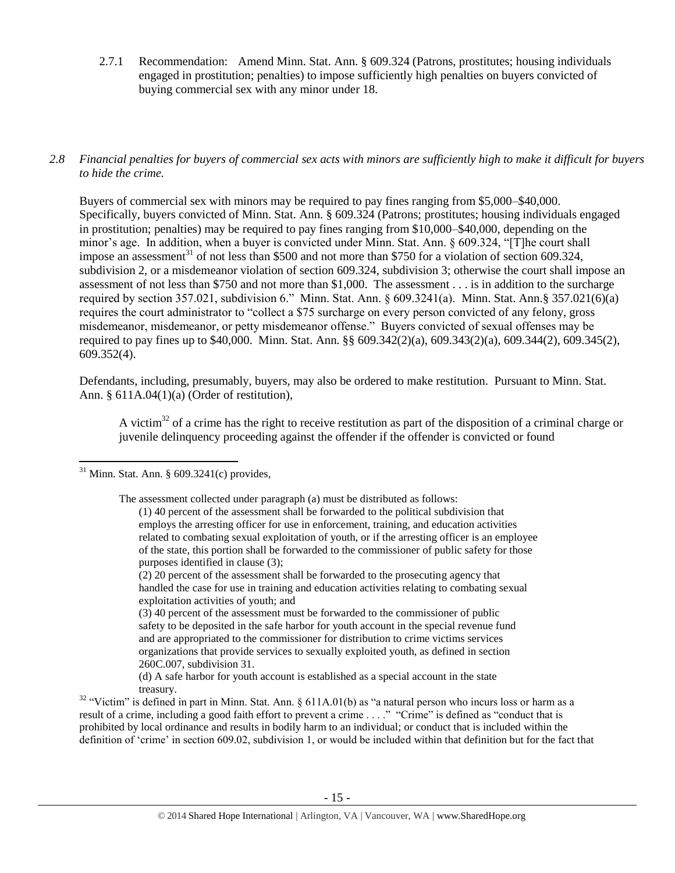- 2.7.1 Recommendation: Amend Minn. Stat. Ann. § 609.324 (Patrons, prostitutes; housing individuals engaged in prostitution; penalties) to impose sufficiently high penalties on buyers convicted of buying commercial sex with any minor under 18.
- *2.8 Financial penalties for buyers of commercial sex acts with minors are sufficiently high to make it difficult for buyers to hide the crime.*

<span id="page-14-0"></span>Buyers of commercial sex with minors may be required to pay fines ranging from \$5,000–\$40,000. Specifically, buyers convicted of Minn. Stat. Ann. § 609.324 (Patrons; prostitutes; housing individuals engaged in prostitution; penalties) may be required to pay fines ranging from \$10,000–\$40,000, depending on the minor's age. In addition, when a buyer is convicted under Minn. Stat. Ann. § 609.324, "[T]he court shall impose an assessment<sup>31</sup> of not less than \$500 and not more than \$750 for a violation of section 609.324, subdivision 2, or a misdemeanor violation of section 609.324, subdivision 3; otherwise the court shall impose an assessment of not less than \$750 and not more than \$1,000. The assessment . . . is in addition to the surcharge required by section 357.021, subdivision 6." Minn. Stat. Ann. § 609.3241(a). Minn. Stat. Ann.§ 357.021(6)(a) requires the court administrator to "collect a \$75 surcharge on every person convicted of any felony, gross misdemeanor, misdemeanor, or petty misdemeanor offense." Buyers convicted of sexual offenses may be required to pay fines up to \$40,000. Minn. Stat. Ann. §§ 609.342(2)(a), 609.343(2)(a), 609.344(2), 609.345(2), 609.352(4).

Defendants, including, presumably, buyers, may also be ordered to make restitution. Pursuant to Minn. Stat. Ann. § 611A.04(1)(a) (Order of restitution),

<span id="page-14-1"></span>A victim<sup>32</sup> of a crime has the right to receive restitution as part of the disposition of a criminal charge or juvenile delinquency proceeding against the offender if the offender is convicted or found

The assessment collected under paragraph (a) must be distributed as follows:

 $\overline{a}$  $31$  Minn. Stat. Ann. § 609.3241(c) provides,

<sup>(1) 40</sup> percent of the assessment shall be forwarded to the political subdivision that employs the arresting officer for use in enforcement, training, and education activities related to combating sexual exploitation of youth, or if the arresting officer is an employee of the state, this portion shall be forwarded to the commissioner of public safety for those purposes identified in clause (3);

<sup>(2) 20</sup> percent of the assessment shall be forwarded to the prosecuting agency that handled the case for use in training and education activities relating to combating sexual exploitation activities of youth; and

<sup>(3) 40</sup> percent of the assessment must be forwarded to the commissioner of public safety to be deposited in the safe harbor for youth account in the special revenue fund and are appropriated to the commissioner for distribution to crime victims services organizations that provide services to sexually exploited youth, as defined in section 260C.007, subdivision 31.

<sup>(</sup>d) A safe harbor for youth account is established as a special account in the state treasury.

 $32$  "Victim" is defined in part in Minn. Stat. Ann. § 611A.01(b) as "a natural person who incurs loss or harm as a result of a crime, including a good faith effort to prevent a crime . . . ." "Crime" is defined as "conduct that is prohibited by local ordinance and results in bodily harm to an individual; or conduct that is included within the definition of 'crime' in section 609.02, subdivision 1, or would be included within that definition but for the fact that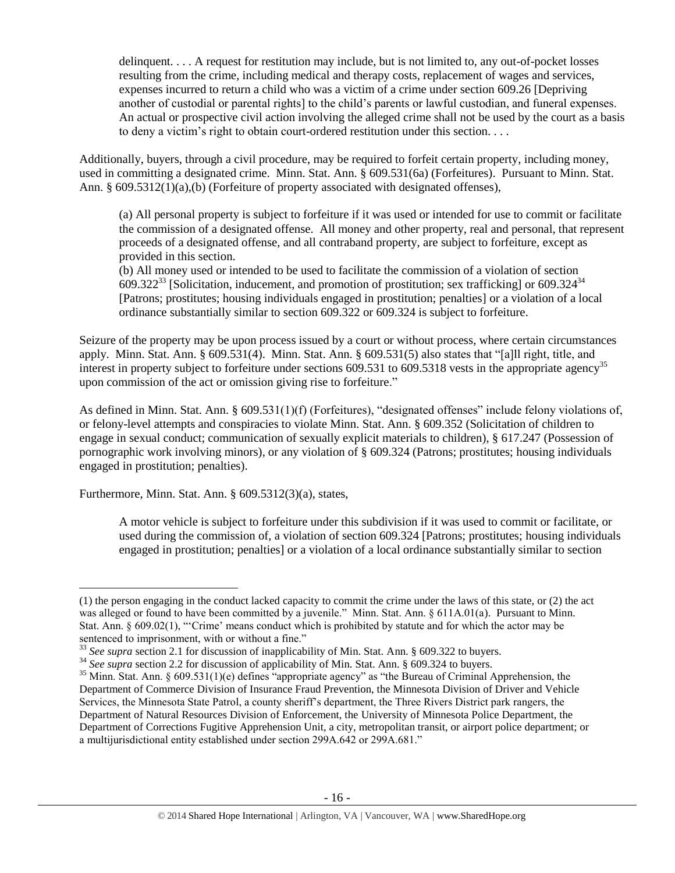delinquent. . . . A request for restitution may include, but is not limited to, any out-of-pocket losses resulting from the crime, including medical and therapy costs, replacement of wages and services, expenses incurred to return a child who was a victim of a crime under section 609.26 [Depriving another of custodial or parental rights] to the child's parents or lawful custodian, and funeral expenses. An actual or prospective civil action involving the alleged crime shall not be used by the court as a basis to deny a victim's right to obtain court-ordered restitution under this section. . . .

Additionally, buyers, through a civil procedure, may be required to forfeit certain property, including money, used in committing a designated crime. Minn. Stat. Ann. § 609.531(6a) (Forfeitures). Pursuant to Minn. Stat. Ann. § 609.5312(1)(a),(b) (Forfeiture of property associated with designated offenses),

(a) All personal property is subject to forfeiture if it was used or intended for use to commit or facilitate the commission of a designated offense. All money and other property, real and personal, that represent proceeds of a designated offense, and all contraband property, are subject to forfeiture, except as provided in this section.

<span id="page-15-0"></span>(b) All money used or intended to be used to facilitate the commission of a violation of section  $609.322^{33}$  [Solicitation, inducement, and promotion of prostitution; sex trafficking] or  $609.324^{34}$ [Patrons; prostitutes; housing individuals engaged in prostitution; penalties] or a violation of a local ordinance substantially similar to section 609.322 or 609.324 is subject to forfeiture.

Seizure of the property may be upon process issued by a court or without process, where certain circumstances apply. Minn. Stat. Ann. § 609.531(4). Minn. Stat. Ann. § 609.531(5) also states that "[a]ll right, title, and interest in property subject to forfeiture under sections  $609.531$  to  $609.5318$  vests in the appropriate agency<sup>35</sup> upon commission of the act or omission giving rise to forfeiture."

As defined in Minn. Stat. Ann. § 609.531(1)(f) (Forfeitures), "designated offenses" include felony violations of, or felony-level attempts and conspiracies to violate Minn. Stat. Ann. § 609.352 (Solicitation of children to engage in sexual conduct; communication of sexually explicit materials to children), § 617.247 (Possession of pornographic work involving minors), or any violation of § 609.324 (Patrons; prostitutes; housing individuals engaged in prostitution; penalties).

Furthermore, Minn. Stat. Ann. § 609.5312(3)(a), states,

A motor vehicle is subject to forfeiture under this subdivision if it was used to commit or facilitate, or used during the commission of, a violation of section 609.324 [Patrons; prostitutes; housing individuals engaged in prostitution; penalties] or a violation of a local ordinance substantially similar to section

 $\overline{\phantom{a}}$ (1) the person engaging in the conduct lacked capacity to commit the crime under the laws of this state, or (2) the act was alleged or found to have been committed by a juvenile." Minn. Stat. Ann. § 611A.01(a). Pursuant to Minn. Stat. Ann. § 609.02(1), "'Crime' means conduct which is prohibited by statute and for which the actor may be sentenced to imprisonment, with or without a fine."

<sup>&</sup>lt;sup>33</sup> See supra section 2.1 for discussion of inapplicability of Min. Stat. Ann. § 609.322 to buyers.

<sup>&</sup>lt;sup>34</sup> See supra section 2.2 for discussion of applicability of Min. Stat. Ann. § 609.324 to buyers.

<sup>35</sup> Minn. Stat. Ann. § 609.531(1)(e) defines "appropriate agency" as "the Bureau of Criminal Apprehension, the Department of Commerce Division of Insurance Fraud Prevention, the Minnesota Division of Driver and Vehicle Services, the Minnesota State Patrol, a county sheriff's department, the Three Rivers District park rangers, the Department of Natural Resources Division of Enforcement, the University of Minnesota Police Department, the Department of Corrections Fugitive Apprehension Unit, a city, metropolitan transit, or airport police department; or a multijurisdictional entity established under section 299A.642 or 299A.681."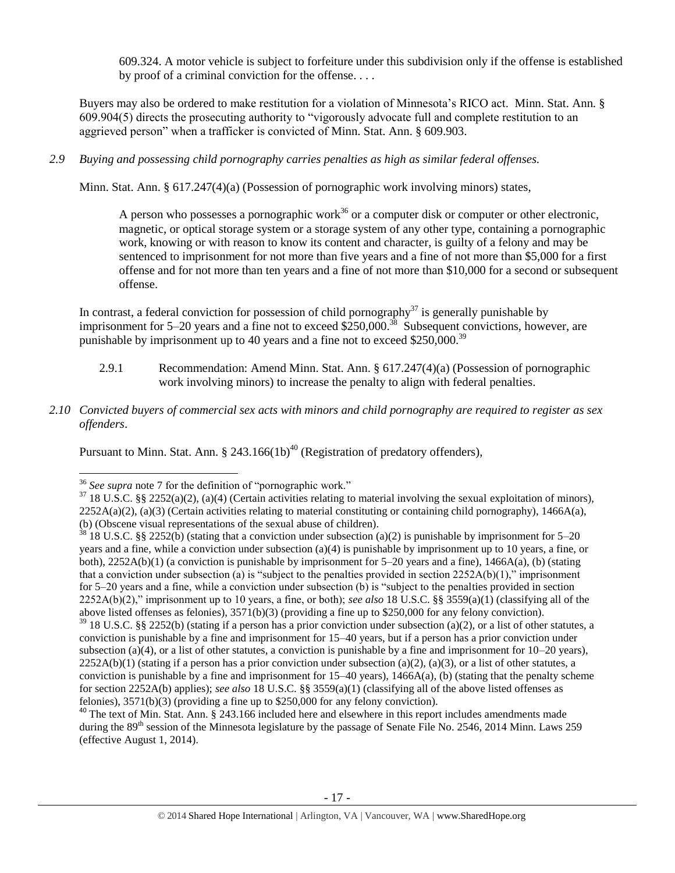609.324. A motor vehicle is subject to forfeiture under this subdivision only if the offense is established by proof of a criminal conviction for the offense. . . .

Buyers may also be ordered to make restitution for a violation of Minnesota's RICO act. Minn. Stat. Ann. § 609.904(5) directs the prosecuting authority to "vigorously advocate full and complete restitution to an aggrieved person" when a trafficker is convicted of Minn. Stat. Ann. § 609.903.

*2.9 Buying and possessing child pornography carries penalties as high as similar federal offenses.*

Minn. Stat. Ann. § 617.247(4)(a) (Possession of pornographic work involving minors) states,

A person who possesses a pornographic work<sup>36</sup> or a computer disk or computer or other electronic, magnetic, or optical storage system or a storage system of any other type, containing a pornographic work, knowing or with reason to know its content and character, is guilty of a felony and may be sentenced to imprisonment for not more than five years and a fine of not more than \$5,000 for a first offense and for not more than ten years and a fine of not more than \$10,000 for a second or subsequent offense.

In contrast, a federal conviction for possession of child pornography<sup>37</sup> is generally punishable by imprisonment for 5–20 years and a fine not to exceed  $$250,000.<sup>38</sup>$  Subsequent convictions, however, are punishable by imprisonment up to 40 years and a fine not to exceed \$250,000.<sup>39</sup>

- <span id="page-16-0"></span>2.9.1 Recommendation: Amend Minn. Stat. Ann. § 617.247(4)(a) (Possession of pornographic work involving minors) to increase the penalty to align with federal penalties.
- *2.10 Convicted buyers of commercial sex acts with minors and child pornography are required to register as sex offenders*.

Pursuant to Minn. Stat. Ann. § 243.166(1b)<sup>40</sup> (Registration of predatory offenders),

 $\overline{\phantom{a}}$ <sup>36</sup> *See supra* note [7](#page-3-1) for the definition of "pornographic work."

 $37$  18 U.S.C. §§ 2252(a)(2), (a)(4) (Certain activities relating to material involving the sexual exploitation of minors),  $2252A(a)(2)$ , (a)(3) (Certain activities relating to material constituting or containing child pornography), 1466A(a), (b) (Obscene visual representations of the sexual abuse of children).

<sup>&</sup>lt;sup>38</sup> 18 U.S.C. §§ 2252(b) (stating that a conviction under subsection (a)(2) is punishable by imprisonment for 5–20 years and a fine, while a conviction under subsection (a)(4) is punishable by imprisonment up to 10 years, a fine, or both), 2252A(b)(1) (a conviction is punishable by imprisonment for 5–20 years and a fine), 1466A(a), (b) (stating that a conviction under subsection (a) is "subject to the penalties provided in section  $2252A(b)(1)$ ," imprisonment for 5–20 years and a fine, while a conviction under subsection (b) is "subject to the penalties provided in section 2252A(b)(2)," imprisonment up to 10 years, a fine, or both); *see also* 18 U.S.C. §§ 3559(a)(1) (classifying all of the above listed offenses as felonies), 3571(b)(3) (providing a fine up to \$250,000 for any felony conviction).

 $39$  18 U.S.C. §§ 2252(b) (stating if a person has a prior conviction under subsection (a)(2), or a list of other statutes, a conviction is punishable by a fine and imprisonment for 15–40 years, but if a person has a prior conviction under subsection (a)(4), or a list of other statutes, a conviction is punishable by a fine and imprisonment for  $10-20$  years),  $2252A(b)(1)$  (stating if a person has a prior conviction under subsection (a)(2), (a)(3), or a list of other statutes, a conviction is punishable by a fine and imprisonment for  $15-40$  years),  $1466A(a)$ , (b) (stating that the penalty scheme for section 2252A(b) applies); *see also* 18 U.S.C. §§ 3559(a)(1) (classifying all of the above listed offenses as felonies), 3571(b)(3) (providing a fine up to \$250,000 for any felony conviction).

<sup>&</sup>lt;sup>40</sup> The text of Min. Stat. Ann. § 243.166 included here and elsewhere in this report includes amendments made during the  $89<sup>th</sup>$  session of the Minnesota legislature by the passage of Senate File No. 2546, 2014 Minn. Laws 259 (effective August 1, 2014).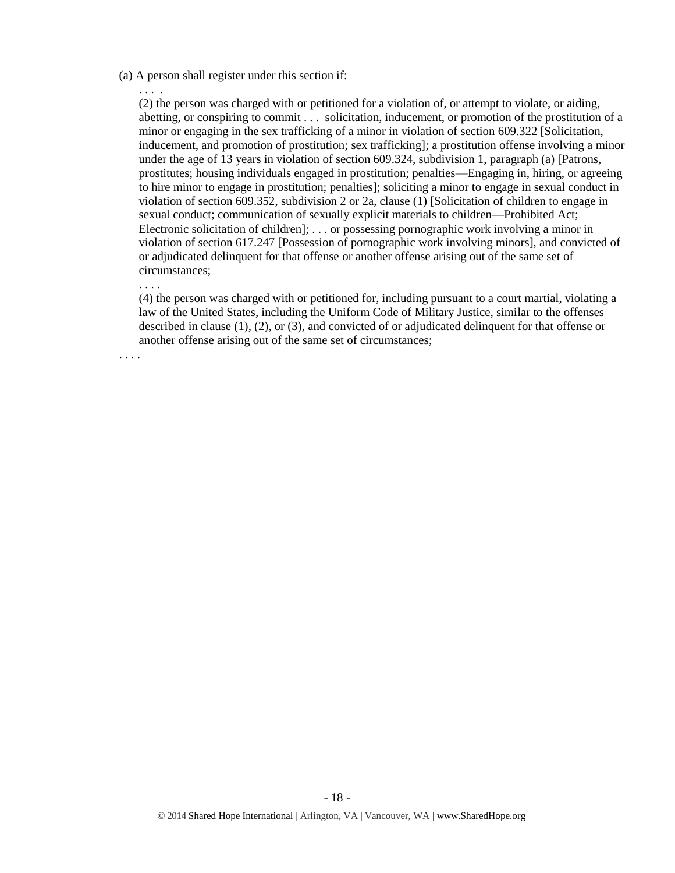#### (a) A person shall register under this section if:

. . . . (2) the person was charged with or petitioned for a violation of, or attempt to violate, or aiding, abetting, or conspiring to commit . . . solicitation, inducement, or promotion of the prostitution of a minor or engaging in the sex trafficking of a minor in violation of section 609.322 [Solicitation, inducement, and promotion of prostitution; sex trafficking]; a prostitution offense involving a minor under the age of 13 years in violation of section 609.324, subdivision 1, paragraph (a) [Patrons, prostitutes; housing individuals engaged in prostitution; penalties—Engaging in, hiring, or agreeing to hire minor to engage in prostitution; penalties]; soliciting a minor to engage in sexual conduct in violation of section 609.352, subdivision 2 or 2a, clause (1) [Solicitation of children to engage in sexual conduct; communication of sexually explicit materials to children—Prohibited Act; Electronic solicitation of children]; . . . or possessing pornographic work involving a minor in violation of section 617.247 [Possession of pornographic work involving minors], and convicted of or adjudicated delinquent for that offense or another offense arising out of the same set of circumstances;

(4) the person was charged with or petitioned for, including pursuant to a court martial, violating a law of the United States, including the Uniform Code of Military Justice, similar to the offenses described in clause (1), (2), or (3), and convicted of or adjudicated delinquent for that offense or another offense arising out of the same set of circumstances;

. . . .

. . . .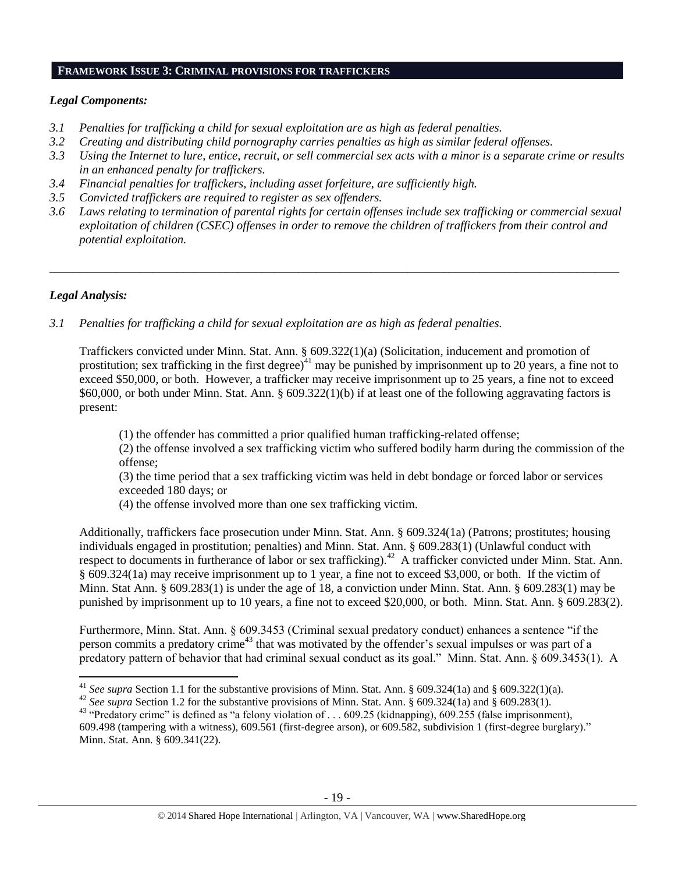#### **FRAMEWORK ISSUE 3: CRIMINAL PROVISIONS FOR TRAFFICKERS**

## *Legal Components:*

- *3.1 Penalties for trafficking a child for sexual exploitation are as high as federal penalties.*
- *3.2 Creating and distributing child pornography carries penalties as high as similar federal offenses.*
- *3.3 Using the Internet to lure, entice, recruit, or sell commercial sex acts with a minor is a separate crime or results in an enhanced penalty for traffickers.*
- *3.4 Financial penalties for traffickers, including asset forfeiture, are sufficiently high.*
- *3.5 Convicted traffickers are required to register as sex offenders.*
- *3.6 Laws relating to termination of parental rights for certain offenses include sex trafficking or commercial sexual exploitation of children (CSEC) offenses in order to remove the children of traffickers from their control and potential exploitation.*

*\_\_\_\_\_\_\_\_\_\_\_\_\_\_\_\_\_\_\_\_\_\_\_\_\_\_\_\_\_\_\_\_\_\_\_\_\_\_\_\_\_\_\_\_\_\_\_\_\_\_\_\_\_\_\_\_\_\_\_\_\_\_\_\_\_\_\_\_\_\_\_\_\_\_\_\_\_\_\_\_\_\_\_\_\_\_\_\_\_\_\_\_\_\_*

# *Legal Analysis:*

*3.1 Penalties for trafficking a child for sexual exploitation are as high as federal penalties.* 

Traffickers convicted under Minn. Stat. Ann. § 609.322(1)(a) (Solicitation, inducement and promotion of prostitution; sex trafficking in the first degree)<sup>41</sup> may be punished by imprisonment up to 20 years, a fine not to exceed \$50,000, or both. However, a trafficker may receive imprisonment up to 25 years, a fine not to exceed \$60,000, or both under Minn. Stat. Ann. §  $609.322(1)(b)$  if at least one of the following aggravating factors is present:

(1) the offender has committed a prior qualified human trafficking-related offense;

(2) the offense involved a sex trafficking victim who suffered bodily harm during the commission of the offense;

(3) the time period that a sex trafficking victim was held in debt bondage or forced labor or services exceeded 180 days; or

(4) the offense involved more than one sex trafficking victim.

Additionally, traffickers face prosecution under Minn. Stat. Ann. § 609.324(1a) (Patrons; prostitutes; housing individuals engaged in prostitution; penalties) and Minn. Stat. Ann. § 609.283(1) (Unlawful conduct with respect to documents in furtherance of labor or sex trafficking).<sup>42</sup> A trafficker convicted under Minn. Stat. Ann. § 609.324(1a) may receive imprisonment up to 1 year, a fine not to exceed \$3,000, or both. If the victim of Minn. Stat Ann. § 609.283(1) is under the age of 18, a conviction under Minn. Stat. Ann. § 609.283(1) may be punished by imprisonment up to 10 years, a fine not to exceed \$20,000, or both. Minn. Stat. Ann. § 609.283(2).

Furthermore, Minn. Stat. Ann. § 609.3453 (Criminal sexual predatory conduct) enhances a sentence "if the person commits a predatory crime<sup>43</sup> that was motivated by the offender's sexual impulses or was part of a predatory pattern of behavior that had criminal sexual conduct as its goal." Minn. Stat. Ann. § 609.3453(1). A

 $\overline{\phantom{a}}$ <sup>41</sup> *See supra* Section 1.1 for the substantive provisions of Minn. Stat. Ann. § 609.324(1a) and § 609.322(1)(a).

<sup>&</sup>lt;sup>42</sup> See supra Section 1.2 for the substantive provisions of Minn. Stat. Ann. § 609.324(1a) and § 609.283(1).

<sup>&</sup>lt;sup>43</sup> "Predatory crime" is defined as "a felony violation of . . . 609.25 (kidnapping), 609.255 (false imprisonment), 609.498 (tampering with a witness), 609.561 (first-degree arson), or 609.582, subdivision 1 (first-degree burglary)." Minn. Stat. Ann. § 609.341(22).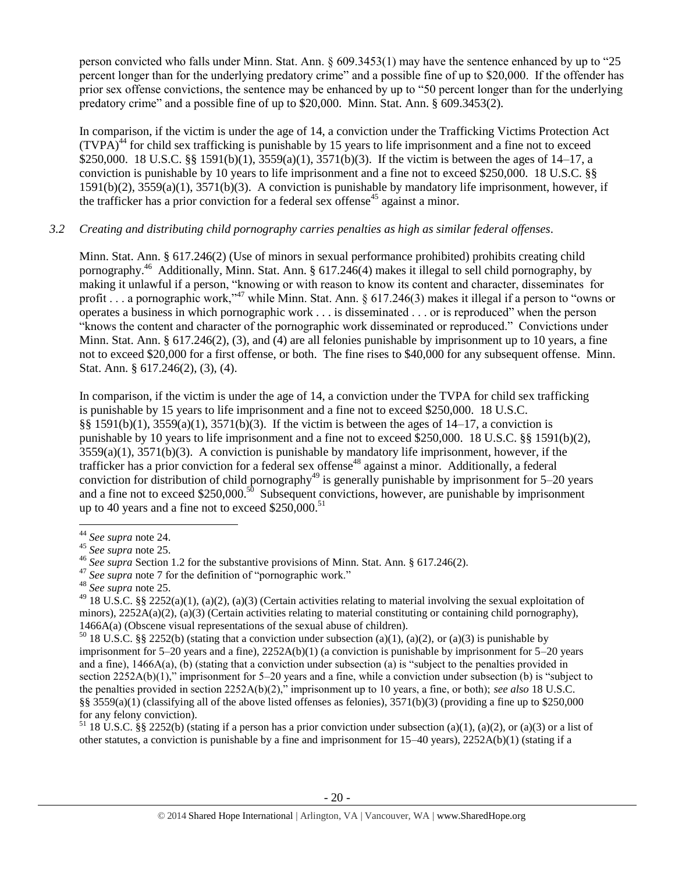person convicted who falls under Minn. Stat. Ann. § 609.3453(1) may have the sentence enhanced by up to "25 percent longer than for the underlying predatory crime" and a possible fine of up to \$20,000. If the offender has prior sex offense convictions, the sentence may be enhanced by up to "50 percent longer than for the underlying predatory crime" and a possible fine of up to \$20,000. Minn. Stat. Ann. § 609.3453(2).

In comparison, if the victim is under the age of 14, a conviction under the Trafficking Victims Protection Act  $(TVPA)<sup>44</sup>$  for child sex trafficking is punishable by 15 years to life imprisonment and a fine not to exceed \$250,000. 18 U.S.C. §§ 1591(b)(1), 3559(a)(1), 3571(b)(3). If the victim is between the ages of 14–17, a conviction is punishable by 10 years to life imprisonment and a fine not to exceed \$250,000. 18 U.S.C. §§ 1591(b)(2), 3559(a)(1), 3571(b)(3). A conviction is punishable by mandatory life imprisonment, however, if the trafficker has a prior conviction for a federal sex offense<sup>45</sup> against a minor.

# *3.2 Creating and distributing child pornography carries penalties as high as similar federal offenses*.

Minn. Stat. Ann. § 617.246(2) (Use of minors in sexual performance prohibited) prohibits creating child pornography.<sup>46</sup> Additionally, Minn. Stat. Ann. § 617.246(4) makes it illegal to sell child pornography, by making it unlawful if a person, "knowing or with reason to know its content and character, disseminates for profit . . . a pornographic work,"<sup>47</sup> while Minn. Stat. Ann. § 617.246(3) makes it illegal if a person to "owns or operates a business in which pornographic work . . . is disseminated . . . or is reproduced" when the person "knows the content and character of the pornographic work disseminated or reproduced." Convictions under Minn. Stat. Ann. § 617.246(2), (3), and (4) are all felonies punishable by imprisonment up to 10 years, a fine not to exceed \$20,000 for a first offense, or both. The fine rises to \$40,000 for any subsequent offense. Minn. Stat. Ann. § 617.246(2), (3), (4).

In comparison, if the victim is under the age of 14, a conviction under the TVPA for child sex trafficking is punishable by 15 years to life imprisonment and a fine not to exceed \$250,000. 18 U.S.C. §§ 1591(b)(1), 3559(a)(1), 3571(b)(3). If the victim is between the ages of 14–17, a conviction is punishable by 10 years to life imprisonment and a fine not to exceed \$250,000. 18 U.S.C. §§ 1591(b)(2),  $3559(a)(1)$ ,  $3571(b)(3)$ . A conviction is punishable by mandatory life imprisonment, however, if the trafficker has a prior conviction for a federal sex offense<sup>48</sup> against a minor. Additionally, a federal conviction for distribution of child pornography<sup>49</sup> is generally punishable by imprisonment for 5–20 years and a fine not to exceed \$250,000.<sup>50</sup> Subsequent convictions, however, are punishable by imprisonment up to 40 years and a fine not to exceed  $$250,000$ .<sup>51</sup>

l

<sup>51</sup> 18 U.S.C. §§ 2252(b) (stating if a person has a prior conviction under subsection (a)(1), (a)(2), or (a)(3) or a list of other statutes, a conviction is punishable by a fine and imprisonment for 15–40 years), 2252A(b)(1) (stating if a

<sup>44</sup> *See supra* note [24.](#page-12-0)

<sup>45</sup> *See supra* note [25.](#page-12-1) 

<sup>46</sup> *See supra* Section 1.2 for the substantive provisions of Minn. Stat. Ann. § 617.246(2).

<sup>&</sup>lt;sup>47</sup> See supra note [7](#page-3-1) for the definition of "pornographic work."

<sup>48</sup> *See supra* note [25.](#page-12-1)

<sup>&</sup>lt;sup>49</sup> 18 U.S.C. §§ 2252(a)(1), (a)(2), (a)(3) (Certain activities relating to material involving the sexual exploitation of minors),  $2252A(a)(2)$ , (a)(3) (Certain activities relating to material constituting or containing child pornography), 1466A(a) (Obscene visual representations of the sexual abuse of children).

<sup>&</sup>lt;sup>50</sup> 18 U.S.C. §§ 2252(b) (stating that a conviction under subsection (a)(1), (a)(2), or (a)(3) is punishable by imprisonment for 5–20 years and a fine), 2252A(b)(1) (a conviction is punishable by imprisonment for 5–20 years and a fine), 1466A(a), (b) (stating that a conviction under subsection (a) is "subject to the penalties provided in section 2252A(b)(1)," imprisonment for 5–20 years and a fine, while a conviction under subsection (b) is "subject to the penalties provided in section 2252A(b)(2)," imprisonment up to 10 years, a fine, or both); *see also* 18 U.S.C. §§ 3559(a)(1) (classifying all of the above listed offenses as felonies),  $3571(b)(3)$  (providing a fine up to \$250,000 for any felony conviction).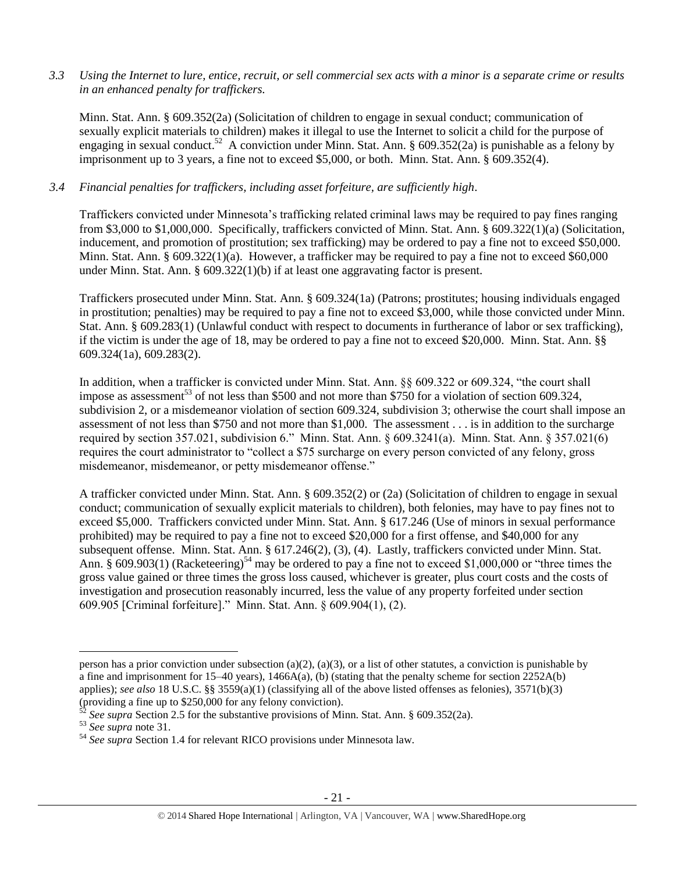*3.3 Using the Internet to lure, entice, recruit, or sell commercial sex acts with a minor is a separate crime or results in an enhanced penalty for traffickers.*

Minn. Stat. Ann. § 609.352(2a) (Solicitation of children to engage in sexual conduct; communication of sexually explicit materials to children) makes it illegal to use the Internet to solicit a child for the purpose of engaging in sexual conduct.<sup>52</sup> A conviction under Minn. Stat. Ann. § 609.352(2a) is punishable as a felony by imprisonment up to 3 years, a fine not to exceed \$5,000, or both. Minn. Stat. Ann. § 609.352(4).

### *3.4 Financial penalties for traffickers, including asset forfeiture, are sufficiently high*.

Traffickers convicted under Minnesota's trafficking related criminal laws may be required to pay fines ranging from \$3,000 to \$1,000,000. Specifically, traffickers convicted of Minn. Stat. Ann. § 609.322(1)(a) (Solicitation, inducement, and promotion of prostitution; sex trafficking) may be ordered to pay a fine not to exceed \$50,000. Minn. Stat. Ann.  $\S 609.322(1)(a)$ . However, a trafficker may be required to pay a fine not to exceed \$60,000 under Minn. Stat. Ann. § 609.322(1)(b) if at least one aggravating factor is present.

Traffickers prosecuted under Minn. Stat. Ann. § 609.324(1a) (Patrons; prostitutes; housing individuals engaged in prostitution; penalties) may be required to pay a fine not to exceed \$3,000, while those convicted under Minn. Stat. Ann. § 609.283(1) (Unlawful conduct with respect to documents in furtherance of labor or sex trafficking), if the victim is under the age of 18, may be ordered to pay a fine not to exceed \$20,000. Minn. Stat. Ann. §§ 609.324(1a), 609.283(2).

In addition, when a trafficker is convicted under Minn. Stat. Ann. §§ 609.322 or 609.324, "the court shall impose as assessment<sup>53</sup> of not less than \$500 and not more than \$750 for a violation of section 609.324, subdivision 2, or a misdemeanor violation of section 609.324, subdivision 3; otherwise the court shall impose an assessment of not less than \$750 and not more than \$1,000. The assessment . . . is in addition to the surcharge required by section 357.021, subdivision 6." Minn. Stat. Ann. § 609.3241(a). Minn. Stat. Ann. § 357.021(6) requires the court administrator to "collect a \$75 surcharge on every person convicted of any felony, gross misdemeanor, misdemeanor, or petty misdemeanor offense."

A trafficker convicted under Minn. Stat. Ann. § 609.352(2) or (2a) (Solicitation of children to engage in sexual conduct; communication of sexually explicit materials to children), both felonies, may have to pay fines not to exceed \$5,000. Traffickers convicted under Minn. Stat. Ann. § 617.246 (Use of minors in sexual performance prohibited) may be required to pay a fine not to exceed \$20,000 for a first offense, and \$40,000 for any subsequent offense. Minn. Stat. Ann. § 617.246(2), (3), (4). Lastly, traffickers convicted under Minn. Stat. Ann. § 609.903(1) (Racketeering)<sup>54</sup> may be ordered to pay a fine not to exceed \$1,000,000 or "three times the gross value gained or three times the gross loss caused, whichever is greater, plus court costs and the costs of investigation and prosecution reasonably incurred, less the value of any property forfeited under section 609.905 [Criminal forfeiture]." Minn. Stat. Ann. § 609.904(1), (2).

 $\overline{\phantom{a}}$ 

person has a prior conviction under subsection (a)(2), (a)(3), or a list of other statutes, a conviction is punishable by a fine and imprisonment for  $15-40$  years),  $1466A(a)$ , (b) (stating that the penalty scheme for section  $2252A(b)$ applies); *see also* 18 U.S.C. §§ 3559(a)(1) (classifying all of the above listed offenses as felonies), 3571(b)(3) (providing a fine up to \$250,000 for any felony conviction).

<sup>52</sup> *See supra* Section 2.5 for the substantive provisions of Minn. Stat. Ann. § 609.352(2a).

<sup>53</sup> *See supra* note [31.](#page-14-0)

<sup>54</sup> *See supra* Section 1.4 for relevant RICO provisions under Minnesota law.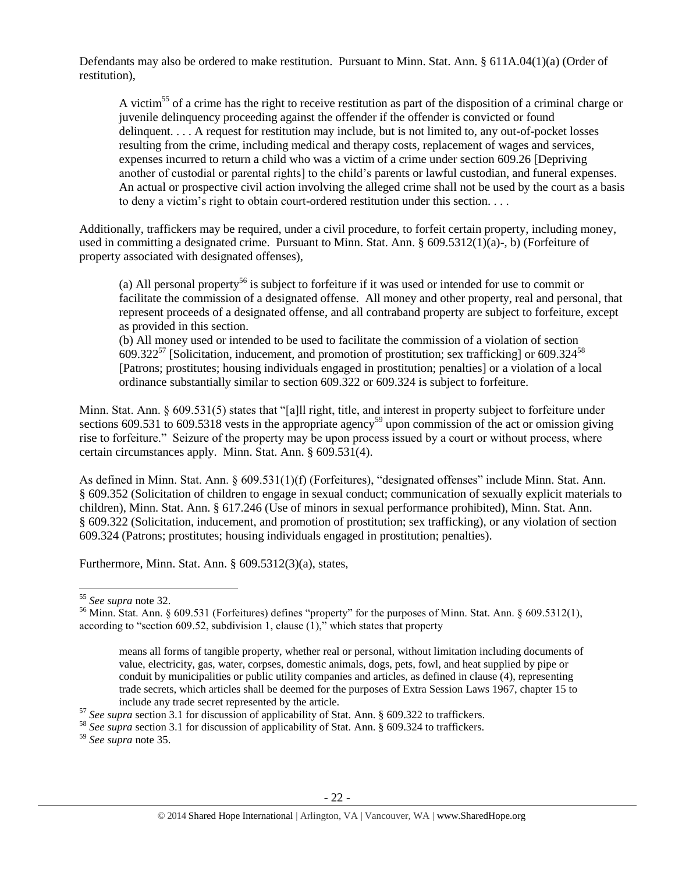Defendants may also be ordered to make restitution. Pursuant to Minn. Stat. Ann. § 611A.04(1)(a) (Order of restitution),

A victim<sup>55</sup> of a crime has the right to receive restitution as part of the disposition of a criminal charge or juvenile delinquency proceeding against the offender if the offender is convicted or found delinquent. . . . A request for restitution may include, but is not limited to, any out-of-pocket losses resulting from the crime, including medical and therapy costs, replacement of wages and services, expenses incurred to return a child who was a victim of a crime under section 609.26 [Depriving another of custodial or parental rights] to the child's parents or lawful custodian, and funeral expenses. An actual or prospective civil action involving the alleged crime shall not be used by the court as a basis to deny a victim's right to obtain court-ordered restitution under this section. . . .

Additionally, traffickers may be required, under a civil procedure, to forfeit certain property, including money, used in committing a designated crime. Pursuant to Minn. Stat. Ann. § 609.5312(1)(a)-, b) (Forfeiture of property associated with designated offenses),

(a) All personal property<sup>56</sup> is subject to forfeiture if it was used or intended for use to commit or facilitate the commission of a designated offense. All money and other property, real and personal, that represent proceeds of a designated offense, and all contraband property are subject to forfeiture, except as provided in this section.

(b) All money used or intended to be used to facilitate the commission of a violation of section 609.322<sup>57</sup> [Solicitation, inducement, and promotion of prostitution; sex trafficking] or 609.324<sup>58</sup> [Patrons; prostitutes; housing individuals engaged in prostitution; penalties] or a violation of a local ordinance substantially similar to section 609.322 or 609.324 is subject to forfeiture.

Minn. Stat. Ann. § 609.531(5) states that "[a]ll right, title, and interest in property subject to forfeiture under sections  $609.531$  to  $609.5318$  vests in the appropriate agency<sup>59</sup> upon commission of the act or omission giving rise to forfeiture." Seizure of the property may be upon process issued by a court or without process, where certain circumstances apply. Minn. Stat. Ann. § 609.531(4).

As defined in Minn. Stat. Ann. § 609.531(1)(f) (Forfeitures), "designated offenses" include Minn. Stat. Ann. § 609.352 (Solicitation of children to engage in sexual conduct; communication of sexually explicit materials to children), Minn. Stat. Ann. § 617.246 (Use of minors in sexual performance prohibited), Minn. Stat. Ann. § 609.322 (Solicitation, inducement, and promotion of prostitution; sex trafficking), or any violation of section 609.324 (Patrons; prostitutes; housing individuals engaged in prostitution; penalties).

Furthermore, Minn. Stat. Ann. § 609.5312(3)(a), states,

 $\overline{\phantom{a}}$ 

<sup>55</sup> *See supra* note [32.](#page-14-1)

<sup>56</sup> Minn. Stat. Ann. § 609.531 (Forfeitures) defines "property" for the purposes of Minn. Stat. Ann. § 609.5312(1), according to "section 609.52, subdivision 1, clause (1)," which states that property

means all forms of tangible property, whether real or personal, without limitation including documents of value, electricity, gas, water, corpses, domestic animals, dogs, pets, fowl, and heat supplied by pipe or conduit by municipalities or public utility companies and articles, as defined in clause (4), representing trade secrets, which articles shall be deemed for the purposes of Extra Session Laws 1967, chapter 15 to include any trade secret represented by the article.

<sup>57</sup> *See supra* section 3.1 for discussion of applicability of Stat. Ann. § 609.322 to traffickers.

<sup>58</sup> *See supra* section 3.1 for discussion of applicability of Stat. Ann. § 609.324 to traffickers.

<sup>59</sup> *See supra* note [35.](#page-15-0)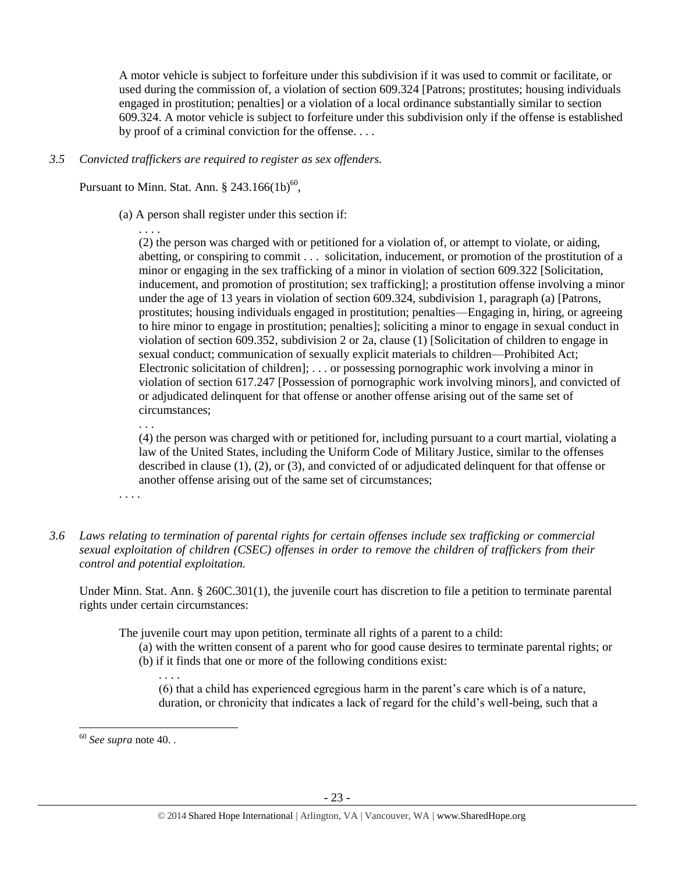A motor vehicle is subject to forfeiture under this subdivision if it was used to commit or facilitate, or used during the commission of, a violation of section 609.324 [Patrons; prostitutes; housing individuals engaged in prostitution; penalties] or a violation of a local ordinance substantially similar to section 609.324. A motor vehicle is subject to forfeiture under this subdivision only if the offense is established by proof of a criminal conviction for the offense. . . .

*3.5 Convicted traffickers are required to register as sex offenders.*

Pursuant to Minn. Stat. Ann.  $\S 243.166(1b)^{60}$ ,

(a) A person shall register under this section if:

. . . . (2) the person was charged with or petitioned for a violation of, or attempt to violate, or aiding, abetting, or conspiring to commit . . . solicitation, inducement, or promotion of the prostitution of a minor or engaging in the sex trafficking of a minor in violation of section 609.322 [Solicitation, inducement, and promotion of prostitution; sex trafficking]; a prostitution offense involving a minor under the age of 13 years in violation of section 609.324, subdivision 1, paragraph (a) [Patrons, prostitutes; housing individuals engaged in prostitution; penalties—Engaging in, hiring, or agreeing to hire minor to engage in prostitution; penalties]; soliciting a minor to engage in sexual conduct in violation of section 609.352, subdivision 2 or 2a, clause (1) [Solicitation of children to engage in sexual conduct; communication of sexually explicit materials to children—Prohibited Act; Electronic solicitation of children]; . . . or possessing pornographic work involving a minor in violation of section 617.247 [Possession of pornographic work involving minors], and convicted of or adjudicated delinquent for that offense or another offense arising out of the same set of circumstances;

. . .

(4) the person was charged with or petitioned for, including pursuant to a court martial, violating a law of the United States, including the Uniform Code of Military Justice, similar to the offenses described in clause (1), (2), or (3), and convicted of or adjudicated delinquent for that offense or another offense arising out of the same set of circumstances;

. . . .

*3.6 Laws relating to termination of parental rights for certain offenses include sex trafficking or commercial sexual exploitation of children (CSEC) offenses in order to remove the children of traffickers from their control and potential exploitation.* 

Under Minn. Stat. Ann. § 260C.301(1), the juvenile court has discretion to file a petition to terminate parental rights under certain circumstances:

The juvenile court may upon petition, terminate all rights of a parent to a child:

- (a) with the written consent of a parent who for good cause desires to terminate parental rights; or
	- (b) if it finds that one or more of the following conditions exist:

(6) that a child has experienced egregious harm in the parent's care which is of a nature, duration, or chronicity that indicates a lack of regard for the child's well-being, such that a

 $\overline{a}$ 

. . . .

<sup>60</sup> *See supra* note [40.](#page-16-0) .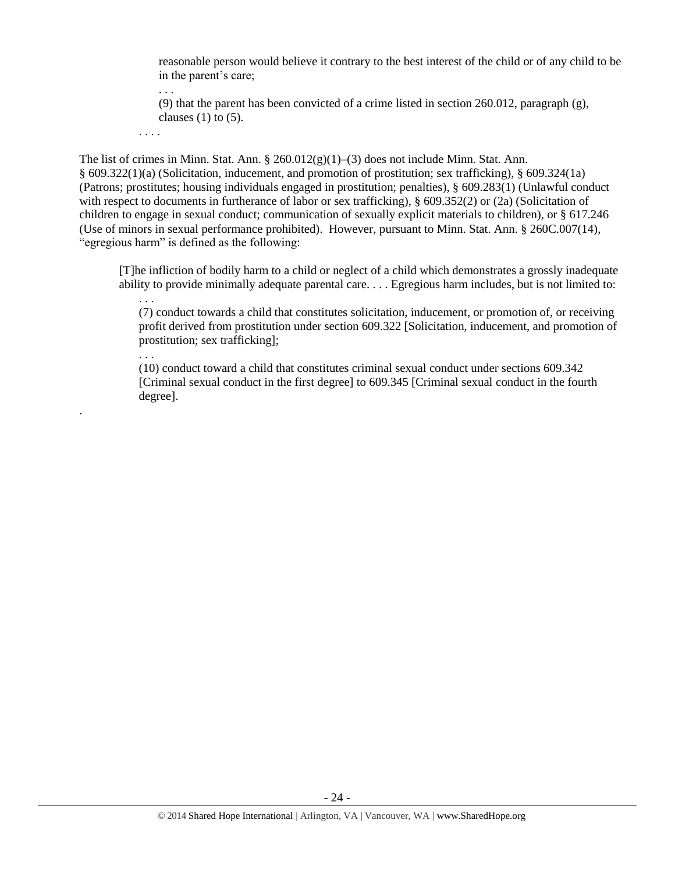reasonable person would believe it contrary to the best interest of the child or of any child to be in the parent's care;

. . . (9) that the parent has been convicted of a crime listed in section 260.012, paragraph (g), clauses  $(1)$  to  $(5)$ .

. . . .

. . .

.

The list of crimes in Minn. Stat. Ann.  $\S 260.012(g)(1)–(3)$  does not include Minn. Stat. Ann. § 609.322(1)(a) (Solicitation, inducement, and promotion of prostitution; sex trafficking), § 609.324(1a) (Patrons; prostitutes; housing individuals engaged in prostitution; penalties), § 609.283(1) (Unlawful conduct with respect to documents in furtherance of labor or sex trafficking), § 609.352(2) or (2a) (Solicitation of children to engage in sexual conduct; communication of sexually explicit materials to children), or § 617.246 (Use of minors in sexual performance prohibited). However, pursuant to Minn. Stat. Ann. § 260C.007(14), "egregious harm" is defined as the following:

[T]he infliction of bodily harm to a child or neglect of a child which demonstrates a grossly inadequate ability to provide minimally adequate parental care. . . . Egregious harm includes, but is not limited to:

. . . (7) conduct towards a child that constitutes solicitation, inducement, or promotion of, or receiving profit derived from prostitution under section 609.322 [Solicitation, inducement, and promotion of prostitution; sex trafficking];

(10) conduct toward a child that constitutes criminal sexual conduct under sections 609.342 [Criminal sexual conduct in the first degree] to 609.345 [Criminal sexual conduct in the fourth degree].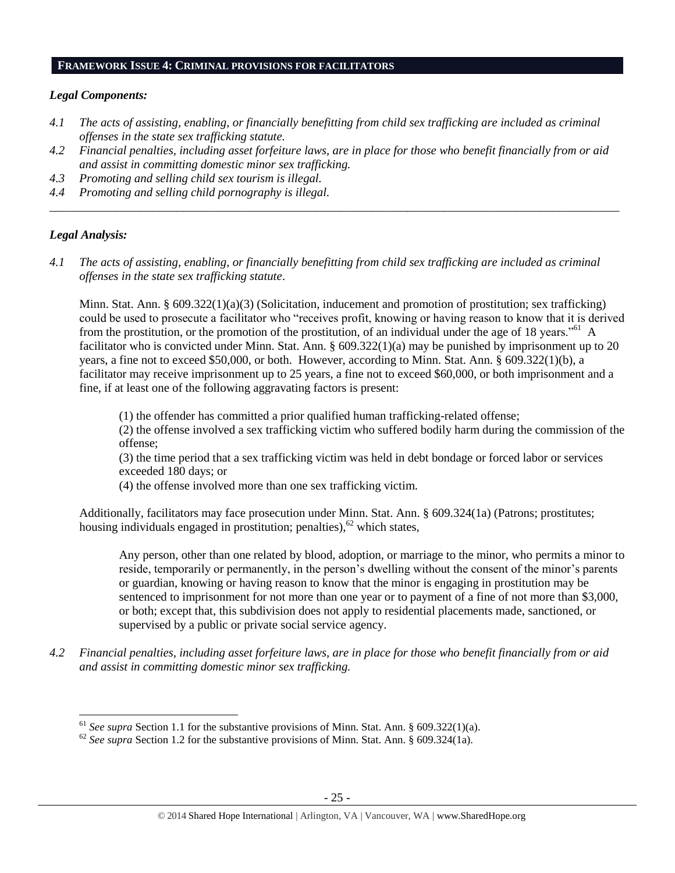#### **FRAMEWORK ISSUE 4: CRIMINAL PROVISIONS FOR FACILITATORS**

#### *Legal Components:*

- *4.1 The acts of assisting, enabling, or financially benefitting from child sex trafficking are included as criminal offenses in the state sex trafficking statute.*
- *4.2 Financial penalties, including asset forfeiture laws, are in place for those who benefit financially from or aid and assist in committing domestic minor sex trafficking.*

*\_\_\_\_\_\_\_\_\_\_\_\_\_\_\_\_\_\_\_\_\_\_\_\_\_\_\_\_\_\_\_\_\_\_\_\_\_\_\_\_\_\_\_\_\_\_\_\_\_\_\_\_\_\_\_\_\_\_\_\_\_\_\_\_\_\_\_\_\_\_\_\_\_\_\_\_\_\_\_\_\_\_\_\_\_\_\_\_\_\_\_\_\_\_*

- *4.3 Promoting and selling child sex tourism is illegal.*
- *4.4 Promoting and selling child pornography is illegal.*

### *Legal Analysis:*

l

*4.1 The acts of assisting, enabling, or financially benefitting from child sex trafficking are included as criminal offenses in the state sex trafficking statute*.

Minn. Stat. Ann. § 609.322(1)(a)(3) (Solicitation, inducement and promotion of prostitution; sex trafficking) could be used to prosecute a facilitator who "receives profit, knowing or having reason to know that it is derived from the prostitution, or the promotion of the prostitution, of an individual under the age of 18 years.<sup>561</sup> A facilitator who is convicted under Minn. Stat. Ann. § 609.322(1)(a) may be punished by imprisonment up to 20 years, a fine not to exceed \$50,000, or both. However, according to Minn. Stat. Ann. § 609.322(1)(b), a facilitator may receive imprisonment up to 25 years, a fine not to exceed \$60,000, or both imprisonment and a fine, if at least one of the following aggravating factors is present:

(1) the offender has committed a prior qualified human trafficking-related offense;

(2) the offense involved a sex trafficking victim who suffered bodily harm during the commission of the offense;

(3) the time period that a sex trafficking victim was held in debt bondage or forced labor or services exceeded 180 days; or

(4) the offense involved more than one sex trafficking victim.

Additionally, facilitators may face prosecution under Minn. Stat. Ann. § 609.324(1a) (Patrons; prostitutes; housing individuals engaged in prostitution; penalties), $62$  which states,

Any person, other than one related by blood, adoption, or marriage to the minor, who permits a minor to reside, temporarily or permanently, in the person's dwelling without the consent of the minor's parents or guardian, knowing or having reason to know that the minor is engaging in prostitution may be sentenced to imprisonment for not more than one year or to payment of a fine of not more than \$3,000, or both; except that, this subdivision does not apply to residential placements made, sanctioned, or supervised by a public or private social service agency.

*4.2 Financial penalties, including asset forfeiture laws, are in place for those who benefit financially from or aid and assist in committing domestic minor sex trafficking.*

<sup>61</sup> *See supra* Section 1.1 for the substantive provisions of Minn. Stat. Ann. § 609.322(1)(a).

<sup>&</sup>lt;sup>62</sup> See supra Section 1.2 for the substantive provisions of Minn. Stat. Ann. § 609.324(1a).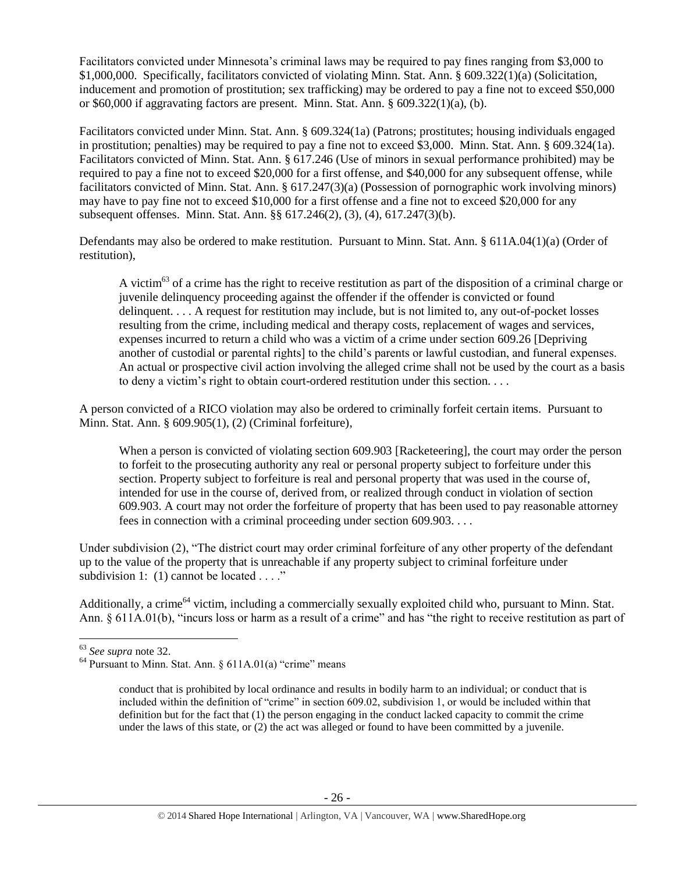Facilitators convicted under Minnesota's criminal laws may be required to pay fines ranging from \$3,000 to \$1,000,000. Specifically, facilitators convicted of violating Minn. Stat. Ann. § 609.322(1)(a) (Solicitation, inducement and promotion of prostitution; sex trafficking) may be ordered to pay a fine not to exceed \$50,000 or \$60,000 if aggravating factors are present. Minn. Stat. Ann. § 609.322(1)(a), (b).

Facilitators convicted under Minn. Stat. Ann. § 609.324(1a) (Patrons; prostitutes; housing individuals engaged in prostitution; penalties) may be required to pay a fine not to exceed \$3,000. Minn. Stat. Ann. § 609.324(1a). Facilitators convicted of Minn. Stat. Ann. § 617.246 (Use of minors in sexual performance prohibited) may be required to pay a fine not to exceed \$20,000 for a first offense, and \$40,000 for any subsequent offense, while facilitators convicted of Minn. Stat. Ann. § 617.247(3)(a) (Possession of pornographic work involving minors) may have to pay fine not to exceed \$10,000 for a first offense and a fine not to exceed \$20,000 for any subsequent offenses. Minn. Stat. Ann. §§ 617.246(2), (3), (4), 617.247(3)(b).

Defendants may also be ordered to make restitution. Pursuant to Minn. Stat. Ann. § 611A.04(1)(a) (Order of restitution),

A victim $^{63}$  of a crime has the right to receive restitution as part of the disposition of a criminal charge or juvenile delinquency proceeding against the offender if the offender is convicted or found delinquent. . . . A request for restitution may include, but is not limited to, any out-of-pocket losses resulting from the crime, including medical and therapy costs, replacement of wages and services, expenses incurred to return a child who was a victim of a crime under section 609.26 [Depriving another of custodial or parental rights] to the child's parents or lawful custodian, and funeral expenses. An actual or prospective civil action involving the alleged crime shall not be used by the court as a basis to deny a victim's right to obtain court-ordered restitution under this section. . . .

A person convicted of a RICO violation may also be ordered to criminally forfeit certain items. Pursuant to Minn. Stat. Ann. § 609.905(1), (2) (Criminal forfeiture),

When a person is convicted of violating section 609.903 [Racketeering], the court may order the person to forfeit to the prosecuting authority any real or personal property subject to forfeiture under this section. Property subject to forfeiture is real and personal property that was used in the course of, intended for use in the course of, derived from, or realized through conduct in violation of section 609.903. A court may not order the forfeiture of property that has been used to pay reasonable attorney fees in connection with a criminal proceeding under section 609.903. . . .

Under subdivision (2), "The district court may order criminal forfeiture of any other property of the defendant up to the value of the property that is unreachable if any property subject to criminal forfeiture under subdivision 1: (1) cannot be located . . . ."

Additionally, a crime<sup>64</sup> victim, including a commercially sexually exploited child who, pursuant to Minn. Stat. Ann. § 611A.01(b), "incurs loss or harm as a result of a crime" and has "the right to receive restitution as part of

 $\overline{a}$ <sup>63</sup> *See supra* note [32.](#page-14-1)

 $64$  Pursuant to Minn. Stat. Ann. § 611A.01(a) "crime" means

conduct that is prohibited by local ordinance and results in bodily harm to an individual; or conduct that is included within the definition of "crime" in section 609.02, subdivision 1, or would be included within that definition but for the fact that (1) the person engaging in the conduct lacked capacity to commit the crime under the laws of this state, or (2) the act was alleged or found to have been committed by a juvenile.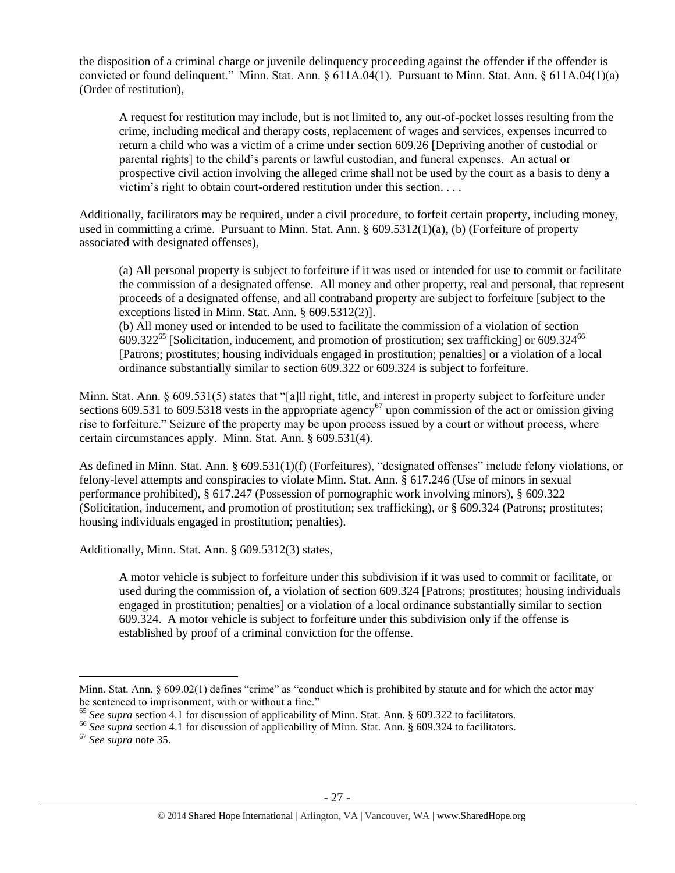the disposition of a criminal charge or juvenile delinquency proceeding against the offender if the offender is convicted or found delinquent." Minn. Stat. Ann. § 611A.04(1). Pursuant to Minn. Stat. Ann. § 611A.04(1)(a) (Order of restitution),

A request for restitution may include, but is not limited to, any out-of-pocket losses resulting from the crime, including medical and therapy costs, replacement of wages and services, expenses incurred to return a child who was a victim of a crime under section 609.26 [Depriving another of custodial or parental rights] to the child's parents or lawful custodian, and funeral expenses. An actual or prospective civil action involving the alleged crime shall not be used by the court as a basis to deny a victim's right to obtain court-ordered restitution under this section. . . .

Additionally, facilitators may be required, under a civil procedure, to forfeit certain property, including money, used in committing a crime. Pursuant to Minn. Stat. Ann. § 609.5312(1)(a), (b) (Forfeiture of property associated with designated offenses),

(a) All personal property is subject to forfeiture if it was used or intended for use to commit or facilitate the commission of a designated offense. All money and other property, real and personal, that represent proceeds of a designated offense, and all contraband property are subject to forfeiture [subject to the exceptions listed in Minn. Stat. Ann. § 609.5312(2)].

(b) All money used or intended to be used to facilitate the commission of a violation of section  $609.322^{65}$  [Solicitation, inducement, and promotion of prostitution; sex trafficking] or  $609.324^{66}$ [Patrons; prostitutes; housing individuals engaged in prostitution; penalties] or a violation of a local ordinance substantially similar to section 609.322 or 609.324 is subject to forfeiture.

Minn. Stat. Ann. § 609.531(5) states that "[a]ll right, title, and interest in property subject to forfeiture under sections 609.531 to 609.5318 vests in the appropriate agency<sup>67</sup> upon commission of the act or omission giving rise to forfeiture." Seizure of the property may be upon process issued by a court or without process, where certain circumstances apply. Minn. Stat. Ann. § 609.531(4).

As defined in Minn. Stat. Ann. § 609.531(1)(f) (Forfeitures), "designated offenses" include felony violations, or felony-level attempts and conspiracies to violate Minn. Stat. Ann. § 617.246 (Use of minors in sexual performance prohibited), § 617.247 (Possession of pornographic work involving minors), § 609.322 (Solicitation, inducement, and promotion of prostitution; sex trafficking), or § 609.324 (Patrons; prostitutes; housing individuals engaged in prostitution; penalties).

Additionally, Minn. Stat. Ann. § 609.5312(3) states,

A motor vehicle is subject to forfeiture under this subdivision if it was used to commit or facilitate, or used during the commission of, a violation of section 609.324 [Patrons; prostitutes; housing individuals engaged in prostitution; penalties] or a violation of a local ordinance substantially similar to section 609.324. A motor vehicle is subject to forfeiture under this subdivision only if the offense is established by proof of a criminal conviction for the offense.

 $\overline{\phantom{a}}$ 

Minn. Stat. Ann. § 609.02(1) defines "crime" as "conduct which is prohibited by statute and for which the actor may be sentenced to imprisonment, with or without a fine."

<sup>&</sup>lt;sup>65</sup> See supra section 4.1 for discussion of applicability of Minn. Stat. Ann. § 609.322 to facilitators.

<sup>&</sup>lt;sup>66</sup> See supra section 4.1 for discussion of applicability of Minn. Stat. Ann. § 609.324 to facilitators.

<sup>67</sup> *See supra* note [35.](#page-15-0)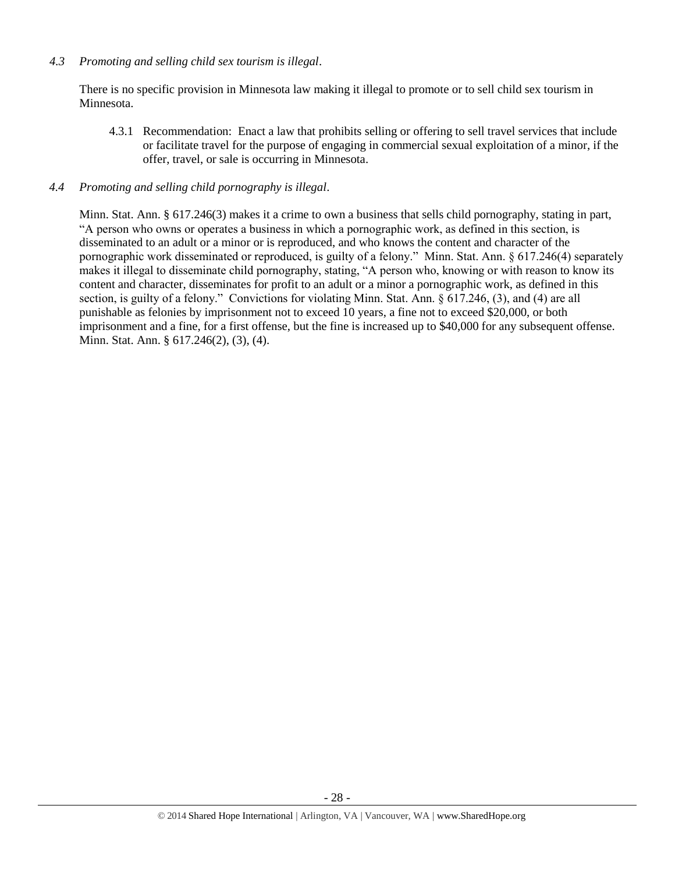## *4.3 Promoting and selling child sex tourism is illegal*.

There is no specific provision in Minnesota law making it illegal to promote or to sell child sex tourism in Minnesota.

4.3.1 Recommendation: Enact a law that prohibits selling or offering to sell travel services that include or facilitate travel for the purpose of engaging in commercial sexual exploitation of a minor, if the offer, travel, or sale is occurring in Minnesota.

### *4.4 Promoting and selling child pornography is illegal*.

Minn. Stat. Ann. § 617.246(3) makes it a crime to own a business that sells child pornography, stating in part, "A person who owns or operates a business in which a pornographic work, as defined in this section, is disseminated to an adult or a minor or is reproduced, and who knows the content and character of the pornographic work disseminated or reproduced, is guilty of a felony." Minn. Stat. Ann. § 617.246(4) separately makes it illegal to disseminate child pornography, stating, "A person who, knowing or with reason to know its content and character, disseminates for profit to an adult or a minor a pornographic work, as defined in this section, is guilty of a felony." Convictions for violating Minn. Stat. Ann. § 617.246, (3), and (4) are all punishable as felonies by imprisonment not to exceed 10 years, a fine not to exceed \$20,000, or both imprisonment and a fine, for a first offense, but the fine is increased up to \$40,000 for any subsequent offense. Minn. Stat. Ann. § 617.246(2), (3), (4).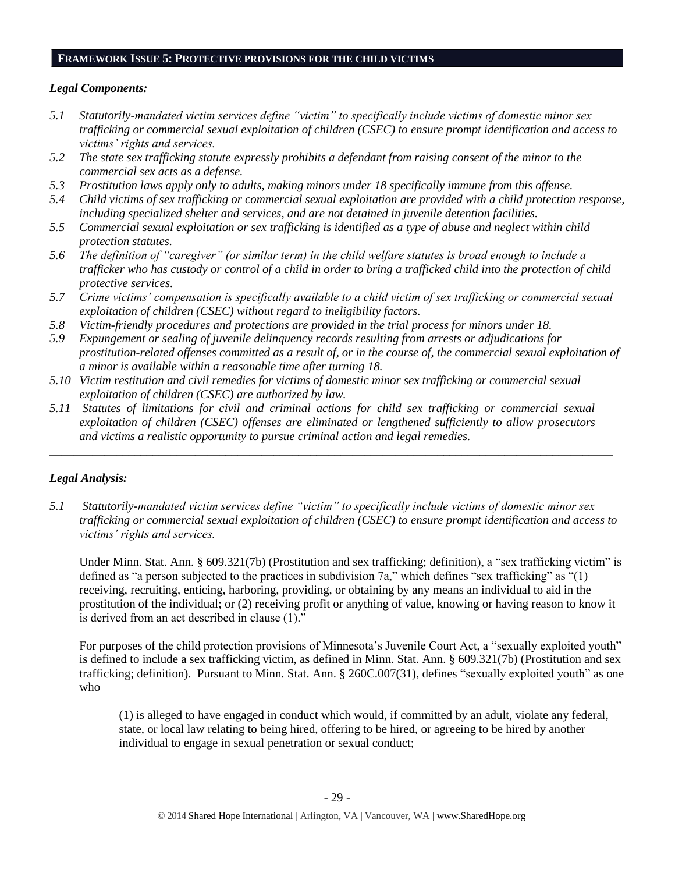#### **FRAMEWORK ISSUE 5: PROTECTIVE PROVISIONS FOR THE CHILD VICTIMS**

# *Legal Components:*

- *5.1 Statutorily-mandated victim services define "victim" to specifically include victims of domestic minor sex trafficking or commercial sexual exploitation of children (CSEC) to ensure prompt identification and access to victims' rights and services.*
- *5.2 The state sex trafficking statute expressly prohibits a defendant from raising consent of the minor to the commercial sex acts as a defense.*
- *5.3 Prostitution laws apply only to adults, making minors under 18 specifically immune from this offense.*
- *5.4 Child victims of sex trafficking or commercial sexual exploitation are provided with a child protection response, including specialized shelter and services, and are not detained in juvenile detention facilities.*
- *5.5 Commercial sexual exploitation or sex trafficking is identified as a type of abuse and neglect within child protection statutes.*
- *5.6 The definition of "caregiver" (or similar term) in the child welfare statutes is broad enough to include a trafficker who has custody or control of a child in order to bring a trafficked child into the protection of child protective services.*
- *5.7 Crime victims' compensation is specifically available to a child victim of sex trafficking or commercial sexual exploitation of children (CSEC) without regard to ineligibility factors.*
- *5.8 Victim-friendly procedures and protections are provided in the trial process for minors under 18.*
- *5.9 Expungement or sealing of juvenile delinquency records resulting from arrests or adjudications for prostitution-related offenses committed as a result of, or in the course of, the commercial sexual exploitation of a minor is available within a reasonable time after turning 18.*
- *5.10 Victim restitution and civil remedies for victims of domestic minor sex trafficking or commercial sexual exploitation of children (CSEC) are authorized by law.*
- *5.11 Statutes of limitations for civil and criminal actions for child sex trafficking or commercial sexual exploitation of children (CSEC) offenses are eliminated or lengthened sufficiently to allow prosecutors and victims a realistic opportunity to pursue criminal action and legal remedies.*

*\_\_\_\_\_\_\_\_\_\_\_\_\_\_\_\_\_\_\_\_\_\_\_\_\_\_\_\_\_\_\_\_\_\_\_\_\_\_\_\_\_\_\_\_\_\_\_\_\_\_\_\_\_\_\_\_\_\_\_\_\_\_\_\_\_\_\_\_\_\_\_\_\_\_\_\_\_\_\_\_\_\_\_\_\_\_\_\_\_\_\_\_\_*

# *Legal Analysis:*

*5.1 Statutorily-mandated victim services define "victim" to specifically include victims of domestic minor sex trafficking or commercial sexual exploitation of children (CSEC) to ensure prompt identification and access to victims' rights and services.* 

Under Minn. Stat. Ann. § 609.321(7b) (Prostitution and sex trafficking; definition), a "sex trafficking victim" is defined as "a person subjected to the practices in subdivision 7a," which defines "sex trafficking" as "(1) receiving, recruiting, enticing, harboring, providing, or obtaining by any means an individual to aid in the prostitution of the individual; or (2) receiving profit or anything of value, knowing or having reason to know it is derived from an act described in clause (1)."

For purposes of the child protection provisions of Minnesota's Juvenile Court Act, a "sexually exploited youth" is defined to include a sex trafficking victim, as defined in Minn. Stat. Ann. § 609.321(7b) (Prostitution and sex trafficking; definition). Pursuant to Minn. Stat. Ann. § 260C.007(31), defines "sexually exploited youth" as one who

(1) is alleged to have engaged in conduct which would, if committed by an adult, violate any federal, state, or local law relating to being hired, offering to be hired, or agreeing to be hired by another individual to engage in sexual penetration or sexual conduct;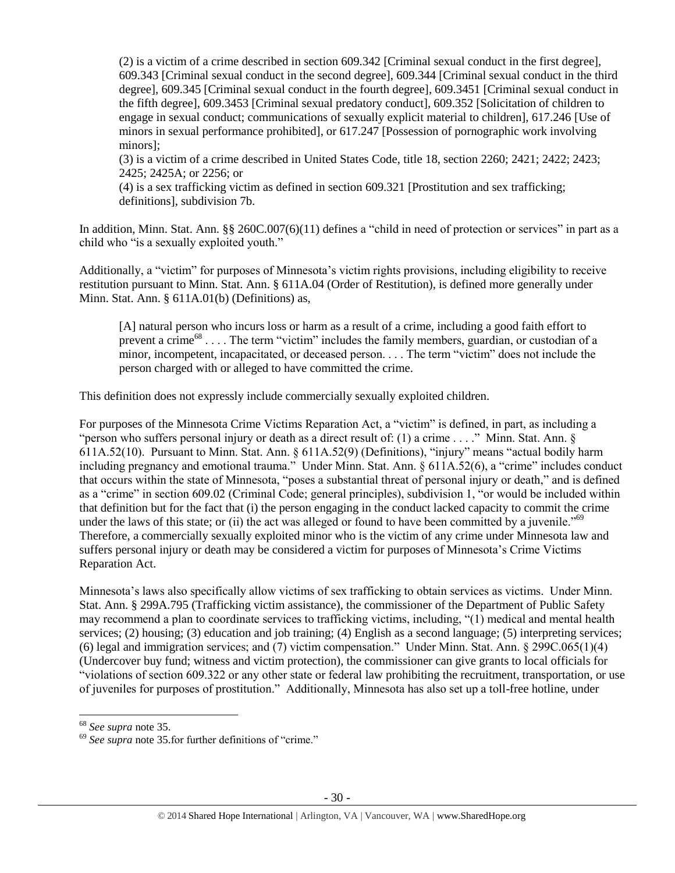(2) is a victim of a crime described in section 609.342 [Criminal sexual conduct in the first degree], 609.343 [Criminal sexual conduct in the second degree], 609.344 [Criminal sexual conduct in the third degree], 609.345 [Criminal sexual conduct in the fourth degree], 609.3451 [Criminal sexual conduct in the fifth degree], 609.3453 [Criminal sexual predatory conduct], 609.352 [Solicitation of children to engage in sexual conduct; communications of sexually explicit material to children], 617.246 [Use of minors in sexual performance prohibited], or 617.247 [Possession of pornographic work involving minors];

(3) is a victim of a crime described in United States Code, title 18, section 2260; 2421; 2422; 2423; 2425; 2425A; or 2256; or

(4) is a sex trafficking victim as defined in section 609.321 [Prostitution and sex trafficking; definitions], subdivision 7b.

In addition, Minn. Stat. Ann. §§ 260C.007(6)(11) defines a "child in need of protection or services" in part as a child who "is a sexually exploited youth."

Additionally, a "victim" for purposes of Minnesota's victim rights provisions, including eligibility to receive restitution pursuant to Minn. Stat. Ann. § 611A.04 (Order of Restitution), is defined more generally under Minn. Stat. Ann. § 611A.01(b) (Definitions) as,

[A] natural person who incurs loss or harm as a result of a crime, including a good faith effort to prevent a crime<sup>68</sup> . . . . The term "victim" includes the family members, guardian, or custodian of a minor, incompetent, incapacitated, or deceased person. . . . The term "victim" does not include the person charged with or alleged to have committed the crime.

This definition does not expressly include commercially sexually exploited children.

For purposes of the Minnesota Crime Victims Reparation Act, a "victim" is defined, in part, as including a "person who suffers personal injury or death as a direct result of: (1) a crime . . . ." Minn. Stat. Ann. § 611A.52(10). Pursuant to Minn. Stat. Ann. § 611A.52(9) (Definitions), "injury" means "actual bodily harm including pregnancy and emotional trauma." Under Minn. Stat. Ann. § 611A.52(6), a "crime" includes conduct that occurs within the state of Minnesota, "poses a substantial threat of personal injury or death," and is defined as a "crime" in section 609.02 (Criminal Code; general principles), subdivision 1, "or would be included within that definition but for the fact that (i) the person engaging in the conduct lacked capacity to commit the crime under the laws of this state; or (ii) the act was alleged or found to have been committed by a juvenile."<sup>69</sup> Therefore, a commercially sexually exploited minor who is the victim of any crime under Minnesota law and suffers personal injury or death may be considered a victim for purposes of Minnesota's Crime Victims Reparation Act.

Minnesota's laws also specifically allow victims of sex trafficking to obtain services as victims. Under Minn. Stat. Ann. § 299A.795 (Trafficking victim assistance), the commissioner of the Department of Public Safety may recommend a plan to coordinate services to trafficking victims, including, "(1) medical and mental health services; (2) housing; (3) education and job training; (4) English as a second language; (5) interpreting services; (6) legal and immigration services; and (7) victim compensation." Under Minn. Stat. Ann. § 299C.065(1)(4) (Undercover buy fund; witness and victim protection), the commissioner can give grants to local officials for "violations of section 609.322 or any other state or federal law prohibiting the recruitment, transportation, or use of juveniles for purposes of prostitution." Additionally, Minnesota has also set up a toll-free hotline, under

l

<sup>68</sup> *See supra* note [35.](#page-15-0) 

<sup>69</sup> *See supra* note [35.](#page-15-0)for further definitions of "crime."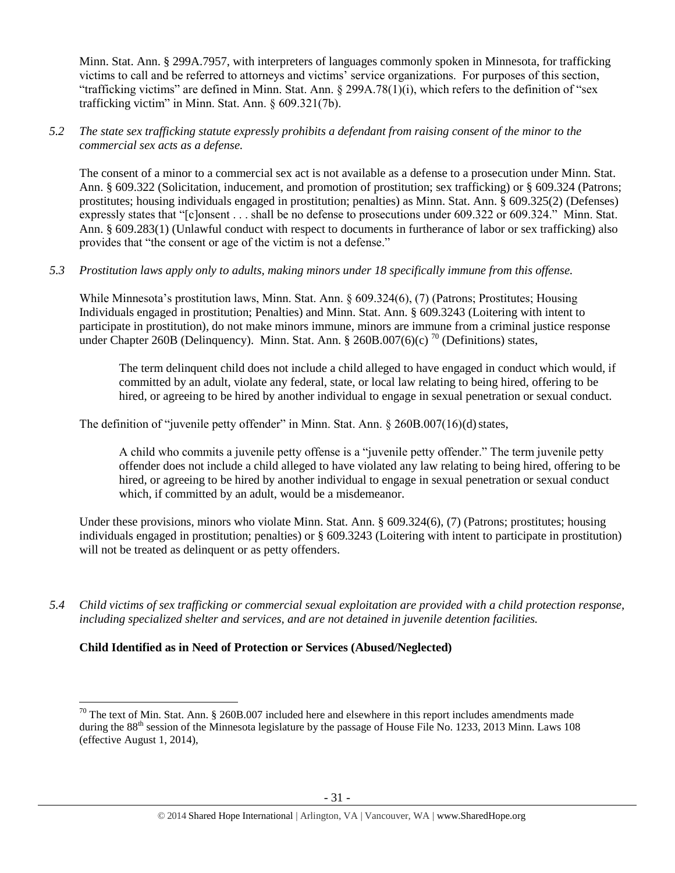Minn. Stat. Ann. § 299A.7957, with interpreters of languages commonly spoken in Minnesota, for trafficking victims to call and be referred to attorneys and victims' service organizations. For purposes of this section, "trafficking victims" are defined in Minn. Stat. Ann. § 299A.78(1)(i), which refers to the definition of "sex trafficking victim" in Minn. Stat. Ann. § 609.321(7b).

## *5.2 The state sex trafficking statute expressly prohibits a defendant from raising consent of the minor to the commercial sex acts as a defense.*

The consent of a minor to a commercial sex act is not available as a defense to a prosecution under Minn. Stat. Ann. § 609.322 (Solicitation, inducement, and promotion of prostitution; sex trafficking) or § 609.324 (Patrons; prostitutes; housing individuals engaged in prostitution; penalties) as Minn. Stat. Ann. § 609.325(2) (Defenses) expressly states that "[c]onsent . . . shall be no defense to prosecutions under 609.322 or 609.324." Minn. Stat. Ann. § 609.283(1) (Unlawful conduct with respect to documents in furtherance of labor or sex trafficking) also provides that "the consent or age of the victim is not a defense."

# *5.3 Prostitution laws apply only to adults, making minors under 18 specifically immune from this offense.*

While Minnesota's prostitution laws, Minn. Stat. Ann. § 609.324(6), (7) (Patrons; Prostitutes; Housing Individuals engaged in prostitution; Penalties) and Minn. Stat. Ann. § 609.3243 (Loitering with intent to participate in prostitution), do not make minors immune, minors are immune from a criminal justice response under Chapter 260B (Delinquency). Minn. Stat. Ann. § 260B.007(6)(c)<sup>70</sup> (Definitions) states,

<span id="page-30-0"></span>The term delinquent child does not include a child alleged to have engaged in conduct which would, if committed by an adult, violate any federal, state, or local law relating to being hired, offering to be hired, or agreeing to be hired by another individual to engage in sexual penetration or sexual conduct.

The definition of "juvenile petty offender" in Minn. Stat. Ann. § 260B.007(16)(d) states,

A child who commits a juvenile petty offense is a "juvenile petty offender." The term juvenile petty offender does not include a child alleged to have violated any law relating to being hired, offering to be hired, or agreeing to be hired by another individual to engage in sexual penetration or sexual conduct which, if committed by an adult, would be a misdemeanor.

Under these provisions, minors who violate Minn. Stat. Ann. § 609.324(6), (7) (Patrons; prostitutes; housing individuals engaged in prostitution; penalties) or § 609.3243 (Loitering with intent to participate in prostitution) will not be treated as delinquent or as petty offenders.

*5.4 Child victims of sex trafficking or commercial sexual exploitation are provided with a child protection response, including specialized shelter and services, and are not detained in juvenile detention facilities.*

# **Child Identified as in Need of Protection or Services (Abused/Neglected)**

 $\overline{\phantom{a}}$ 

<sup>&</sup>lt;sup>70</sup> The text of Min. Stat. Ann. § 260B.007 included here and elsewhere in this report includes amendments made during the 88<sup>th</sup> session of the Minnesota legislature by the passage of House File No. 1233, 2013 Minn. Laws 108 (effective August 1, 2014),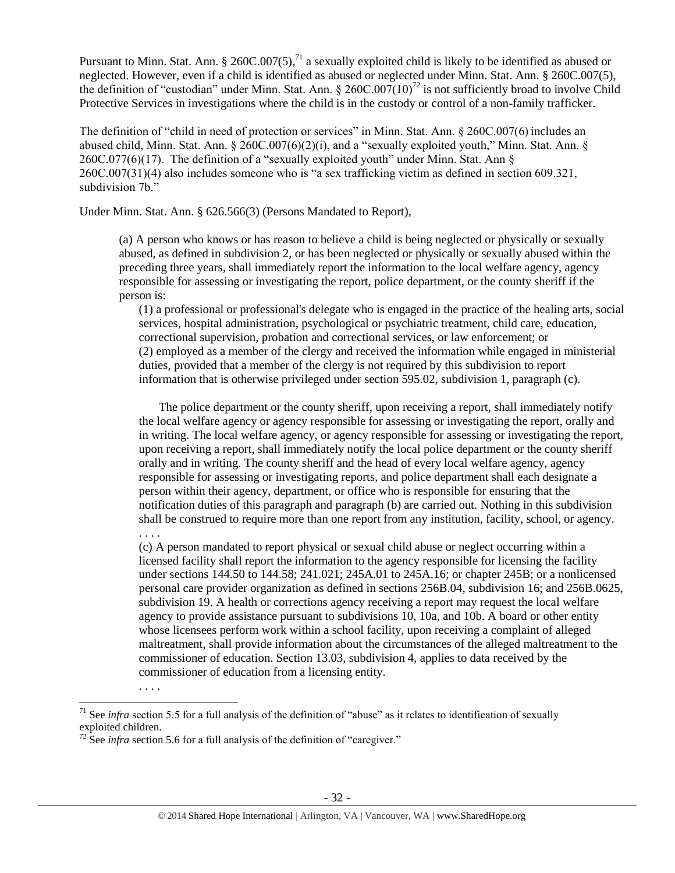Pursuant to Minn. Stat. Ann. § 260C.007(5),<sup>71</sup> a sexually exploited child is likely to be identified as abused or neglected. However, even if a child is identified as abused or neglected under Minn. Stat. Ann. § 260C.007(5), the definition of "custodian" under Minn. Stat. Ann.  $\S 260C.007(10)^{72}$  is not sufficiently broad to involve Child Protective Services in investigations where the child is in the custody or control of a non-family trafficker.

The definition of "child in need of protection or services" in Minn. Stat. Ann. § 260C.007(6) includes an abused child, Minn. Stat. Ann. § 260C.007(6)(2)(i), and a "sexually exploited youth," Minn. Stat. Ann. § 260C.077(6)(17). The definition of a "sexually exploited youth" under Minn. Stat. Ann § 260C.007(31)(4) also includes someone who is "a sex trafficking victim as defined in section 609.321, subdivision 7b."

Under Minn. Stat. Ann. § 626.566(3) (Persons Mandated to Report),

(a) A person who knows or has reason to believe a child is being neglected or physically or sexually abused, as defined in subdivision 2, or has been neglected or physically or sexually abused within the preceding three years, shall immediately report the information to the local welfare agency, agency responsible for assessing or investigating the report, police department, or the county sheriff if the person is:

(1) a professional or professional's delegate who is engaged in the practice of the healing arts, social services, hospital administration, psychological or psychiatric treatment, child care, education, correctional supervision, probation and correctional services, or law enforcement; or (2) employed as a member of the clergy and received the information while engaged in ministerial duties, provided that a member of the clergy is not required by this subdivision to report information that is otherwise privileged under section 595.02, subdivision 1, paragraph (c).

The police department or the county sheriff, upon receiving a report, shall immediately notify the local welfare agency or agency responsible for assessing or investigating the report, orally and in writing. The local welfare agency, or agency responsible for assessing or investigating the report, upon receiving a report, shall immediately notify the local police department or the county sheriff orally and in writing. The county sheriff and the head of every local welfare agency, agency responsible for assessing or investigating reports, and police department shall each designate a person within their agency, department, or office who is responsible for ensuring that the notification duties of this paragraph and paragraph (b) are carried out. Nothing in this subdivision shall be construed to require more than one report from any institution, facility, school, or agency.

(c) A person mandated to report physical or sexual child abuse or neglect occurring within a licensed facility shall report the information to the agency responsible for licensing the facility under sections 144.50 to 144.58; 241.021; 245A.01 to 245A.16; or chapter 245B; or a nonlicensed personal care provider organization as defined in sections 256B.04, subdivision 16; and 256B.0625, subdivision 19. A health or corrections agency receiving a report may request the local welfare agency to provide assistance pursuant to subdivisions 10, 10a, and 10b. A board or other entity whose licensees perform work within a school facility, upon receiving a complaint of alleged maltreatment, shall provide information about the circumstances of the alleged maltreatment to the commissioner of education. Section 13.03, subdivision 4, applies to data received by the commissioner of education from a licensing entity.

. . . .

. . . .

 $\overline{\phantom{a}}$ 

<sup>71</sup> See *infra* section 5.5 for a full analysis of the definition of "abuse" as it relates to identification of sexually exploited children.

 $72 \text{ See } \text{intra}$  section 5.6 for a full analysis of the definition of "caregiver."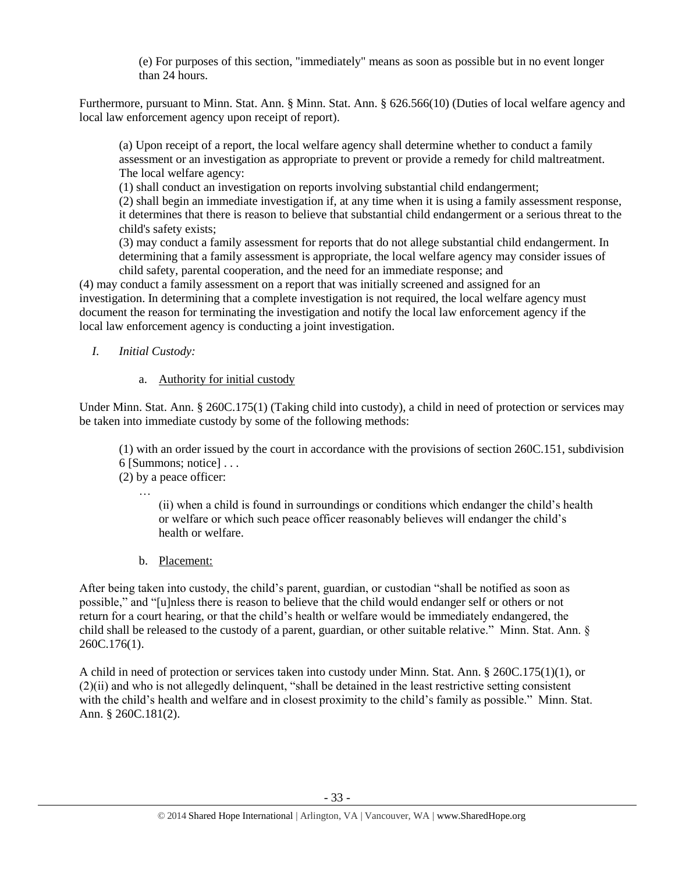(e) For purposes of this section, "immediately" means as soon as possible but in no event longer than 24 hours.

Furthermore, pursuant to Minn. Stat. Ann. § Minn. Stat. Ann. § 626.566(10) (Duties of local welfare agency and local law enforcement agency upon receipt of report).

(a) Upon receipt of a report, the local welfare agency shall determine whether to conduct a family assessment or an investigation as appropriate to prevent or provide a remedy for child maltreatment. The local welfare agency:

(1) shall conduct an investigation on reports involving substantial child endangerment;

(2) shall begin an immediate investigation if, at any time when it is using a family assessment response, it determines that there is reason to believe that substantial child endangerment or a serious threat to the child's safety exists;

(3) may conduct a family assessment for reports that do not allege substantial child endangerment. In determining that a family assessment is appropriate, the local welfare agency may consider issues of child safety, parental cooperation, and the need for an immediate response; and

(4) may conduct a family assessment on a report that was initially screened and assigned for an investigation. In determining that a complete investigation is not required, the local welfare agency must document the reason for terminating the investigation and notify the local law enforcement agency if the local law enforcement agency is conducting a joint investigation.

*I. Initial Custody:* 

# a. Authority for initial custody

Under Minn. Stat. Ann. § 260C.175(1) (Taking child into custody), a child in need of protection or services may be taken into immediate custody by some of the following methods:

(1) with an order issued by the court in accordance with the provisions of section 260C.151, subdivision 6 [Summons; notice] . . .

(2) by a peace officer: …

(ii) when a child is found in surroundings or conditions which endanger the child's health or welfare or which such peace officer reasonably believes will endanger the child's health or welfare.

b. Placement:

After being taken into custody, the child's parent, guardian, or custodian "shall be notified as soon as possible," and "[u]nless there is reason to believe that the child would endanger self or others or not return for a court hearing, or that the child's health or welfare would be immediately endangered, the child shall be released to the custody of a parent, guardian, or other suitable relative." Minn. Stat. Ann. § 260C.176(1).

A child in need of protection or services taken into custody under Minn. Stat. Ann. § 260C.175(1)(1), or (2)(ii) and who is not allegedly delinquent, "shall be detained in the least restrictive setting consistent with the child's health and welfare and in closest proximity to the child's family as possible." Minn. Stat. Ann. § 260C.181(2).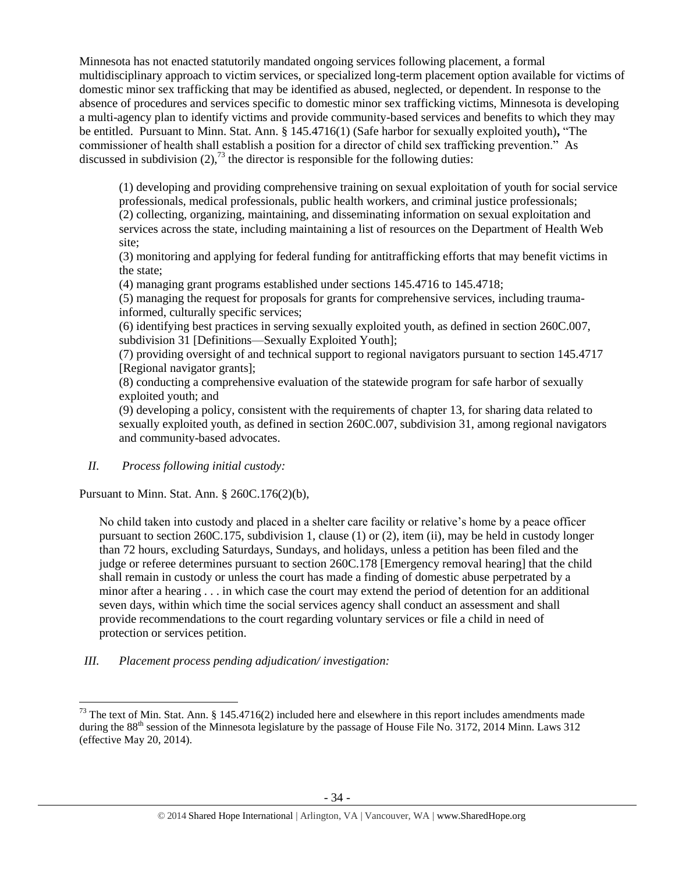Minnesota has not enacted statutorily mandated ongoing services following placement, a formal multidisciplinary approach to victim services, or specialized long-term placement option available for victims of domestic minor sex trafficking that may be identified as abused, neglected, or dependent. In response to the absence of procedures and services specific to domestic minor sex trafficking victims, Minnesota is developing a multi-agency plan to identify victims and provide community-based services and benefits to which they may be entitled. Pursuant to Minn. Stat. Ann. § 145.4716(1) (Safe harbor for sexually exploited youth)**,** "The commissioner of health shall establish a position for a director of child sex trafficking prevention." As discussed in subdivision  $(2)$ ,<sup>73</sup> the director is responsible for the following duties:

(1) developing and providing comprehensive training on sexual exploitation of youth for social service professionals, medical professionals, public health workers, and criminal justice professionals; (2) collecting, organizing, maintaining, and disseminating information on sexual exploitation and services across the state, including maintaining a list of resources on the Department of Health Web site;

(3) monitoring and applying for federal funding for antitrafficking efforts that may benefit victims in the state;

(4) managing grant programs established under sections 145.4716 to 145.4718;

(5) managing the request for proposals for grants for comprehensive services, including traumainformed, culturally specific services;

(6) identifying best practices in serving sexually exploited youth, as defined in section 260C.007, subdivision 31 [Definitions—Sexually Exploited Youth];

(7) providing oversight of and technical support to regional navigators pursuant to section 145.4717 [Regional navigator grants];

(8) conducting a comprehensive evaluation of the statewide program for safe harbor of sexually exploited youth; and

(9) developing a policy, consistent with the requirements of chapter 13, for sharing data related to sexually exploited youth, as defined in section 260C.007, subdivision 31, among regional navigators and community-based advocates.

*II. Process following initial custody:*

 $\overline{\phantom{a}}$ 

Pursuant to Minn. Stat. Ann. § 260C.176(2)(b),

No child taken into custody and placed in a shelter care facility or relative's home by a peace officer pursuant to section 260C.175, subdivision 1, clause (1) or (2), item (ii), may be held in custody longer than 72 hours, excluding Saturdays, Sundays, and holidays, unless a petition has been filed and the judge or referee determines pursuant to section 260C.178 [Emergency removal hearing] that the child shall remain in custody or unless the court has made a finding of domestic abuse perpetrated by a minor after a hearing . . . in which case the court may extend the period of detention for an additional seven days, within which time the social services agency shall conduct an assessment and shall provide recommendations to the court regarding voluntary services or file a child in need of protection or services petition.

*III. Placement process pending adjudication/ investigation:* 

 $^{73}$  The text of Min. Stat. Ann. § 145.4716(2) included here and elsewhere in this report includes amendments made during the 88<sup>th</sup> session of the Minnesota legislature by the passage of House File No. 3172, 2014 Minn. Laws 312 (effective May 20, 2014).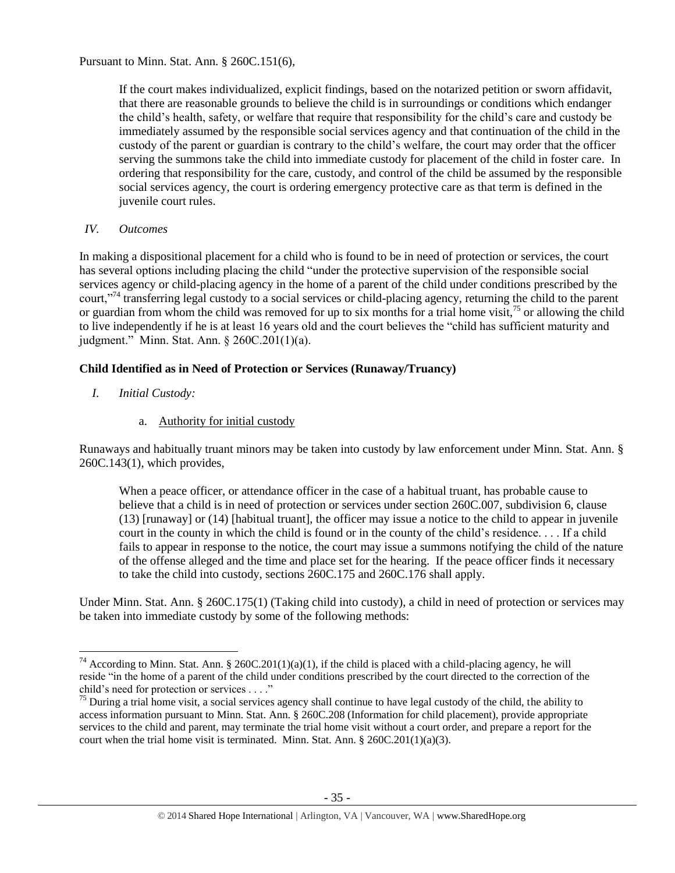Pursuant to Minn. Stat. Ann. § 260C.151(6),

If the court makes individualized, explicit findings, based on the notarized petition or sworn affidavit, that there are reasonable grounds to believe the child is in surroundings or conditions which endanger the child's health, safety, or welfare that require that responsibility for the child's care and custody be immediately assumed by the responsible social services agency and that continuation of the child in the custody of the parent or guardian is contrary to the child's welfare, the court may order that the officer serving the summons take the child into immediate custody for placement of the child in foster care. In ordering that responsibility for the care, custody, and control of the child be assumed by the responsible social services agency, the court is ordering emergency protective care as that term is defined in the juvenile court rules.

## *IV. Outcomes*

In making a dispositional placement for a child who is found to be in need of protection or services, the court has several options including placing the child "under the protective supervision of the responsible social services agency or child-placing agency in the home of a parent of the child under conditions prescribed by the court,"<sup>74</sup> transferring legal custody to a social services or child-placing agency, returning the child to the parent or guardian from whom the child was removed for up to six months for a trial home visit,  $^{75}$  or allowing the child to live independently if he is at least 16 years old and the court believes the "child has sufficient maturity and judgment." Minn. Stat. Ann. § 260C.201(1)(a).

# **Child Identified as in Need of Protection or Services (Runaway/Truancy)**

*I. Initial Custody:* 

 $\overline{\phantom{a}}$ 

a. Authority for initial custody

Runaways and habitually truant minors may be taken into custody by law enforcement under Minn. Stat. Ann. § 260C.143(1), which provides,

When a peace officer, or attendance officer in the case of a habitual truant, has probable cause to believe that a child is in need of protection or services under section 260C.007, subdivision 6, clause (13) [runaway] or (14) [habitual truant], the officer may issue a notice to the child to appear in juvenile court in the county in which the child is found or in the county of the child's residence. . . . If a child fails to appear in response to the notice, the court may issue a summons notifying the child of the nature of the offense alleged and the time and place set for the hearing. If the peace officer finds it necessary to take the child into custody, sections 260C.175 and 260C.176 shall apply.

Under Minn. Stat. Ann. § 260C.175(1) (Taking child into custody), a child in need of protection or services may be taken into immediate custody by some of the following methods:

<sup>&</sup>lt;sup>74</sup> According to Minn. Stat. Ann. § 260C.201(1)(a)(1), if the child is placed with a child-placing agency, he will reside "in the home of a parent of the child under conditions prescribed by the court directed to the correction of the child's need for protection or services . . . ."

 $75$  During a trial home visit, a social services agency shall continue to have legal custody of the child, the ability to access information pursuant to Minn. Stat. Ann. § 260C.208 (Information for child placement), provide appropriate services to the child and parent, may terminate the trial home visit without a court order, and prepare a report for the court when the trial home visit is terminated. Minn. Stat. Ann.  $\S 260C.201(1)(a)(3)$ .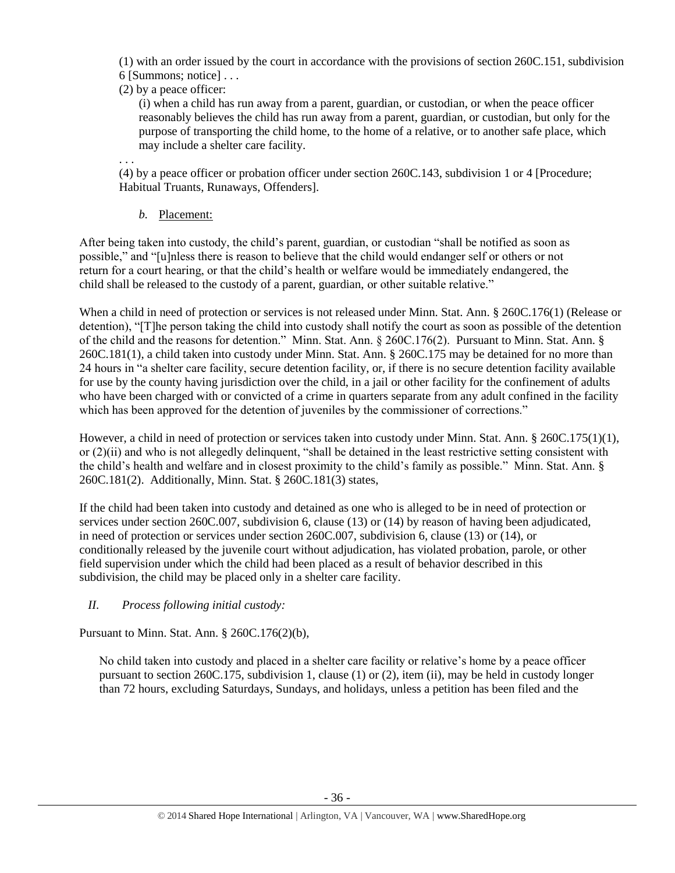(1) with an order issued by the court in accordance with the provisions of section 260C.151, subdivision 6 [Summons; notice] . . .

(2) by a peace officer:

(i) when a child has run away from a parent, guardian, or custodian, or when the peace officer reasonably believes the child has run away from a parent, guardian, or custodian, but only for the purpose of transporting the child home, to the home of a relative, or to another safe place, which may include a shelter care facility.

. . .

(4) by a peace officer or probation officer under section 260C.143, subdivision 1 or 4 [Procedure; Habitual Truants, Runaways, Offenders].

*b.* Placement:

After being taken into custody, the child's parent, guardian, or custodian "shall be notified as soon as possible," and "[u]nless there is reason to believe that the child would endanger self or others or not return for a court hearing, or that the child's health or welfare would be immediately endangered, the child shall be released to the custody of a parent, guardian, or other suitable relative."

When a child in need of protection or services is not released under Minn. Stat. Ann. § 260C.176(1) (Release or detention), "[T]he person taking the child into custody shall notify the court as soon as possible of the detention of the child and the reasons for detention." Minn. Stat. Ann. § 260C.176(2). Pursuant to Minn. Stat. Ann. § 260C.181(1), a child taken into custody under Minn. Stat. Ann. § 260C.175 may be detained for no more than 24 hours in "a shelter care facility, secure detention facility, or, if there is no secure detention facility available for use by the county having jurisdiction over the child, in a jail or other facility for the confinement of adults who have been charged with or convicted of a crime in quarters separate from any adult confined in the facility which has been approved for the detention of juveniles by the commissioner of corrections."

However, a child in need of protection or services taken into custody under Minn. Stat. Ann. § 260C.175(1)(1), or (2)(ii) and who is not allegedly delinquent, "shall be detained in the least restrictive setting consistent with the child's health and welfare and in closest proximity to the child's family as possible." Minn. Stat. Ann. § 260C.181(2). Additionally, Minn. Stat. § 260C.181(3) states,

If the child had been taken into custody and detained as one who is alleged to be in need of protection or services under section 260C.007, subdivision 6, clause (13) or (14) by reason of having been adjudicated, in need of protection or services under section 260C.007, subdivision 6, clause (13) or (14), or conditionally released by the juvenile court without adjudication, has violated probation, parole, or other field supervision under which the child had been placed as a result of behavior described in this subdivision, the child may be placed only in a shelter care facility.

# *II. Process following initial custody:*

Pursuant to Minn. Stat. Ann. § 260C.176(2)(b),

No child taken into custody and placed in a shelter care facility or relative's home by a peace officer pursuant to section 260C.175, subdivision 1, clause (1) or (2), item (ii), may be held in custody longer than 72 hours, excluding Saturdays, Sundays, and holidays, unless a petition has been filed and the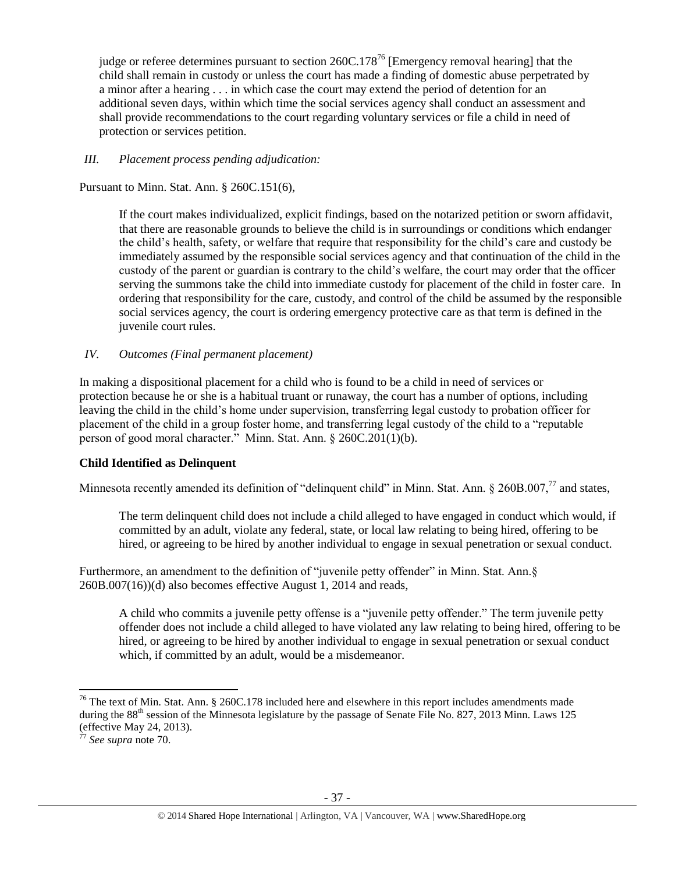judge or referee determines pursuant to section  $260C.178^{76}$  [Emergency removal hearing] that the child shall remain in custody or unless the court has made a finding of domestic abuse perpetrated by a minor after a hearing . . . in which case the court may extend the period of detention for an additional seven days, within which time the social services agency shall conduct an assessment and shall provide recommendations to the court regarding voluntary services or file a child in need of protection or services petition.

# *III. Placement process pending adjudication:*

Pursuant to Minn. Stat. Ann. § 260C.151(6),

If the court makes individualized, explicit findings, based on the notarized petition or sworn affidavit, that there are reasonable grounds to believe the child is in surroundings or conditions which endanger the child's health, safety, or welfare that require that responsibility for the child's care and custody be immediately assumed by the responsible social services agency and that continuation of the child in the custody of the parent or guardian is contrary to the child's welfare, the court may order that the officer serving the summons take the child into immediate custody for placement of the child in foster care. In ordering that responsibility for the care, custody, and control of the child be assumed by the responsible social services agency, the court is ordering emergency protective care as that term is defined in the juvenile court rules.

## *IV. Outcomes (Final permanent placement)*

In making a dispositional placement for a child who is found to be a child in need of services or protection because he or she is a habitual truant or runaway, the court has a number of options, including leaving the child in the child's home under supervision, transferring legal custody to probation officer for placement of the child in a group foster home, and transferring legal custody of the child to a "reputable person of good moral character." Minn. Stat. Ann. § 260C.201(1)(b).

### **Child Identified as Delinquent**

Minnesota recently amended its definition of "delinquent child" in Minn. Stat. Ann. § 260B.007,<sup>77</sup> and states,

The term delinquent child does not include a child alleged to have engaged in conduct which would, if committed by an adult, violate any federal, state, or local law relating to being hired, offering to be hired, or agreeing to be hired by another individual to engage in sexual penetration or sexual conduct.

Furthermore, an amendment to the definition of "juvenile petty offender" in Minn. Stat. Ann.§ 260B.007(16))(d) also becomes effective August 1, 2014 and reads,

A child who commits a juvenile petty offense is a "juvenile petty offender." The term juvenile petty offender does not include a child alleged to have violated any law relating to being hired, offering to be hired, or agreeing to be hired by another individual to engage in sexual penetration or sexual conduct which, if committed by an adult, would be a misdemeanor.

 $\overline{a}$ 

<sup>&</sup>lt;sup>76</sup> The text of Min. Stat. Ann. § 260C.178 included here and elsewhere in this report includes amendments made during the 88<sup>th</sup> session of the Minnesota legislature by the passage of Senate File No. 827, 2013 Minn. Laws 125 (effective May 24, 2013).

<sup>77</sup> *See supra* note [70.](#page-30-0)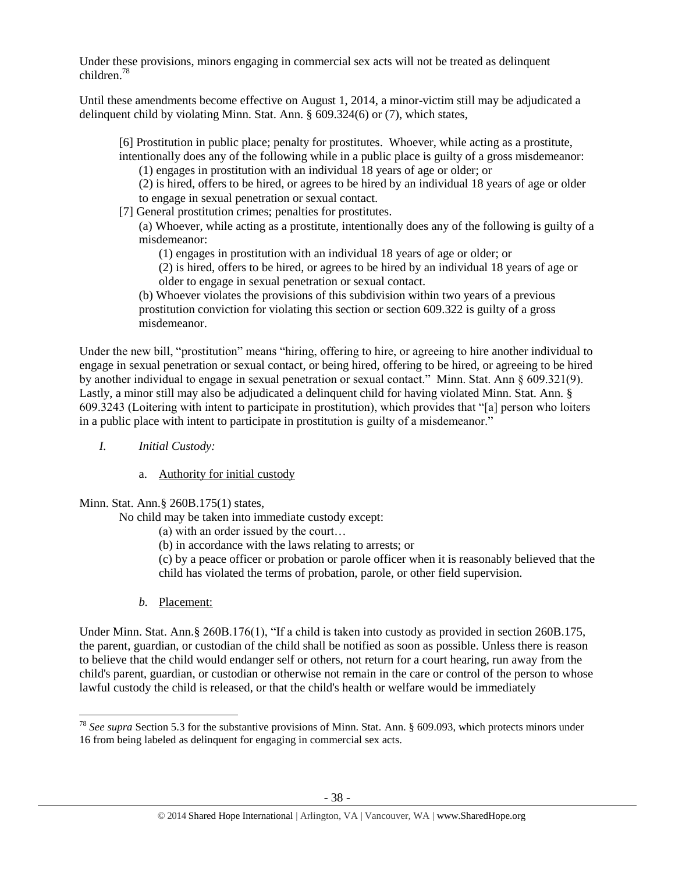Under these provisions, minors engaging in commercial sex acts will not be treated as delinquent children.<sup>78</sup>

Until these amendments become effective on August 1, 2014, a minor-victim still may be adjudicated a delinquent child by violating Minn. Stat. Ann. § 609.324(6) or (7), which states,

[6] Prostitution in public place; penalty for prostitutes. Whoever, while acting as a prostitute, intentionally does any of the following while in a public place is guilty of a gross misdemeanor:

(1) engages in prostitution with an individual 18 years of age or older; or

(2) is hired, offers to be hired, or agrees to be hired by an individual 18 years of age or older to engage in sexual penetration or sexual contact.

[7] General prostitution crimes; penalties for prostitutes.

(a) Whoever, while acting as a prostitute, intentionally does any of the following is guilty of a misdemeanor:

(1) engages in prostitution with an individual 18 years of age or older; or

(2) is hired, offers to be hired, or agrees to be hired by an individual 18 years of age or older to engage in sexual penetration or sexual contact.

(b) Whoever violates the provisions of this subdivision within two years of a previous prostitution conviction for violating this section or section 609.322 is guilty of a gross misdemeanor.

Under the new bill, "prostitution" means "hiring, offering to hire, or agreeing to hire another individual to engage in sexual penetration or sexual contact, or being hired, offering to be hired, or agreeing to be hired by another individual to engage in sexual penetration or sexual contact." Minn. Stat. Ann § 609.321(9). Lastly, a minor still may also be adjudicated a delinquent child for having violated Minn. Stat. Ann. § 609.3243 (Loitering with intent to participate in prostitution), which provides that "[a] person who loiters in a public place with intent to participate in prostitution is guilty of a misdemeanor."

- *I. Initial Custody:* 
	- a. Authority for initial custody

Minn. Stat. Ann.§ 260B.175(1) states,

No child may be taken into immediate custody except:

- (a) with an order issued by the court…
- (b) in accordance with the laws relating to arrests; or

(c) by a peace officer or probation or parole officer when it is reasonably believed that the child has violated the terms of probation, parole, or other field supervision.

*b.* Placement:

l

Under Minn. Stat. Ann. § 260B.176(1), "If a child is taken into custody as provided in section 260B.175, the parent, guardian, or custodian of the child shall be notified as soon as possible. Unless there is reason to believe that the child would endanger self or others, not return for a court hearing, run away from the child's parent, guardian, or custodian or otherwise not remain in the care or control of the person to whose lawful custody the child is released, or that the child's health or welfare would be immediately

<sup>78</sup> *See supra* Section 5.3 for the substantive provisions of Minn. Stat. Ann. § 609.093, which protects minors under 16 from being labeled as delinquent for engaging in commercial sex acts.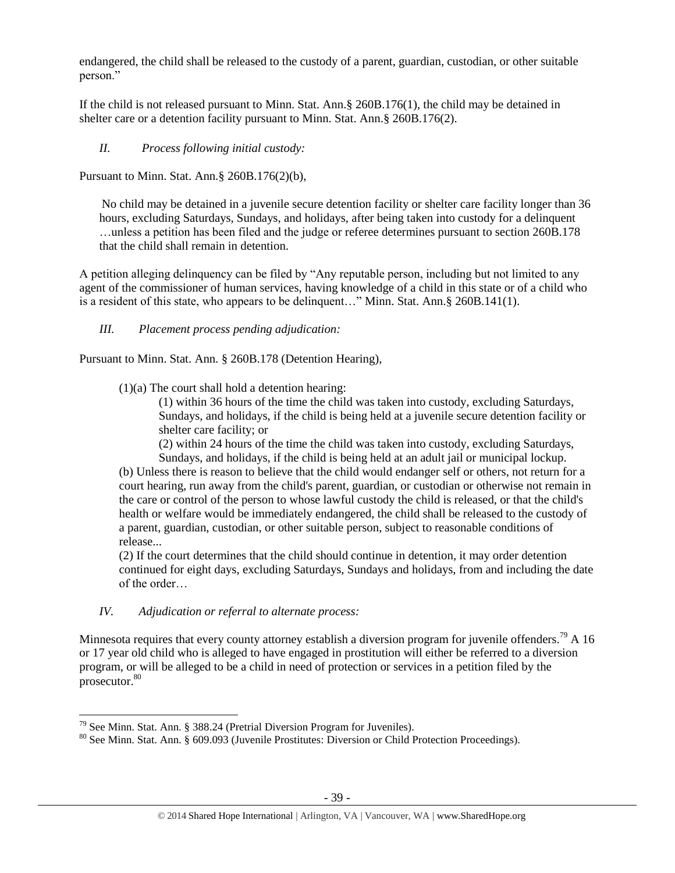endangered, the child shall be released to the custody of a parent, guardian, custodian, or other suitable person."

If the child is not released pursuant to Minn. Stat. Ann.§ 260B.176(1), the child may be detained in shelter care or a detention facility pursuant to Minn. Stat. Ann.§ 260B.176(2).

# *II. Process following initial custody:*

Pursuant to Minn. Stat. Ann.§ 260B.176(2)(b),

No child may be detained in a juvenile secure detention facility or shelter care facility longer than 36 hours, excluding Saturdays, Sundays, and holidays, after being taken into custody for a delinquent …unless a petition has been filed and the judge or referee determines pursuant to section 260B.178 that the child shall remain in detention.

A petition alleging delinquency can be filed by "Any reputable person, including but not limited to any agent of the commissioner of human services, having knowledge of a child in this state or of a child who is a resident of this state, who appears to be delinquent…" Minn. Stat. Ann.§ 260B.141(1).

*III. Placement process pending adjudication:*

Pursuant to Minn. Stat. Ann. § 260B.178 (Detention Hearing),

 $(1)(a)$  The court shall hold a detention hearing:

(1) within 36 hours of the time the child was taken into custody, excluding Saturdays, Sundays, and holidays, if the child is being held at a juvenile secure detention facility or shelter care facility; or

(2) within 24 hours of the time the child was taken into custody, excluding Saturdays,

Sundays, and holidays, if the child is being held at an adult jail or municipal lockup. (b) Unless there is reason to believe that the child would endanger self or others, not return for a court hearing, run away from the child's parent, guardian, or custodian or otherwise not remain in the care or control of the person to whose lawful custody the child is released, or that the child's health or welfare would be immediately endangered, the child shall be released to the custody of a parent, guardian, custodian, or other suitable person, subject to reasonable conditions of release...

(2) If the court determines that the child should continue in detention, it may order detention continued for eight days, excluding Saturdays, Sundays and holidays, from and including the date of the order…

# *IV. Adjudication or referral to alternate process:*

Minnesota requires that every county attorney establish a diversion program for juvenile offenders.<sup>79</sup> A 16 or 17 year old child who is alleged to have engaged in prostitution will either be referred to a diversion program, or will be alleged to be a child in need of protection or services in a petition filed by the prosecutor.<sup>80</sup>

l <sup>79</sup> See Minn. Stat. Ann. § 388.24 (Pretrial Diversion Program for Juveniles).

<sup>80</sup> See Minn. Stat. Ann. § 609.093 (Juvenile Prostitutes: Diversion or Child Protection Proceedings).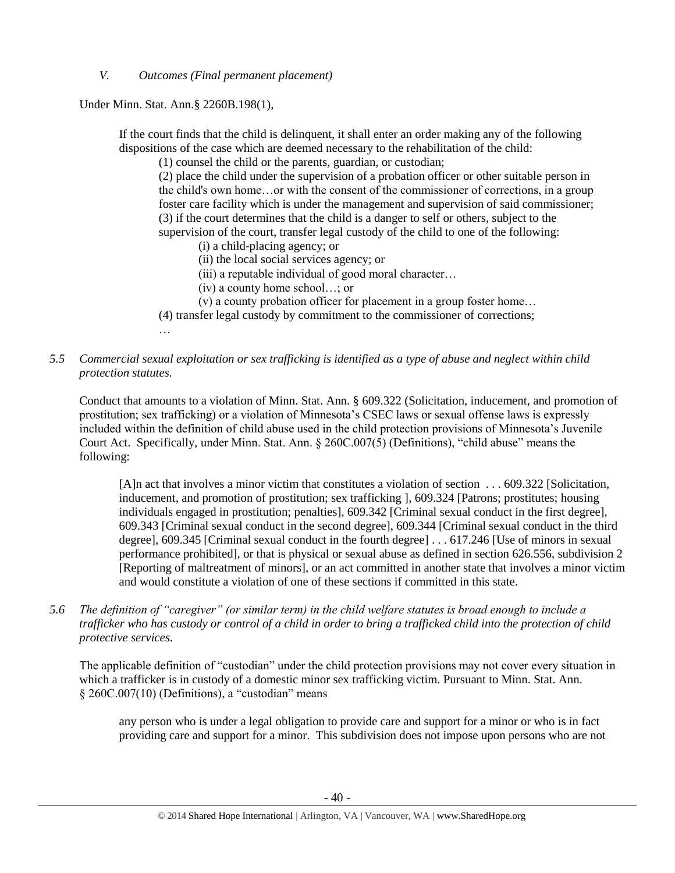*V. Outcomes (Final permanent placement)*

Under Minn. Stat. Ann.§ 2260B.198(1),

If the court finds that the child is delinquent, it shall enter an order making any of the following dispositions of the case which are deemed necessary to the rehabilitation of the child:

(1) counsel the child or the parents, guardian, or custodian;

(2) place the child under the supervision of a probation officer or other suitable person in the child's own home…or with the consent of the commissioner of corrections, in a group foster care facility which is under the management and supervision of said commissioner; (3) if the court determines that the child is a danger to self or others, subject to the supervision of the court, transfer legal custody of the child to one of the following:

(i) a child-placing agency; or

- (ii) the local social services agency; or
- (iii) a reputable individual of good moral character…
- (iv) a county home school…; or
- (v) a county probation officer for placement in a group foster home…
- (4) transfer legal custody by commitment to the commissioner of corrections;
- …

# *5.5 Commercial sexual exploitation or sex trafficking is identified as a type of abuse and neglect within child protection statutes.*

Conduct that amounts to a violation of Minn. Stat. Ann. § 609.322 (Solicitation, inducement, and promotion of prostitution; sex trafficking) or a violation of Minnesota's CSEC laws or sexual offense laws is expressly included within the definition of child abuse used in the child protection provisions of Minnesota's Juvenile Court Act. Specifically, under Minn. Stat. Ann. § 260C.007(5) (Definitions), "child abuse" means the following:

[A]n act that involves a minor victim that constitutes a violation of section . . . 609.322 [Solicitation, inducement, and promotion of prostitution; sex trafficking ], 609.324 [Patrons; prostitutes; housing individuals engaged in prostitution; penalties], 609.342 [Criminal sexual conduct in the first degree], 609.343 [Criminal sexual conduct in the second degree], 609.344 [Criminal sexual conduct in the third degree], 609.345 [Criminal sexual conduct in the fourth degree] . . . 617.246 [Use of minors in sexual performance prohibited], or that is physical or sexual abuse as defined in section 626.556, subdivision 2 [Reporting of maltreatment of minors], or an act committed in another state that involves a minor victim and would constitute a violation of one of these sections if committed in this state.

*5.6 The definition of "caregiver" (or similar term) in the child welfare statutes is broad enough to include a trafficker who has custody or control of a child in order to bring a trafficked child into the protection of child protective services.*

The applicable definition of "custodian" under the child protection provisions may not cover every situation in which a trafficker is in custody of a domestic minor sex trafficking victim. Pursuant to Minn. Stat. Ann. § 260C.007(10) (Definitions), a "custodian" means

any person who is under a legal obligation to provide care and support for a minor or who is in fact providing care and support for a minor. This subdivision does not impose upon persons who are not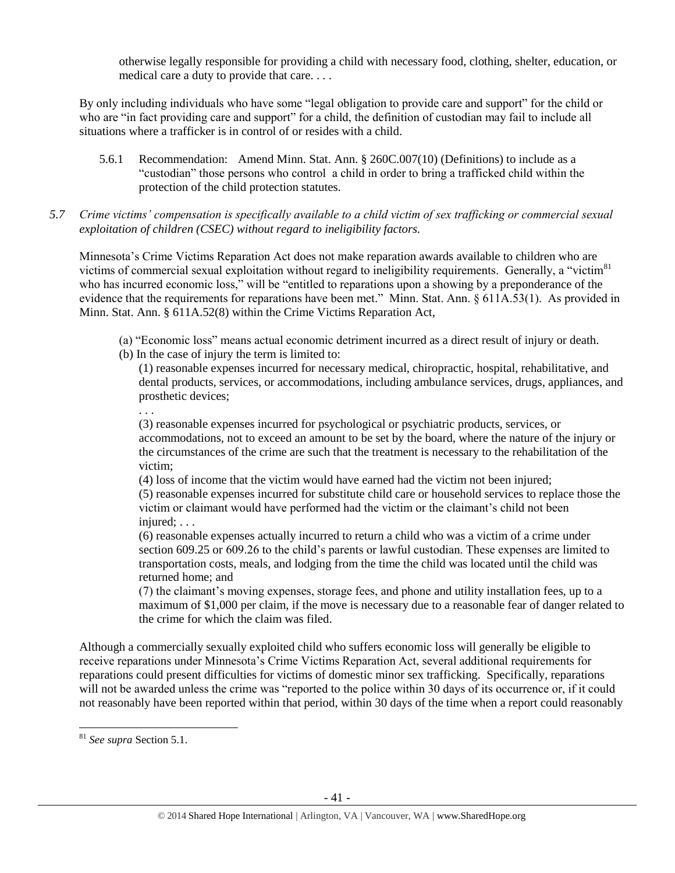otherwise legally responsible for providing a child with necessary food, clothing, shelter, education, or medical care a duty to provide that care. . . .

By only including individuals who have some "legal obligation to provide care and support" for the child or who are "in fact providing care and support" for a child, the definition of custodian may fail to include all situations where a trafficker is in control of or resides with a child.

- 5.6.1 Recommendation: Amend Minn. Stat. Ann. § 260C.007(10) (Definitions) to include as a "custodian" those persons who control a child in order to bring a trafficked child within the protection of the child protection statutes.
- *5.7 Crime victims' compensation is specifically available to a child victim of sex trafficking or commercial sexual exploitation of children (CSEC) without regard to ineligibility factors.*

Minnesota's Crime Victims Reparation Act does not make reparation awards available to children who are victims of commercial sexual exploitation without regard to ineligibility requirements. Generally, a "victim<sup>81</sup> who has incurred economic loss," will be "entitled to reparations upon a showing by a preponderance of the evidence that the requirements for reparations have been met." Minn. Stat. Ann. § 611A.53(1). As provided in Minn. Stat. Ann. § 611A.52(8) within the Crime Victims Reparation Act,

- (a) "Economic loss" means actual economic detriment incurred as a direct result of injury or death.
- (b) In the case of injury the term is limited to:

(1) reasonable expenses incurred for necessary medical, chiropractic, hospital, rehabilitative, and dental products, services, or accommodations, including ambulance services, drugs, appliances, and prosthetic devices;

. . .

(3) reasonable expenses incurred for psychological or psychiatric products, services, or accommodations, not to exceed an amount to be set by the board, where the nature of the injury or the circumstances of the crime are such that the treatment is necessary to the rehabilitation of the victim;

(4) loss of income that the victim would have earned had the victim not been injured;

(5) reasonable expenses incurred for substitute child care or household services to replace those the victim or claimant would have performed had the victim or the claimant's child not been injured: . . .

(6) reasonable expenses actually incurred to return a child who was a victim of a crime under section 609.25 or 609.26 to the child's parents or lawful custodian. These expenses are limited to transportation costs, meals, and lodging from the time the child was located until the child was returned home; and

(7) the claimant's moving expenses, storage fees, and phone and utility installation fees, up to a maximum of \$1,000 per claim, if the move is necessary due to a reasonable fear of danger related to the crime for which the claim was filed.

Although a commercially sexually exploited child who suffers economic loss will generally be eligible to receive reparations under Minnesota's Crime Victims Reparation Act, several additional requirements for reparations could present difficulties for victims of domestic minor sex trafficking. Specifically, reparations will not be awarded unless the crime was "reported to the police within 30 days of its occurrence or, if it could not reasonably have been reported within that period, within 30 days of the time when a report could reasonably

 $\overline{a}$ 

<sup>81</sup> *See supra* Section 5.1.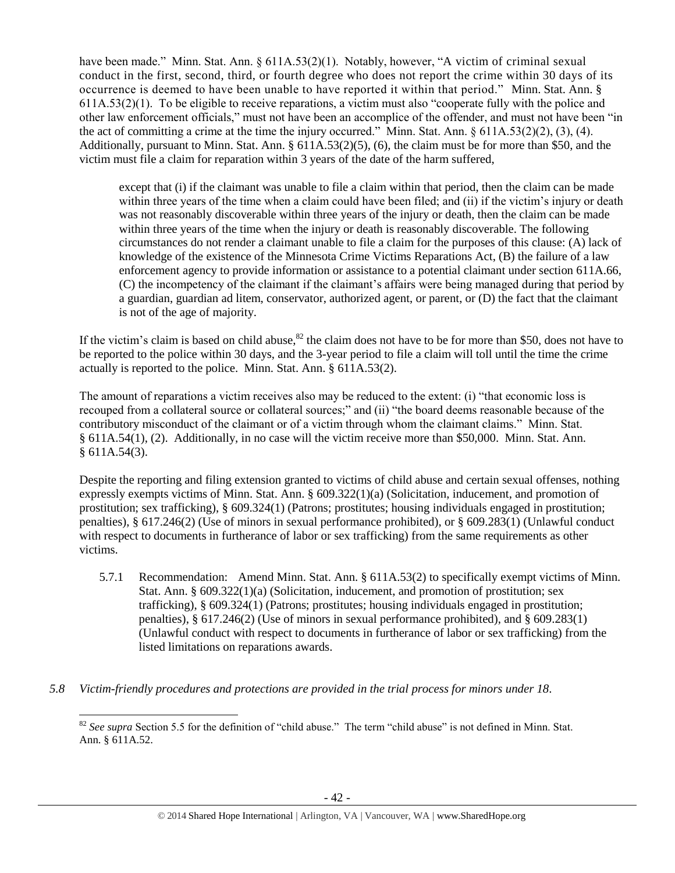have been made." Minn. Stat. Ann. § 611A.53(2)(1). Notably, however, "A victim of criminal sexual conduct in the first, second, third, or fourth degree who does not report the crime within 30 days of its occurrence is deemed to have been unable to have reported it within that period." Minn. Stat. Ann. § 611A.53(2)(1). To be eligible to receive reparations, a victim must also "cooperate fully with the police and other law enforcement officials," must not have been an accomplice of the offender, and must not have been "in the act of committing a crime at the time the injury occurred." Minn. Stat. Ann.  $\S 611A.53(2)(2)$ , (3), (4). Additionally, pursuant to Minn. Stat. Ann. § 611A.53(2)(5), (6), the claim must be for more than \$50, and the victim must file a claim for reparation within 3 years of the date of the harm suffered,

except that (i) if the claimant was unable to file a claim within that period, then the claim can be made within three years of the time when a claim could have been filed; and (ii) if the victim's injury or death was not reasonably discoverable within three years of the injury or death, then the claim can be made within three years of the time when the injury or death is reasonably discoverable. The following circumstances do not render a claimant unable to file a claim for the purposes of this clause: (A) lack of knowledge of the existence of the Minnesota Crime Victims Reparations Act, (B) the failure of a law enforcement agency to provide information or assistance to a potential claimant under section 611A.66, (C) the incompetency of the claimant if the claimant's affairs were being managed during that period by a guardian, guardian ad litem, conservator, authorized agent, or parent, or (D) the fact that the claimant is not of the age of majority.

If the victim's claim is based on child abuse, $82$  the claim does not have to be for more than \$50, does not have to be reported to the police within 30 days, and the 3-year period to file a claim will toll until the time the crime actually is reported to the police. Minn. Stat. Ann. § 611A.53(2).

The amount of reparations a victim receives also may be reduced to the extent: (i) "that economic loss is recouped from a collateral source or collateral sources;" and (ii) "the board deems reasonable because of the contributory misconduct of the claimant or of a victim through whom the claimant claims." Minn. Stat. § 611A.54(1), (2). Additionally, in no case will the victim receive more than \$50,000. Minn. Stat. Ann. § 611A.54(3).

Despite the reporting and filing extension granted to victims of child abuse and certain sexual offenses, nothing expressly exempts victims of Minn. Stat. Ann. § 609.322(1)(a) (Solicitation, inducement, and promotion of prostitution; sex trafficking), § 609.324(1) (Patrons; prostitutes; housing individuals engaged in prostitution; penalties), § 617.246(2) (Use of minors in sexual performance prohibited), or § 609.283(1) (Unlawful conduct with respect to documents in furtherance of labor or sex trafficking) from the same requirements as other victims.

- 5.7.1 Recommendation: Amend Minn. Stat. Ann. § 611A.53(2) to specifically exempt victims of Minn. Stat. Ann. § 609.322(1)(a) (Solicitation, inducement, and promotion of prostitution; sex trafficking), § 609.324(1) (Patrons; prostitutes; housing individuals engaged in prostitution; penalties), § 617.246(2) (Use of minors in sexual performance prohibited), and § 609.283(1) (Unlawful conduct with respect to documents in furtherance of labor or sex trafficking) from the listed limitations on reparations awards.
- *5.8 Victim-friendly procedures and protections are provided in the trial process for minors under 18.*

l <sup>82</sup> See supra Section 5.5 for the definition of "child abuse." The term "child abuse" is not defined in Minn. Stat. Ann. § 611A.52.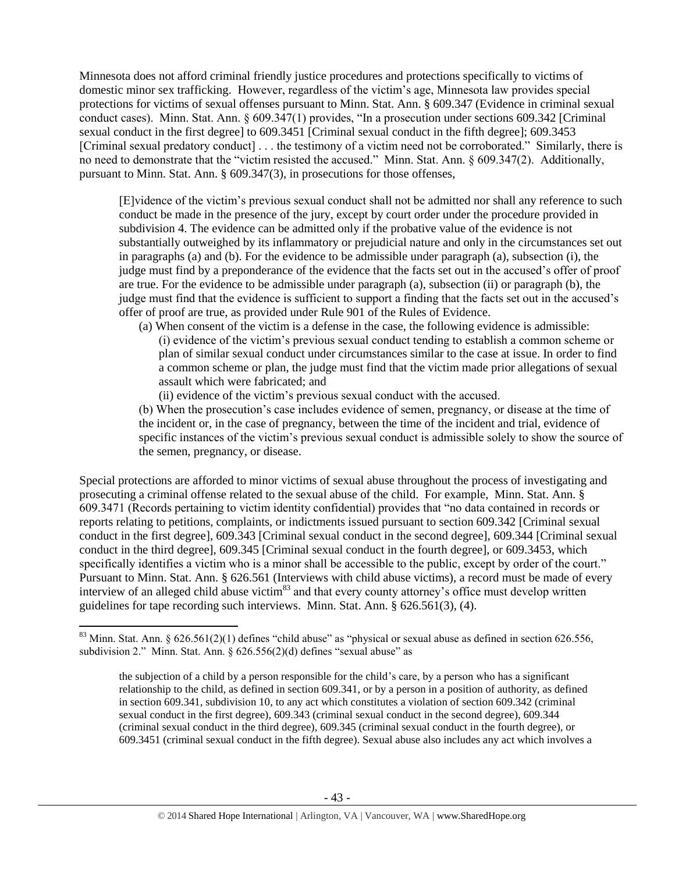Minnesota does not afford criminal friendly justice procedures and protections specifically to victims of domestic minor sex trafficking. However, regardless of the victim's age, Minnesota law provides special protections for victims of sexual offenses pursuant to Minn. Stat. Ann. § 609.347 (Evidence in criminal sexual conduct cases). Minn. Stat. Ann. § 609.347(1) provides, "In a prosecution under sections 609.342 [Criminal sexual conduct in the first degree] to 609.3451 [Criminal sexual conduct in the fifth degree]; 609.3453 [Criminal sexual predatory conduct] . . . the testimony of a victim need not be corroborated." Similarly, there is no need to demonstrate that the "victim resisted the accused." Minn. Stat. Ann. § 609.347(2). Additionally, pursuant to Minn. Stat. Ann. § 609.347(3), in prosecutions for those offenses,

[E]vidence of the victim's previous sexual conduct shall not be admitted nor shall any reference to such conduct be made in the presence of the jury, except by court order under the procedure provided in subdivision 4. The evidence can be admitted only if the probative value of the evidence is not substantially outweighed by its inflammatory or prejudicial nature and only in the circumstances set out in paragraphs (a) and (b). For the evidence to be admissible under paragraph (a), subsection (i), the judge must find by a preponderance of the evidence that the facts set out in the accused's offer of proof are true. For the evidence to be admissible under paragraph (a), subsection (ii) or paragraph (b), the judge must find that the evidence is sufficient to support a finding that the facts set out in the accused's offer of proof are true, as provided under Rule 901 of the Rules of Evidence.

- (a) When consent of the victim is a defense in the case, the following evidence is admissible: (i) evidence of the victim's previous sexual conduct tending to establish a common scheme or plan of similar sexual conduct under circumstances similar to the case at issue. In order to find a common scheme or plan, the judge must find that the victim made prior allegations of sexual assault which were fabricated; and
	- (ii) evidence of the victim's previous sexual conduct with the accused.

(b) When the prosecution's case includes evidence of semen, pregnancy, or disease at the time of the incident or, in the case of pregnancy, between the time of the incident and trial, evidence of specific instances of the victim's previous sexual conduct is admissible solely to show the source of the semen, pregnancy, or disease.

Special protections are afforded to minor victims of sexual abuse throughout the process of investigating and prosecuting a criminal offense related to the sexual abuse of the child. For example, Minn. Stat. Ann. § 609.3471 (Records pertaining to victim identity confidential) provides that "no data contained in records or reports relating to petitions, complaints, or indictments issued pursuant to [section 609.342](http://web2.westlaw.com/find/default.wl?tc=-1&docname=MNSTS609.342&rp=%2ffind%2fdefault.wl&sv=Split&rs=WLW11.04&db=1000044&tf=-1&findtype=L&fn=_top&mt=59&vr=2.0&pbc=5B5D1160&ordoc=3575265) [Criminal sexual conduct in the first degree], [609.343](http://web2.westlaw.com/find/default.wl?tc=-1&docname=MNSTS609.343&rp=%2ffind%2fdefault.wl&sv=Split&rs=WLW11.04&db=1000044&tf=-1&findtype=L&fn=_top&mt=59&vr=2.0&pbc=5B5D1160&ordoc=3575265) [Criminal sexual conduct in the second degree][, 609.344](http://web2.westlaw.com/find/default.wl?tc=-1&docname=MNSTS609.344&rp=%2ffind%2fdefault.wl&sv=Split&rs=WLW11.04&db=1000044&tf=-1&findtype=L&fn=_top&mt=59&vr=2.0&pbc=5B5D1160&ordoc=3575265) [Criminal sexual conduct in the third degree], [609.345](http://web2.westlaw.com/find/default.wl?tc=-1&docname=MNSTS609.345&rp=%2ffind%2fdefault.wl&sv=Split&rs=WLW11.04&db=1000044&tf=-1&findtype=L&fn=_top&mt=59&vr=2.0&pbc=5B5D1160&ordoc=3575265) [Criminal sexual conduct in the fourth degree], or [609.3453,](http://web2.westlaw.com/find/default.wl?tc=-1&docname=MNSTS609.3453&rp=%2ffind%2fdefault.wl&sv=Split&rs=WLW11.04&db=1000044&tf=-1&findtype=L&fn=_top&mt=59&vr=2.0&pbc=5B5D1160&ordoc=3575265) which specifically identifies a victim who is a minor shall be accessible to the public, except by order of the court." Pursuant to Minn. Stat. Ann. § 626.561 (Interviews with child abuse victims), a record must be made of every interview of an alleged child abuse victim<sup>83</sup> and that every county attorney's office must develop written guidelines for tape recording such interviews. Minn. Stat. Ann. § 626.561(3), (4).

 $\overline{\phantom{a}}$ 

 $83$  Minn. Stat. Ann. § 626.561(2)(1) defines "child abuse" as "physical or sexual abuse as defined in section 626.556, subdivision 2." Minn. Stat. Ann. § 626.556(2)(d) defines "sexual abuse" as

the subjection of a child by a person responsible for the child's care, by a person who has a significant relationship to the child, as defined in section 609.341, or by a person in a position of authority, as defined in section 609.341, subdivision 10, to any act which constitutes a violation of section 609.342 (criminal sexual conduct in the first degree), 609.343 (criminal sexual conduct in the second degree), 609.344 (criminal sexual conduct in the third degree), 609.345 (criminal sexual conduct in the fourth degree), or 609.3451 (criminal sexual conduct in the fifth degree). Sexual abuse also includes any act which involves a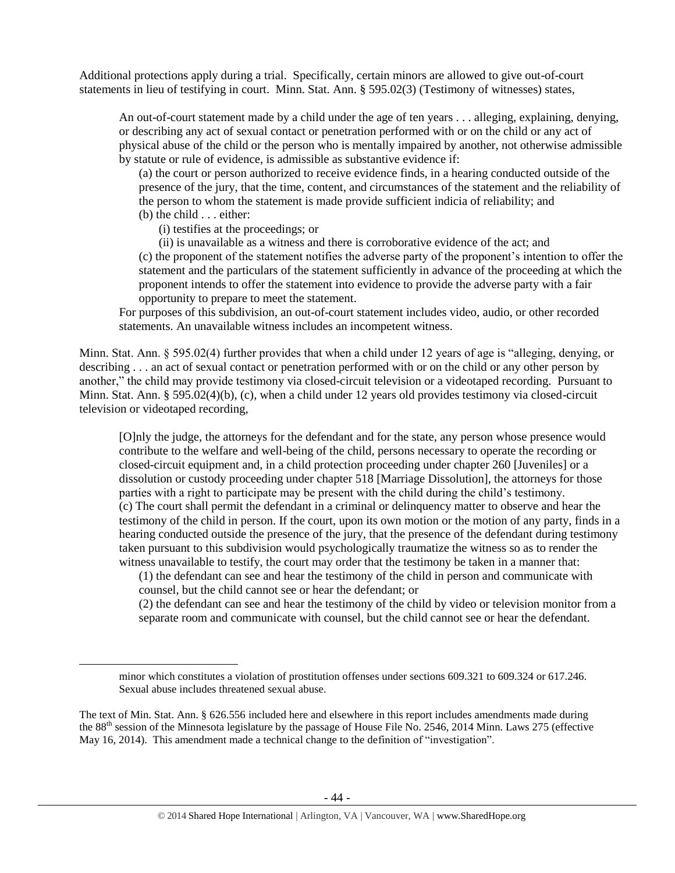Additional protections apply during a trial. Specifically, certain minors are allowed to give out-of-court statements in lieu of testifying in court. Minn. Stat. Ann. § 595.02(3) (Testimony of witnesses) states,

An out-of-court statement made by a child under the age of ten years . . . alleging, explaining, denying, or describing any act of sexual contact or penetration performed with or on the child or any act of physical abuse of the child or the person who is mentally impaired by another, not otherwise admissible by statute or rule of evidence, is admissible as substantive evidence if:

(a) the court or person authorized to receive evidence finds, in a hearing conducted outside of the presence of the jury, that the time, content, and circumstances of the statement and the reliability of the person to whom the statement is made provide sufficient indicia of reliability; and (b) the child . . . either:

(i) testifies at the proceedings; or

 $\overline{\phantom{a}}$ 

(ii) is unavailable as a witness and there is corroborative evidence of the act; and

(c) the proponent of the statement notifies the adverse party of the proponent's intention to offer the statement and the particulars of the statement sufficiently in advance of the proceeding at which the proponent intends to offer the statement into evidence to provide the adverse party with a fair opportunity to prepare to meet the statement.

For purposes of this subdivision, an out-of-court statement includes video, audio, or other recorded statements. An unavailable witness includes an incompetent witness.

Minn. Stat. Ann. § 595.02(4) further provides that when a child under 12 years of age is "alleging, denying, or describing . . . an act of sexual contact or penetration performed with or on the child or any other person by another," the child may provide testimony via closed-circuit television or a videotaped recording. Pursuant to Minn. Stat. Ann. § 595.02(4)(b), (c), when a child under 12 years old provides testimony via closed-circuit television or videotaped recording,

[O]nly the judge, the attorneys for the defendant and for the state, any person whose presence would contribute to the welfare and well-being of the child, persons necessary to operate the recording or closed-circuit equipment and, in a child protection proceeding under chapter 260 [Juveniles] or a dissolution or custody proceeding under chapter 518 [Marriage Dissolution], the attorneys for those parties with a right to participate may be present with the child during the child's testimony. (c) The court shall permit the defendant in a criminal or delinquency matter to observe and hear the testimony of the child in person. If the court, upon its own motion or the motion of any party, finds in a hearing conducted outside the presence of the jury, that the presence of the defendant during testimony taken pursuant to this subdivision would psychologically traumatize the witness so as to render the witness unavailable to testify, the court may order that the testimony be taken in a manner that:

(1) the defendant can see and hear the testimony of the child in person and communicate with counsel, but the child cannot see or hear the defendant; or

(2) the defendant can see and hear the testimony of the child by video or television monitor from a separate room and communicate with counsel, but the child cannot see or hear the defendant.

minor which constitutes a violation of prostitution offenses under sections 609.321 to 609.324 or 617.246. Sexual abuse includes threatened sexual abuse.

The text of Min. Stat. Ann. § 626.556 included here and elsewhere in this report includes amendments made during the 88<sup>th</sup> session of the Minnesota legislature by the passage of House File No. 2546, 2014 Minn. Laws 275 (effective May 16, 2014). This amendment made a technical change to the definition of "investigation".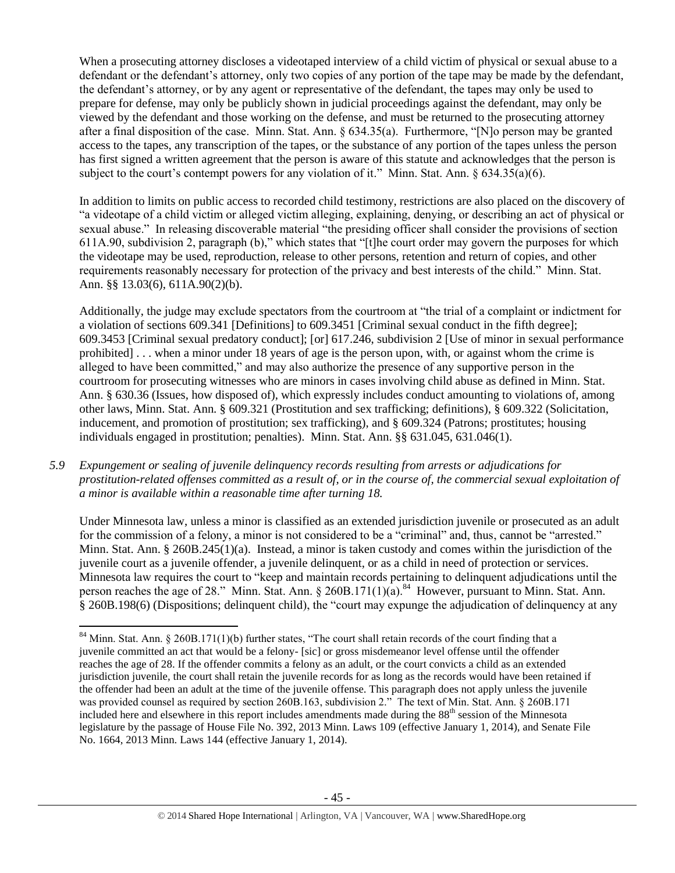When a prosecuting attorney discloses a videotaped interview of a child victim of physical or sexual abuse to a defendant or the defendant's attorney, only two copies of any portion of the tape may be made by the defendant, the defendant's attorney, or by any agent or representative of the defendant, the tapes may only be used to prepare for defense, may only be publicly shown in judicial proceedings against the defendant, may only be viewed by the defendant and those working on the defense, and must be returned to the prosecuting attorney after a final disposition of the case. Minn. Stat. Ann. § 634.35(a). Furthermore, "[N]o person may be granted access to the tapes, any transcription of the tapes, or the substance of any portion of the tapes unless the person has first signed a written agreement that the person is aware of this statute and acknowledges that the person is subject to the court's contempt powers for any violation of it." Minn. Stat. Ann. § 634.35(a)(6).

In addition to limits on public access to recorded child testimony, restrictions are also placed on the discovery of "a videotape of a child victim or alleged victim alleging, explaining, denying, or describing an act of physical or sexual abuse." In releasing discoverable material "the presiding officer shall consider the provisions of section 611A.90, subdivision 2, paragraph (b)," which states that "[t]he court order may govern the purposes for which the videotape may be used, reproduction, release to other persons, retention and return of copies, and other requirements reasonably necessary for protection of the privacy and best interests of the child." Minn. Stat. Ann. §§ 13.03(6), 611A.90(2)(b).

Additionally, the judge may exclude spectators from the courtroom at "the trial of a complaint or indictment for a violation of sections 609.341 [Definitions] to 609.3451 [Criminal sexual conduct in the fifth degree]; 609.3453 [Criminal sexual predatory conduct]; [or] 617.246, subdivision 2 [Use of minor in sexual performance prohibited] . . . when a minor under 18 years of age is the person upon, with, or against whom the crime is alleged to have been committed," and may also authorize the presence of any supportive person in the courtroom for prosecuting witnesses who are minors in cases involving child abuse as defined in Minn. Stat. Ann. § 630.36 (Issues, how disposed of), which expressly includes conduct amounting to violations of, among other laws, Minn. Stat. Ann. § 609.321 (Prostitution and sex trafficking; definitions), § 609.322 (Solicitation, inducement, and promotion of prostitution; sex trafficking), and § 609.324 (Patrons; prostitutes; housing individuals engaged in prostitution; penalties). Minn. Stat. Ann. §§ 631.045, 631.046(1).

*5.9 Expungement or sealing of juvenile delinquency records resulting from arrests or adjudications for prostitution-related offenses committed as a result of, or in the course of, the commercial sexual exploitation of a minor is available within a reasonable time after turning 18.*

Under Minnesota law, unless a minor is classified as an extended jurisdiction juvenile or prosecuted as an adult for the commission of a felony, a minor is not considered to be a "criminal" and, thus, cannot be "arrested." Minn. Stat. Ann. § 260B.245(1)(a). Instead, a minor is taken custody and comes within the jurisdiction of the juvenile court as a juvenile offender, a juvenile delinquent, or as a child in need of protection or services. Minnesota law requires the court to "keep and maintain records pertaining to delinquent adjudications until the person reaches the age of 28." Minn. Stat. Ann. § 260B.171(1)(a).<sup>84</sup> However, pursuant to Minn. Stat. Ann. § 260B.198(6) (Dispositions; delinquent child), the "court may expunge the adjudication of delinquency at any

 $\overline{\phantom{a}}$ 

 $84$  Minn. Stat. Ann. § 260B.171(1)(b) further states, "The court shall retain records of the court finding that a juvenile committed an act that would be a felony- [sic] or gross misdemeanor level offense until the offender reaches the age of 28. If the offender commits a felony as an adult, or the court convicts a child as an extended jurisdiction juvenile, the court shall retain the juvenile records for as long as the records would have been retained if the offender had been an adult at the time of the juvenile offense. This paragraph does not apply unless the juvenile was provided counsel as required by section 260B.163, subdivision 2." The text of Min. Stat. Ann. § 260B.171 included here and elsewhere in this report includes amendments made during the  $88<sup>th</sup>$  session of the Minnesota legislature by the passage of House File No. 392, 2013 Minn. Laws 109 (effective January 1, 2014), and Senate File No. 1664, 2013 Minn. Laws 144 (effective January 1, 2014).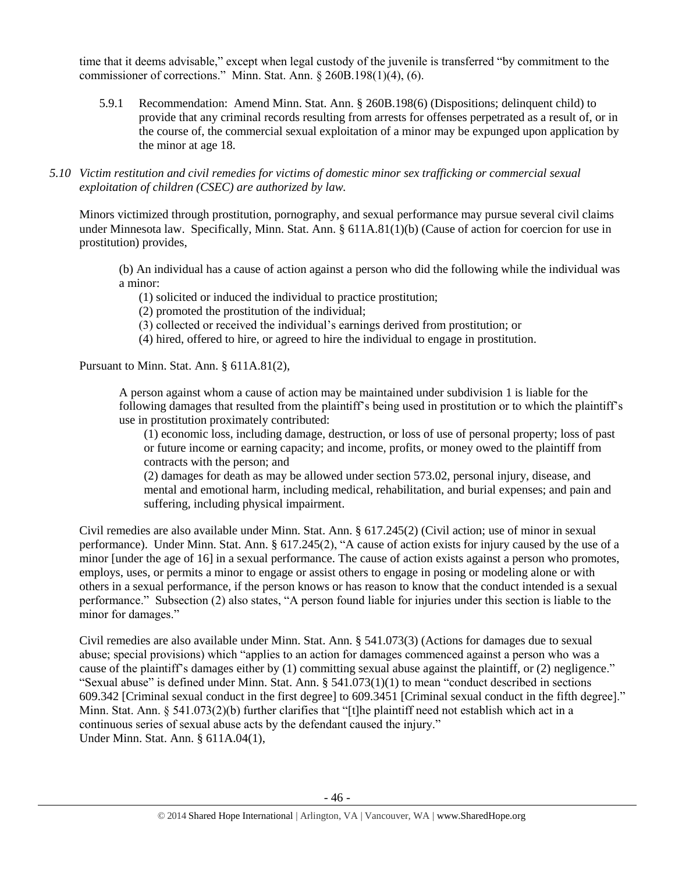time that it deems advisable," except when legal custody of the juvenile is transferred "by commitment to the commissioner of corrections." Minn. Stat. Ann. § 260B.198(1)(4), (6).

5.9.1 Recommendation: Amend Minn. Stat. Ann. § 260B.198(6) (Dispositions; delinquent child) to provide that any criminal records resulting from arrests for offenses perpetrated as a result of, or in the course of, the commercial sexual exploitation of a minor may be expunged upon application by the minor at age 18.

*5.10 Victim restitution and civil remedies for victims of domestic minor sex trafficking or commercial sexual exploitation of children (CSEC) are authorized by law.* 

Minors victimized through prostitution, pornography, and sexual performance may pursue several civil claims under Minnesota law. Specifically, Minn. Stat. Ann. § 611A.81(1)(b) (Cause of action for coercion for use in prostitution) provides,

(b) An individual has a cause of action against a person who did the following while the individual was a minor:

(1) solicited or induced the individual to practice prostitution;

(2) promoted the prostitution of the individual;

- (3) collected or received the individual's earnings derived from prostitution; or
- (4) hired, offered to hire, or agreed to hire the individual to engage in prostitution.

Pursuant to Minn. Stat. Ann. § 611A.81(2),

A person against whom a cause of action may be maintained under subdivision 1 is liable for the following damages that resulted from the plaintiff's being used in prostitution or to which the plaintiff's use in prostitution proximately contributed:

(1) economic loss, including damage, destruction, or loss of use of personal property; loss of past or future income or earning capacity; and income, profits, or money owed to the plaintiff from contracts with the person; and

(2) damages for death as may be allowed under section 573.02, personal injury, disease, and mental and emotional harm, including medical, rehabilitation, and burial expenses; and pain and suffering, including physical impairment.

Civil remedies are also available under Minn. Stat. Ann. § 617.245(2) (Civil action; use of minor in sexual performance). Under Minn. Stat. Ann. § 617.245(2), "A cause of action exists for injury caused by the use of a minor [under the age of 16] in a sexual performance. The cause of action exists against a person who promotes, employs, uses, or permits a minor to engage or assist others to engage in posing or modeling alone or with others in a sexual performance, if the person knows or has reason to know that the conduct intended is a sexual performance." Subsection (2) also states, "A person found liable for injuries under this section is liable to the minor for damages."

Civil remedies are also available under Minn. Stat. Ann. § 541.073(3) (Actions for damages due to sexual abuse; special provisions) which "applies to an action for damages commenced against a person who was a cause of the plaintiff's damages either by (1) committing sexual abuse against the plaintiff, or (2) negligence." "Sexual abuse" is defined under Minn. Stat. Ann. § 541.073(1)(1) to mean "conduct described in sections 609.342 [Criminal sexual conduct in the first degree] to 609.3451 [Criminal sexual conduct in the fifth degree]." Minn. Stat. Ann. § 541.073(2)(b) further clarifies that "[t]he plaintiff need not establish which act in a continuous series of sexual abuse acts by the defendant caused the injury." Under Minn. Stat. Ann. § 611A.04(1),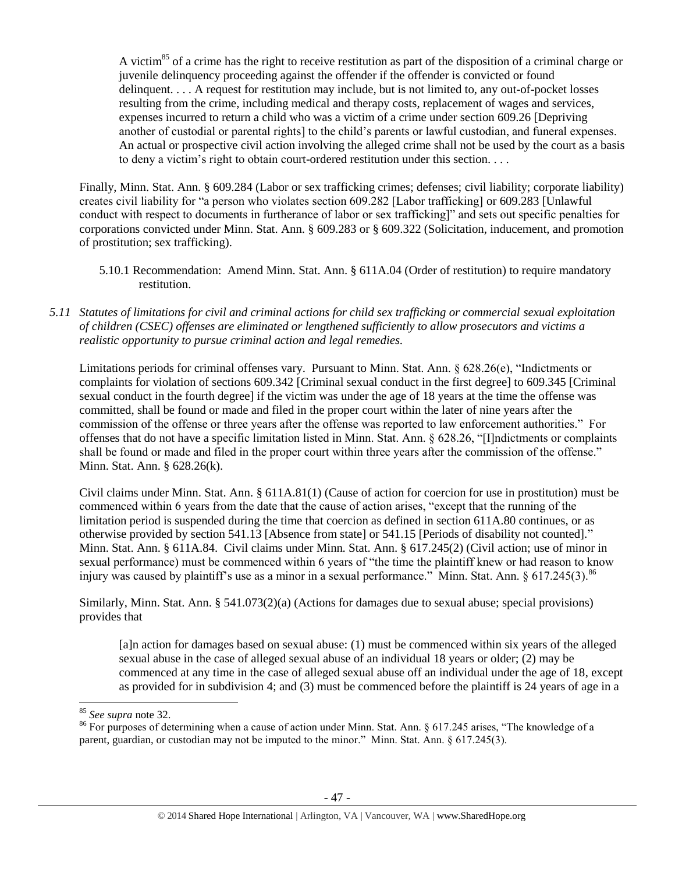A victim<sup>85</sup> of a crime has the right to receive restitution as part of the disposition of a criminal charge or juvenile delinquency proceeding against the offender if the offender is convicted or found delinquent. . . . A request for restitution may include, but is not limited to, any out-of-pocket losses resulting from the crime, including medical and therapy costs, replacement of wages and services, expenses incurred to return a child who was a victim of a crime under section 609.26 [Depriving another of custodial or parental rights] to the child's parents or lawful custodian, and funeral expenses. An actual or prospective civil action involving the alleged crime shall not be used by the court as a basis to deny a victim's right to obtain court-ordered restitution under this section. . . .

Finally, Minn. Stat. Ann. § 609.284 (Labor or sex trafficking crimes; defenses; civil liability; corporate liability) creates civil liability for "a person who violates section 609.282 [Labor trafficking] or 609.283 [Unlawful conduct with respect to documents in furtherance of labor or sex trafficking]" and sets out specific penalties for corporations convicted under Minn. Stat. Ann. § 609.283 or § 609.322 (Solicitation, inducement, and promotion of prostitution; sex trafficking).

- 5.10.1 Recommendation: Amend Minn. Stat. Ann. § 611A.04 (Order of restitution) to require mandatory restitution.
- *5.11 Statutes of limitations for civil and criminal actions for child sex trafficking or commercial sexual exploitation of children (CSEC) offenses are eliminated or lengthened sufficiently to allow prosecutors and victims a realistic opportunity to pursue criminal action and legal remedies.*

Limitations periods for criminal offenses vary. Pursuant to Minn. Stat. Ann. § 628.26(e), "Indictments or complaints for violation of sections 609.342 [Criminal sexual conduct in the first degree] to 609.345 [Criminal sexual conduct in the fourth degree] if the victim was under the age of 18 years at the time the offense was committed, shall be found or made and filed in the proper court within the later of nine years after the commission of the offense or three years after the offense was reported to law enforcement authorities." For offenses that do not have a specific limitation listed in Minn. Stat. Ann. § 628.26, "[I]ndictments or complaints shall be found or made and filed in the proper court within three years after the commission of the offense." Minn. Stat. Ann. § 628.26(k).

Civil claims under Minn. Stat. Ann. § 611A.81(1) (Cause of action for coercion for use in prostitution) must be commenced within 6 years from the date that the cause of action arises, "except that the running of the limitation period is suspended during the time that coercion as defined in section 611A.80 continues, or as otherwise provided by section 541.13 [Absence from state] or 541.15 [Periods of disability not counted]." Minn. Stat. Ann. § 611A.84. Civil claims under Minn. Stat. Ann. § 617.245(2) (Civil action; use of minor in sexual performance) must be commenced within 6 years of "the time the plaintiff knew or had reason to know injury was caused by plaintiff's use as a minor in a sexual performance." Minn. Stat. Ann. § 617.245(3).<sup>86</sup>

Similarly, Minn. Stat. Ann. § 541.073(2)(a) (Actions for damages due to sexual abuse; special provisions) provides that

[a]n action for damages based on sexual abuse: (1) must be commenced within six years of the alleged sexual abuse in the case of alleged sexual abuse of an individual 18 years or older; (2) may be commenced at any time in the case of alleged sexual abuse off an individual under the age of 18, except as provided for in subdivision 4; and (3) must be commenced before the plaintiff is 24 years of age in a

 $\overline{\phantom{a}}$ 

<sup>85</sup> *See supra* note [32.](#page-14-1) 

<sup>86</sup> For purposes of determining when a cause of action under Minn. Stat. Ann. § 617.245 arises, "The knowledge of a parent, guardian, or custodian may not be imputed to the minor." Minn. Stat. Ann. § 617.245(3).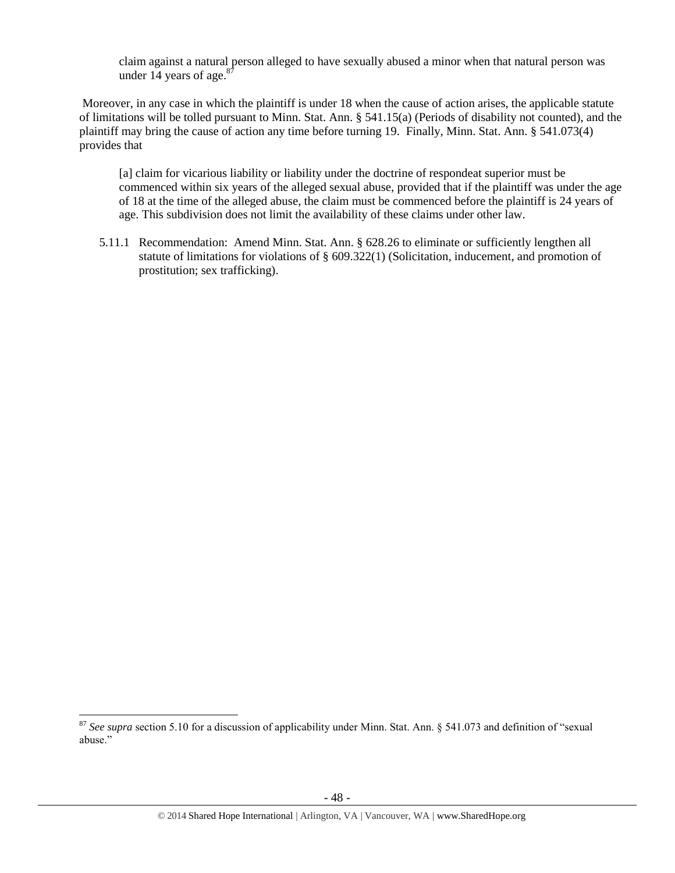claim against a natural person alleged to have sexually abused a minor when that natural person was under 14 years of age. $87$ 

Moreover, in any case in which the plaintiff is under 18 when the cause of action arises, the applicable statute of limitations will be tolled pursuant to Minn. Stat. Ann. § 541.15(a) (Periods of disability not counted), and the plaintiff may bring the cause of action any time before turning 19. Finally, Minn. Stat. Ann. § 541.073(4) provides that

[a] claim for vicarious liability or liability under the doctrine of respondeat superior must be commenced within six years of the alleged sexual abuse, provided that if the plaintiff was under the age of 18 at the time of the alleged abuse, the claim must be commenced before the plaintiff is 24 years of age. This subdivision does not limit the availability of these claims under other law.

5.11.1 Recommendation: Amend Minn. Stat. Ann. § 628.26 to eliminate or sufficiently lengthen all statute of limitations for violations of § 609.322(1) (Solicitation, inducement, and promotion of prostitution; sex trafficking).

l

<sup>87</sup> *See supra* section 5.10 for a discussion of applicability under Minn. Stat. Ann. § 541.073 and definition of "sexual abuse."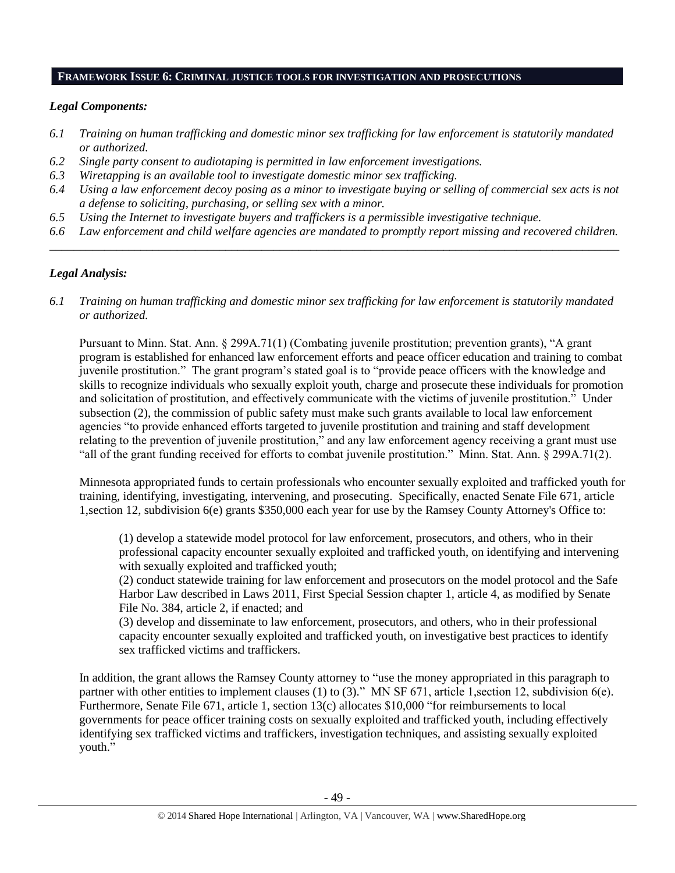#### **FRAMEWORK ISSUE 6: CRIMINAL JUSTICE TOOLS FOR INVESTIGATION AND PROSECUTIONS**

# *Legal Components:*

- *6.1 Training on human trafficking and domestic minor sex trafficking for law enforcement is statutorily mandated or authorized.*
- *6.2 Single party consent to audiotaping is permitted in law enforcement investigations.*
- *6.3 Wiretapping is an available tool to investigate domestic minor sex trafficking.*
- *6.4 Using a law enforcement decoy posing as a minor to investigate buying or selling of commercial sex acts is not a defense to soliciting, purchasing, or selling sex with a minor.*
- *6.5 Using the Internet to investigate buyers and traffickers is a permissible investigative technique.*
- *6.6 Law enforcement and child welfare agencies are mandated to promptly report missing and recovered children. \_\_\_\_\_\_\_\_\_\_\_\_\_\_\_\_\_\_\_\_\_\_\_\_\_\_\_\_\_\_\_\_\_\_\_\_\_\_\_\_\_\_\_\_\_\_\_\_\_\_\_\_\_\_\_\_\_\_\_\_\_\_\_\_\_\_\_\_\_\_\_\_\_\_\_\_\_\_\_\_\_\_\_\_\_\_\_\_\_\_\_\_\_\_*

# *Legal Analysis:*

*6.1 Training on human trafficking and domestic minor sex trafficking for law enforcement is statutorily mandated or authorized.*

Pursuant to Minn. Stat. Ann. § 299A.71(1) (Combating juvenile prostitution; prevention grants), "A grant program is established for enhanced law enforcement efforts and peace officer education and training to combat juvenile prostitution." The grant program's stated goal is to "provide peace officers with the knowledge and skills to recognize individuals who sexually exploit youth, charge and prosecute these individuals for promotion and solicitation of prostitution, and effectively communicate with the victims of juvenile prostitution." Under subsection (2), the commission of public safety must make such grants available to local law enforcement agencies "to provide enhanced efforts targeted to juvenile prostitution and training and staff development relating to the prevention of juvenile prostitution," and any law enforcement agency receiving a grant must use "all of the grant funding received for efforts to combat juvenile prostitution." Minn. Stat. Ann. § 299A.71(2).

Minnesota appropriated funds to certain professionals who encounter sexually exploited and trafficked youth for training, identifying, investigating, intervening, and prosecuting. Specifically, enacted Senate File 671, article 1,section 12, subdivision 6(e) grants \$350,000 each year for use by the Ramsey County Attorney's Office to:

(1) develop a statewide model protocol for law enforcement, prosecutors, and others, who in their professional capacity encounter sexually exploited and trafficked youth, on identifying and intervening with sexually exploited and trafficked youth;

(2) conduct statewide training for law enforcement and prosecutors on the model protocol and the Safe Harbor Law described in Laws 2011, First Special Session chapter 1, article 4, as modified by Senate File No. 384, article 2, if enacted; and

(3) develop and disseminate to law enforcement, prosecutors, and others, who in their professional capacity encounter sexually exploited and trafficked youth, on investigative best practices to identify sex trafficked victims and traffickers.

In addition, the grant allows the Ramsey County attorney to "use the money appropriated in this paragraph to partner with other entities to implement clauses (1) to (3)." MN SF 671, article 1, section 12, subdivision 6(e). Furthermore, Senate File 671, article 1, section 13(c) allocates \$10,000 "for reimbursements to local governments for peace officer training costs on sexually exploited and trafficked youth, including effectively identifying sex trafficked victims and traffickers, investigation techniques, and assisting sexually exploited youth."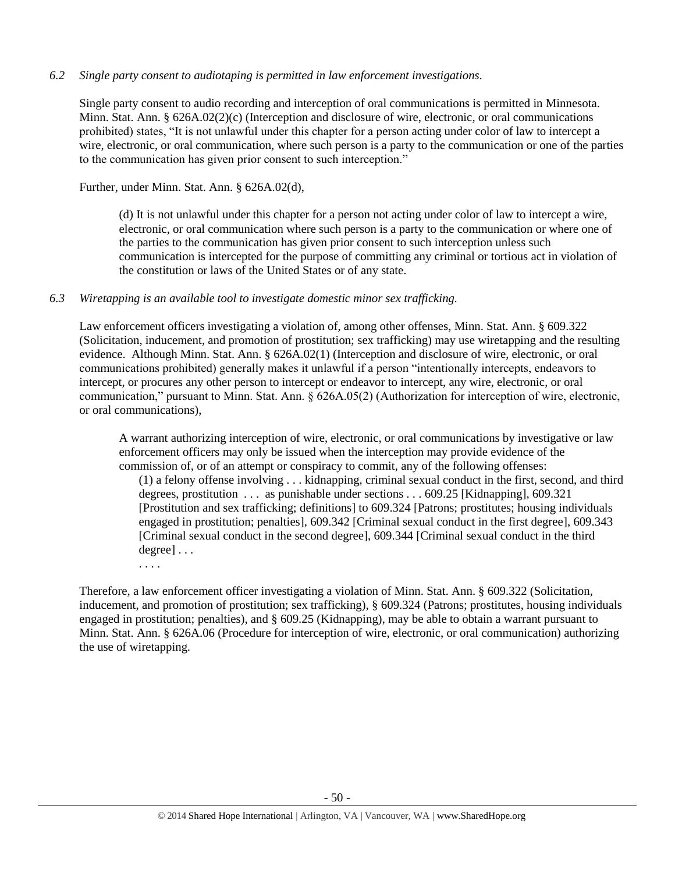## *6.2 Single party consent to audiotaping is permitted in law enforcement investigations.*

Single party consent to audio recording and interception of oral communications is permitted in Minnesota. Minn. Stat. Ann. § 626A.02(2)(c) (Interception and disclosure of wire, electronic, or oral communications prohibited) states, "It is not unlawful under this chapter for a person acting under color of law to intercept a wire, electronic, or oral communication, where such person is a party to the communication or one of the parties to the communication has given prior consent to such interception."

Further, under Minn. Stat. Ann. § 626A.02(d),

(d) It is not unlawful under this chapter for a person not acting under color of law to intercept a wire, electronic, or oral communication where such person is a party to the communication or where one of the parties to the communication has given prior consent to such interception unless such communication is intercepted for the purpose of committing any criminal or tortious act in violation of the constitution or laws of the United States or of any state.

## *6.3 Wiretapping is an available tool to investigate domestic minor sex trafficking.*

Law enforcement officers investigating a violation of, among other offenses, Minn. Stat. Ann. § 609.322 (Solicitation, inducement, and promotion of prostitution; sex trafficking) may use wiretapping and the resulting evidence. Although Minn. Stat. Ann. § 626A.02(1) (Interception and disclosure of wire, electronic, or oral communications prohibited) generally makes it unlawful if a person "intentionally intercepts, endeavors to intercept, or procures any other person to intercept or endeavor to intercept, any wire, electronic, or oral communication," pursuant to Minn. Stat. Ann. § 626A.05(2) (Authorization for interception of wire, electronic, or oral communications),

A warrant authorizing interception of wire, electronic, or oral communications by investigative or law enforcement officers may only be issued when the interception may provide evidence of the commission of, or of an attempt or conspiracy to commit, any of the following offenses:

(1) a felony offense involving . . . kidnapping, criminal sexual conduct in the first, second, and third degrees, prostitution . . . as punishable under sections . . . 609.25 [Kidnapping], 609.321 [Prostitution and sex trafficking; definitions] to 609.324 [Patrons; prostitutes; housing individuals engaged in prostitution; penalties], 609.342 [Criminal sexual conduct in the first degree], 609.343 [Criminal sexual conduct in the second degree], 609.344 [Criminal sexual conduct in the third degree] . . .

. . . .

Therefore, a law enforcement officer investigating a violation of Minn. Stat. Ann. § 609.322 (Solicitation, inducement, and promotion of prostitution; sex trafficking), § 609.324 (Patrons; prostitutes, housing individuals engaged in prostitution; penalties), and § 609.25 (Kidnapping), may be able to obtain a warrant pursuant to Minn. Stat. Ann. § 626A.06 (Procedure for interception of wire, electronic, or oral communication) authorizing the use of wiretapping.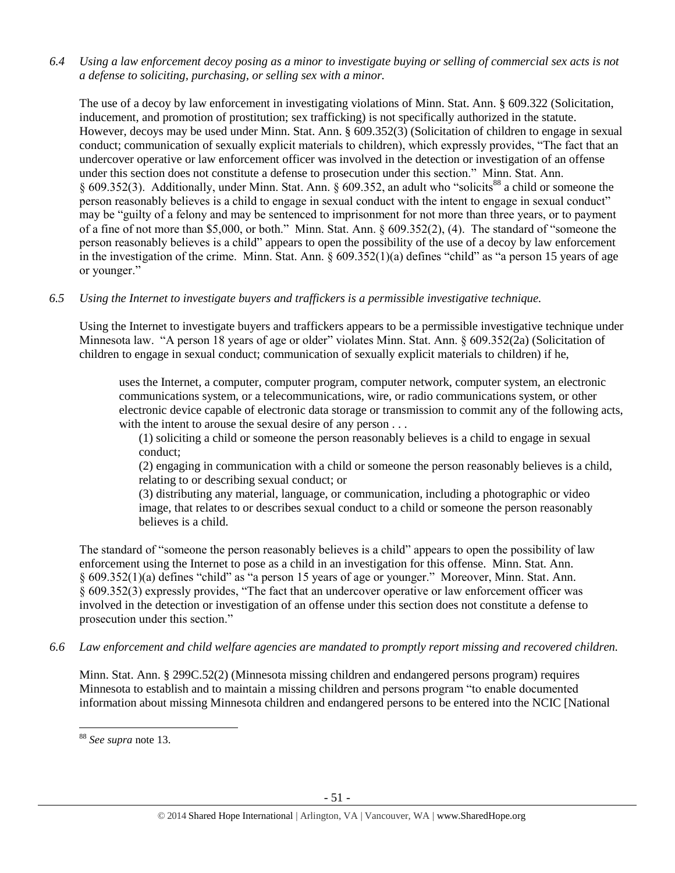*6.4 Using a law enforcement decoy posing as a minor to investigate buying or selling of commercial sex acts is not a defense to soliciting, purchasing, or selling sex with a minor.*

The use of a decoy by law enforcement in investigating violations of Minn. Stat. Ann. § 609.322 (Solicitation, inducement, and promotion of prostitution; sex trafficking) is not specifically authorized in the statute. However, decoys may be used under Minn. Stat. Ann. § 609.352(3) (Solicitation of children to engage in sexual conduct; communication of sexually explicit materials to children), which expressly provides, "The fact that an undercover operative or law enforcement officer was involved in the detection or investigation of an offense under this section does not constitute a defense to prosecution under this section." Minn. Stat. Ann. § 609.352(3). Additionally, under Minn. Stat. Ann. § 609.352, an adult who "solicits<sup>88</sup> a child or someone the person reasonably believes is a child to engage in sexual conduct with the intent to engage in sexual conduct" may be "guilty of a felony and may be sentenced to imprisonment for not more than three years, or to payment of a fine of not more than \$5,000, or both." Minn. Stat. Ann. § 609.352(2), (4). The standard of "someone the person reasonably believes is a child" appears to open the possibility of the use of a decoy by law enforcement in the investigation of the crime. Minn. Stat. Ann. § 609.352(1)(a) defines "child" as "a person 15 years of age or younger."

*6.5 Using the Internet to investigate buyers and traffickers is a permissible investigative technique.*

Using the Internet to investigate buyers and traffickers appears to be a permissible investigative technique under Minnesota law. "A person 18 years of age or older" violates Minn. Stat. Ann. § 609.352(2a) (Solicitation of children to engage in sexual conduct; communication of sexually explicit materials to children) if he,

uses the Internet, a computer, computer program, computer network, computer system, an electronic communications system, or a telecommunications, wire, or radio communications system, or other electronic device capable of electronic data storage or transmission to commit any of the following acts, with the intent to arouse the sexual desire of any person . . .

(1) soliciting a child or someone the person reasonably believes is a child to engage in sexual conduct;

(2) engaging in communication with a child or someone the person reasonably believes is a child, relating to or describing sexual conduct; or

(3) distributing any material, language, or communication, including a photographic or video image, that relates to or describes sexual conduct to a child or someone the person reasonably believes is a child.

The standard of "someone the person reasonably believes is a child" appears to open the possibility of law enforcement using the Internet to pose as a child in an investigation for this offense. Minn. Stat. Ann. § 609.352(1)(a) defines "child" as "a person 15 years of age or younger." Moreover, Minn. Stat. Ann. § 609.352(3) expressly provides, "The fact that an undercover operative or law enforcement officer was involved in the detection or investigation of an offense under this section does not constitute a defense to prosecution under this section."

*6.6 Law enforcement and child welfare agencies are mandated to promptly report missing and recovered children.*

Minn. Stat. Ann. § 299C.52(2) (Minnesota missing children and endangered persons program) requires Minnesota to establish and to maintain a missing children and persons program "to enable documented information about missing Minnesota children and endangered persons to be entered into the NCIC [National

 $\overline{a}$ 

<sup>88</sup> *See supra* note [13.](#page-6-0)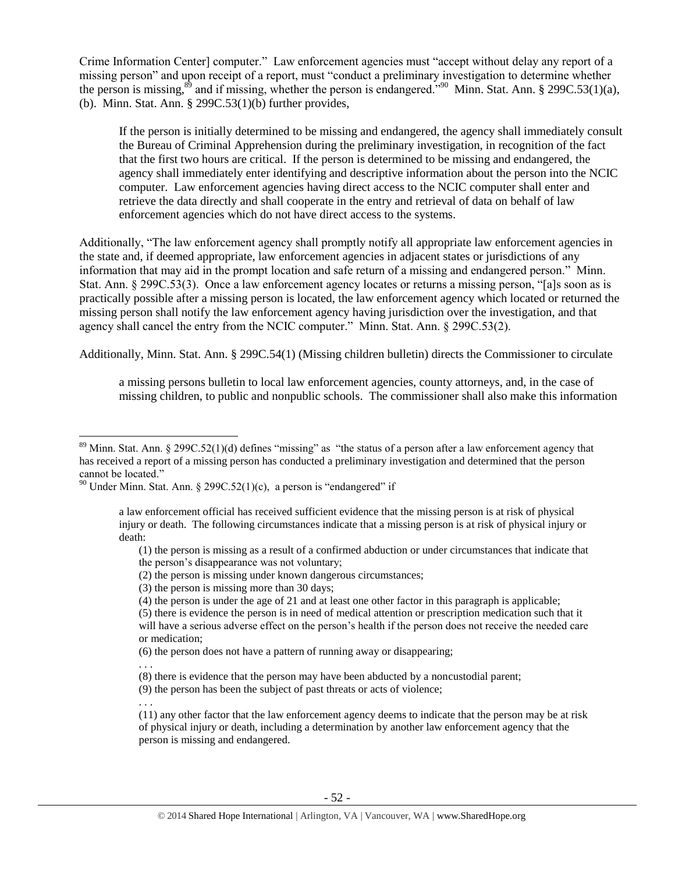Crime Information Center] computer." Law enforcement agencies must "accept without delay any report of a missing person" and upon receipt of a report, must "conduct a preliminary investigation to determine whether the person is missing,<sup>89</sup> and if missing, whether the person is endangered.<sup>"90</sup> Minn. Stat. Ann. § 299C.53(1)(a), (b). Minn. Stat. Ann. § 299C.53(1)(b) further provides,

If the person is initially determined to be missing and endangered, the agency shall immediately consult the Bureau of Criminal Apprehension during the preliminary investigation, in recognition of the fact that the first two hours are critical. If the person is determined to be missing and endangered, the agency shall immediately enter identifying and descriptive information about the person into the NCIC computer. Law enforcement agencies having direct access to the NCIC computer shall enter and retrieve the data directly and shall cooperate in the entry and retrieval of data on behalf of law enforcement agencies which do not have direct access to the systems.

Additionally, "The law enforcement agency shall promptly notify all appropriate law enforcement agencies in the state and, if deemed appropriate, law enforcement agencies in adjacent states or jurisdictions of any information that may aid in the prompt location and safe return of a missing and endangered person." Minn. Stat. Ann. § 299C.53(3). Once a law enforcement agency locates or returns a missing person, "[a]s soon as is practically possible after a missing person is located, the law enforcement agency which located or returned the missing person shall notify the law enforcement agency having jurisdiction over the investigation, and that agency shall cancel the entry from the NCIC computer." Minn. Stat. Ann. § 299C.53(2).

Additionally, Minn. Stat. Ann. § 299C.54(1) (Missing children bulletin) directs the Commissioner to circulate

a missing persons bulletin to local law enforcement agencies, county attorneys, and, in the case of missing children, to public and nonpublic schools. The commissioner shall also make this information

 $\overline{\phantom{a}}$ 

<sup>&</sup>lt;sup>89</sup> Minn. Stat. Ann. § 299C.52(1)(d) defines "missing" as "the status of a person after a law enforcement agency that has received a report of a missing person has conducted a preliminary investigation and determined that the person cannot be located."

<sup>&</sup>lt;sup>90</sup> Under Minn. Stat. Ann. § 299C.52(1)(c), a person is "endangered" if

a law enforcement official has received sufficient evidence that the missing person is at risk of physical injury or death. The following circumstances indicate that a missing person is at risk of physical injury or death:

<sup>(1)</sup> the person is missing as a result of a confirmed abduction or under circumstances that indicate that the person's disappearance was not voluntary;

<sup>(2)</sup> the person is missing under known dangerous circumstances;

<sup>(3)</sup> the person is missing more than 30 days;

<sup>(4)</sup> the person is under the age of 21 and at least one other factor in this paragraph is applicable;

<sup>(5)</sup> there is evidence the person is in need of medical attention or prescription medication such that it will have a serious adverse effect on the person's health if the person does not receive the needed care or medication;

<sup>(6)</sup> the person does not have a pattern of running away or disappearing;

<sup>. . .</sup>

<sup>(8)</sup> there is evidence that the person may have been abducted by a noncustodial parent;

<sup>(9)</sup> the person has been the subject of past threats or acts of violence;

<sup>. . .</sup>

<sup>(11)</sup> any other factor that the law enforcement agency deems to indicate that the person may be at risk of physical injury or death, including a determination by another law enforcement agency that the person is missing and endangered.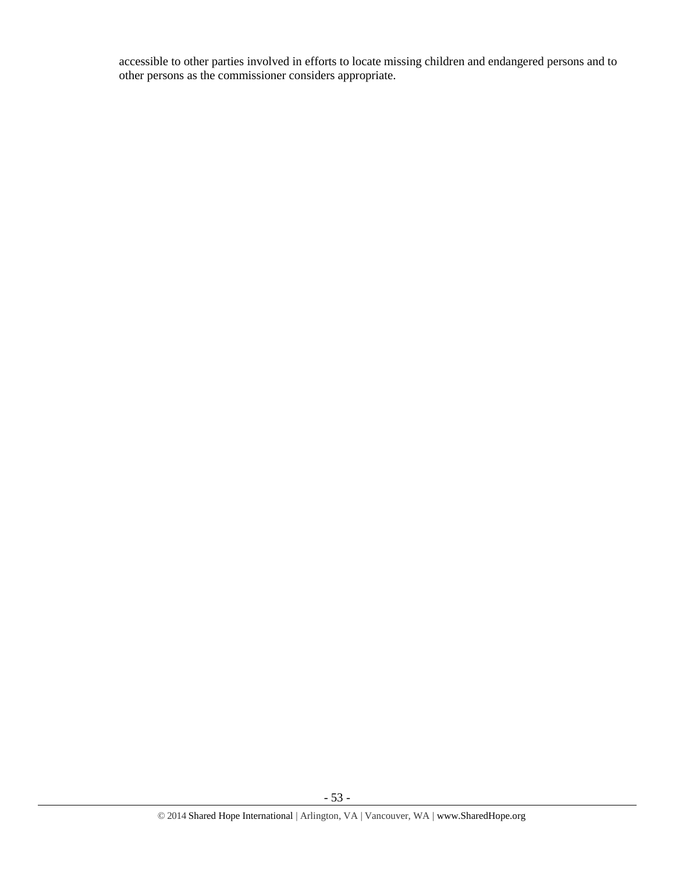accessible to other parties involved in efforts to locate missing children and endangered persons and to other persons as the commissioner considers appropriate.